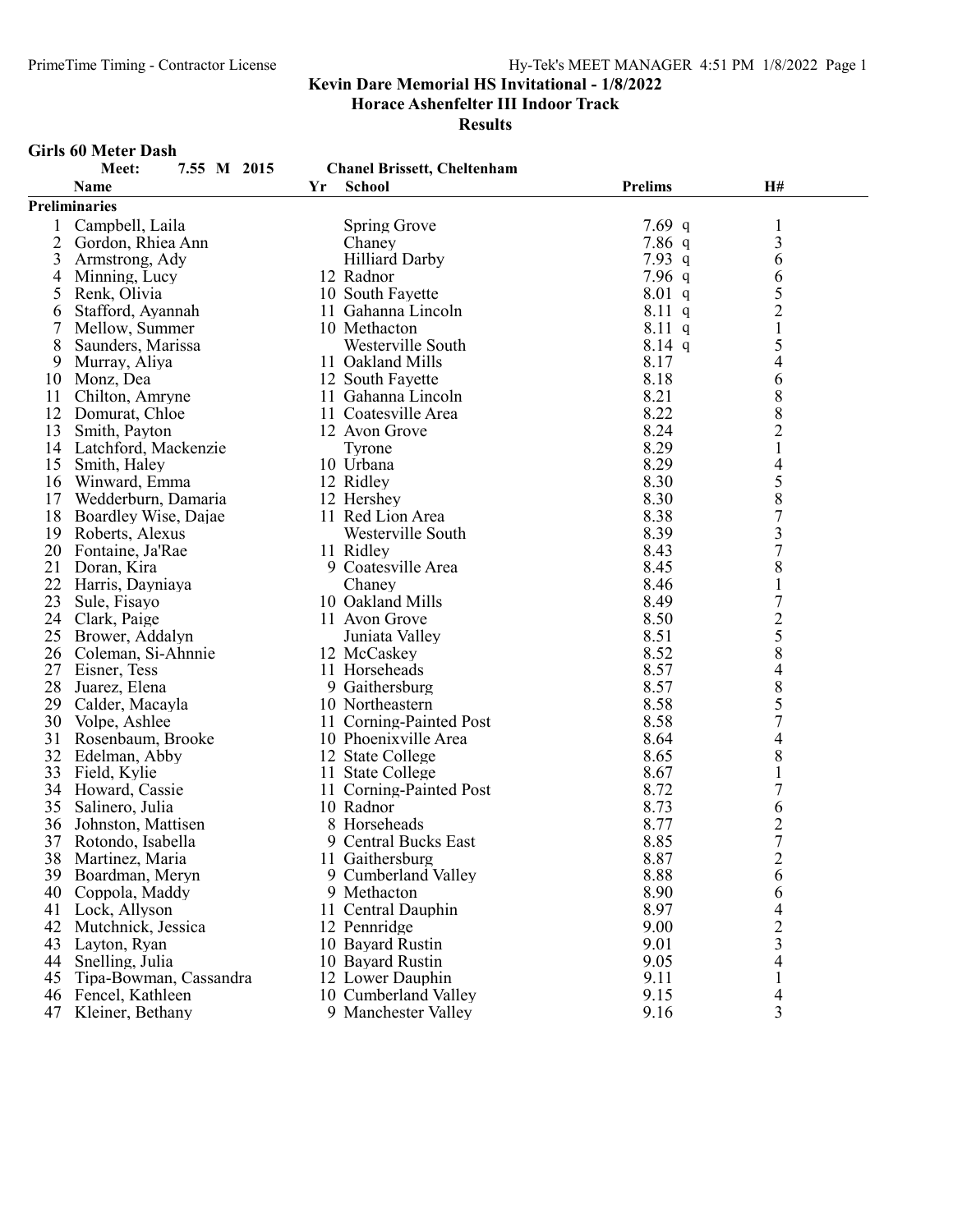Horace Ashenfelter III Indoor Track

Results

#### Girls 60 Meter Dash

|    | Meet:<br>7.55 M 2015    |    | <b>Chanel Brissett, Cheltenham</b>     |                |                                       |
|----|-------------------------|----|----------------------------------------|----------------|---------------------------------------|
|    | <b>Name</b>             | Yr | <b>School</b>                          | <b>Prelims</b> | H#                                    |
|    | <b>Preliminaries</b>    |    |                                        |                |                                       |
|    | Campbell, Laila         |    | Spring Grove                           | 7.69 q         | $\mathbf{1}$                          |
| 2  | Gordon, Rhiea Ann       |    | Chaney                                 | 7.86q          | $\overline{\mathbf{3}}$               |
| 3  | Armstrong, Ady          |    | <b>Hilliard Darby</b>                  | 7.93 q         | 6                                     |
| 4  | Minning, Lucy           |    | 12 Radnor                              | 7.96q          | 6                                     |
| 5  | Renk, Olivia            |    | 10 South Fayette                       | $8.01$ q       | 5                                     |
| 6  | Stafford, Ayannah       |    | 11 Gahanna Lincoln                     | $8.11\ q$      | $\overline{2}$                        |
|    | Mellow, Summer          |    | 10 Methacton                           | 8.11 q         | $\mathbf{1}$                          |
| 8  | Saunders, Marissa       |    | Westerville South                      | $8.14$ q       | 5                                     |
| 9  | Murray, Aliya           |    | 11 Oakland Mills                       | 8.17           | 4                                     |
| 10 | Monz, Dea               |    | 12 South Fayette                       | 8.18           | 6                                     |
| 11 | Chilton, Amryne         |    | 11 Gahanna Lincoln                     | 8.21           | 8                                     |
| 12 | Domurat, Chloe          |    | 11 Coatesville Area                    | 8.22           | 8                                     |
| 13 | Smith, Payton           |    | 12 Avon Grove                          | 8.24           | $\overline{c}$                        |
|    | 14 Latchford, Mackenzie |    | Tyrone                                 | 8.29           | $\,1$                                 |
|    | 15 Smith, Haley         |    | 10 Urbana                              | 8.29           | $\overline{\mathcal{L}}$              |
|    | 16 Winward, Emma        |    | 12 Ridley                              | 8.30           |                                       |
| 17 | Wedderburn, Damaria     |    | 12 Hershey                             | 8.30           | $\frac{5}{8}$                         |
| 18 | Boardley Wise, Dajae    |    | 11 Red Lion Area                       | 8.38           | $\overline{7}$                        |
| 19 | Roberts, Alexus         |    | Westerville South                      | 8.39           | $\overline{\mathbf{3}}$               |
| 20 | Fontaine, Ja'Rae        |    | 11 Ridley                              | 8.43           | $\overline{7}$                        |
| 21 | Doran, Kira             |    | 9 Coatesville Area                     | 8.45           | 8                                     |
| 22 | Harris, Dayniaya        |    | Chaney                                 | 8.46           | $\mathbf{1}$                          |
| 23 | Sule, Fisayo            |    | 10 Oakland Mills                       | 8.49           | $\overline{7}$                        |
| 24 | Clark, Paige            |    | 11 Avon Grove                          | 8.50           |                                       |
| 25 | Brower, Addalyn         |    | Juniata Valley                         | 8.51           | $rac{2}{5}$                           |
| 26 | Coleman, Si-Ahnnie      |    | 12 McCaskey                            | 8.52           | 8                                     |
| 27 | Eisner, Tess            |    | 11 Horseheads                          | 8.57           | $\overline{\mathcal{L}}$              |
| 28 | Juarez, Elena           |    | 9 Gaithersburg                         | 8.57           |                                       |
| 29 | Calder, Macayla         |    | 10 Northeastern                        | 8.58           | $\begin{array}{c} 8 \\ 5 \end{array}$ |
| 30 | Volpe, Ashlee           |    | 11 Corning-Painted Post                | 8.58           | $\overline{7}$                        |
| 31 | Rosenbaum, Brooke       |    | 10 Phoenixville Area                   | 8.64           | 4                                     |
| 32 | Edelman, Abby           |    | 12 State College                       | 8.65           | 8                                     |
| 33 | Field, Kylie            |    | 11 State College                       | 8.67           | $\mathbf{1}$                          |
|    | 34 Howard, Cassie       |    |                                        | 8.72           | $\overline{7}$                        |
| 35 | Salinero, Julia         |    | 11 Corning-Painted Post<br>10 Radnor   | 8.73           | 6                                     |
| 36 | Johnston, Mattisen      |    | 8 Horseheads                           | 8.77           |                                       |
| 37 | Rotondo, Isabella       |    | 9 Central Bucks East                   | 8.85           | $\frac{2}{7}$                         |
|    |                         |    |                                        |                | $\overline{c}$                        |
|    | 38 Martinez, Maria      |    | 11 Gaithersburg<br>9 Cumberland Valley | 8.87<br>8.88   |                                       |
| 39 | Boardman, Meryn         |    |                                        |                | 6                                     |
| 40 | Coppola, Maddy          |    | 9 Methacton                            | 8.90           | 6                                     |
| 41 | Lock, Allyson           |    | 11 Central Dauphin                     | 8.97           | 4                                     |
| 42 | Mutchnick, Jessica      |    | 12 Pennridge                           | 9.00           | $\overline{c}$                        |
| 43 | Layton, Ryan            |    | 10 Bayard Rustin                       | 9.01           | $\overline{\mathbf{3}}$               |
| 44 | Snelling, Julia         |    | 10 Bayard Rustin                       | 9.05           | 4                                     |
| 45 | Tipa-Bowman, Cassandra  |    | 12 Lower Dauphin                       | 9.11           | 1                                     |
| 46 | Fencel, Kathleen        |    | 10 Cumberland Valley                   | 9.15           | 4                                     |
| 47 | Kleiner, Bethany        |    | 9 Manchester Valley                    | 9.16           | $\overline{3}$                        |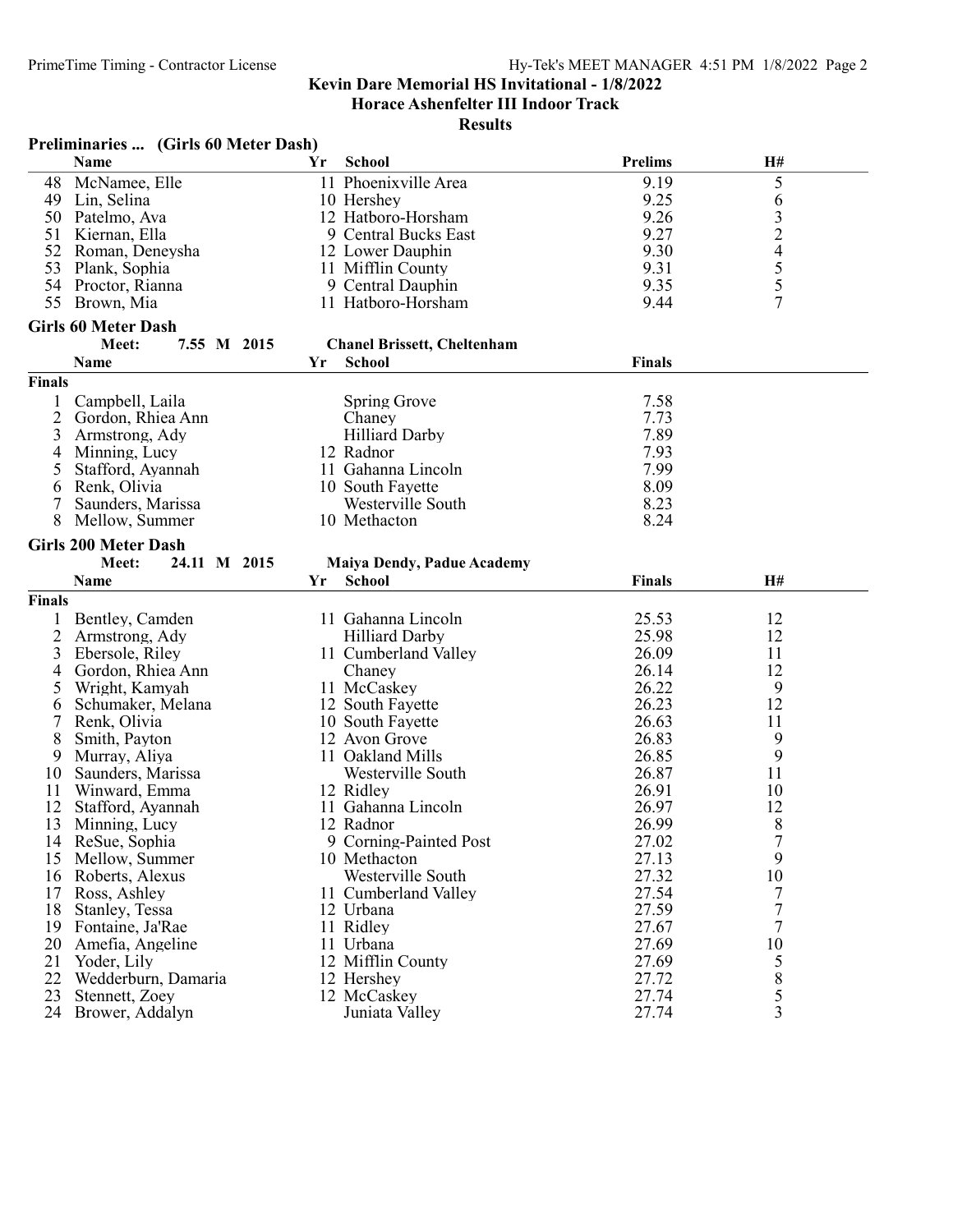Horace Ashenfelter III Indoor Track

|                | Preliminaries  (Girls 60 Meter Dash) |    |                                    |                |                     |  |
|----------------|--------------------------------------|----|------------------------------------|----------------|---------------------|--|
|                | Name                                 | Yr | <b>School</b>                      | <b>Prelims</b> | H#                  |  |
| 48             | McNamee, Elle                        |    | 11 Phoenixville Area               | 9.19           | 5                   |  |
|                | 49 Lin, Selina                       |    | 10 Hershey                         | 9.25           | 6                   |  |
| 50             | Patelmo, Ava                         |    | 12 Hatboro-Horsham                 | 9.26           |                     |  |
| 51             | Kiernan, Ella                        |    | 9 Central Bucks East               | 9.27           |                     |  |
| 52             | Roman, Deneysha                      |    | 12 Lower Dauphin                   | 9.30           | $\frac{3}{2}$       |  |
| 53             | Plank, Sophia                        |    | 11 Mifflin County                  | 9.31           |                     |  |
|                | 54 Proctor, Rianna                   |    | 9 Central Dauphin                  | 9.35           | $rac{5}{5}$         |  |
| 55             | Brown, Mia                           |    | 11 Hatboro-Horsham                 | 9.44           | $\overline{7}$      |  |
|                | <b>Girls 60 Meter Dash</b>           |    |                                    |                |                     |  |
|                |                                      |    | <b>Chanel Brissett, Cheltenham</b> |                |                     |  |
|                | 7.55 M 2015<br>Meet:                 |    |                                    |                |                     |  |
|                | Name                                 | Yr | <b>School</b>                      | <b>Finals</b>  |                     |  |
| <b>Finals</b>  |                                      |    |                                    |                |                     |  |
| 1              | Campbell, Laila                      |    | Spring Grove                       | 7.58           |                     |  |
| $\overline{c}$ | Gordon, Rhiea Ann                    |    | Chaney                             | 7.73           |                     |  |
| 3              | Armstrong, Ady                       |    | <b>Hilliard Darby</b>              | 7.89           |                     |  |
| 4              | Minning, Lucy                        |    | 12 Radnor                          | 7.93           |                     |  |
| 5              | Stafford, Ayannah                    |    | 11 Gahanna Lincoln                 | 7.99           |                     |  |
| 6              | Renk, Olivia                         |    | 10 South Fayette                   | 8.09           |                     |  |
| 7              | Saunders, Marissa                    |    | Westerville South                  | 8.23           |                     |  |
| 8              | Mellow, Summer                       |    | 10 Methacton                       | 8.24           |                     |  |
|                | <b>Girls 200 Meter Dash</b>          |    |                                    |                |                     |  |
|                | Meet:<br>24.11 M 2015                |    | <b>Maiya Dendy, Padue Academy</b>  |                |                     |  |
|                | Name                                 | Yr | <b>School</b>                      | <b>Finals</b>  | H#                  |  |
| <b>Finals</b>  |                                      |    |                                    |                |                     |  |
|                |                                      |    | 11 Gahanna Lincoln                 | 25.53          | 12                  |  |
| $\overline{2}$ | Bentley, Camden                      |    | <b>Hilliard Darby</b>              | 25.98          | 12                  |  |
|                | Armstrong, Ady                       |    |                                    | 26.09          |                     |  |
| 3              | Ebersole, Riley                      |    | 11 Cumberland Valley               | 26.14          | 11<br>12            |  |
| 4              | Gordon, Rhiea Ann                    |    | Chaney                             | 26.22          |                     |  |
| 5              | Wright, Kamyah                       |    | 11 McCaskey                        |                | 9                   |  |
| 6              | Schumaker, Melana                    |    | 12 South Fayette                   | 26.23          | 12                  |  |
|                | Renk, Olivia                         |    | 10 South Fayette                   | 26.63          | 11                  |  |
| 8              | Smith, Payton                        |    | 12 Avon Grove                      | 26.83          | 9                   |  |
| 9              | Murray, Aliya                        |    | 11 Oakland Mills                   | 26.85          | 9                   |  |
| 10             | Saunders, Marissa                    |    | Westerville South                  | 26.87          | 11                  |  |
| 11             | Winward, Emma                        |    | 12 Ridley                          | 26.91          | 10                  |  |
| 12             | Stafford, Ayannah                    |    | 11 Gahanna Lincoln                 | 26.97          | 12                  |  |
| 13             | Minning, Lucy                        |    | 12 Radnor                          | 26.99          | 8                   |  |
|                | 14 ReSue, Sophia                     |    | 9 Corning-Painted Post             | 27.02          | 7                   |  |
| 15             | Mellow, Summer                       |    | 10 Methacton                       | 27.13          | 9                   |  |
| 16             | Roberts, Alexus                      |    | Westerville South                  | 27.32          | 10                  |  |
| 17             | Ross, Ashley                         |    | 11 Cumberland Valley               | 27.54          | 7                   |  |
| 18             | Stanley, Tessa                       |    | 12 Urbana                          | 27.59          | $\overline{7}$      |  |
|                | 19 Fontaine, Ja'Rae                  |    | 11 Ridley                          | 27.67          | $\tau$              |  |
| 20             | Amefia, Angeline                     |    | 11 Urbana                          | 27.69          | 10                  |  |
| 21             | Yoder, Lily                          |    | 12 Mifflin County                  | 27.69          | 5                   |  |
| 22             | Wedderburn, Damaria                  |    | 12 Hershey                         | 27.72          | $8\,$               |  |
| 23             |                                      |    |                                    |                |                     |  |
|                | Stennett, Zoey<br>24 Brower, Addalyn |    | 12 McCaskey<br>Juniata Valley      | 27.74<br>27.74 | 5<br>$\overline{3}$ |  |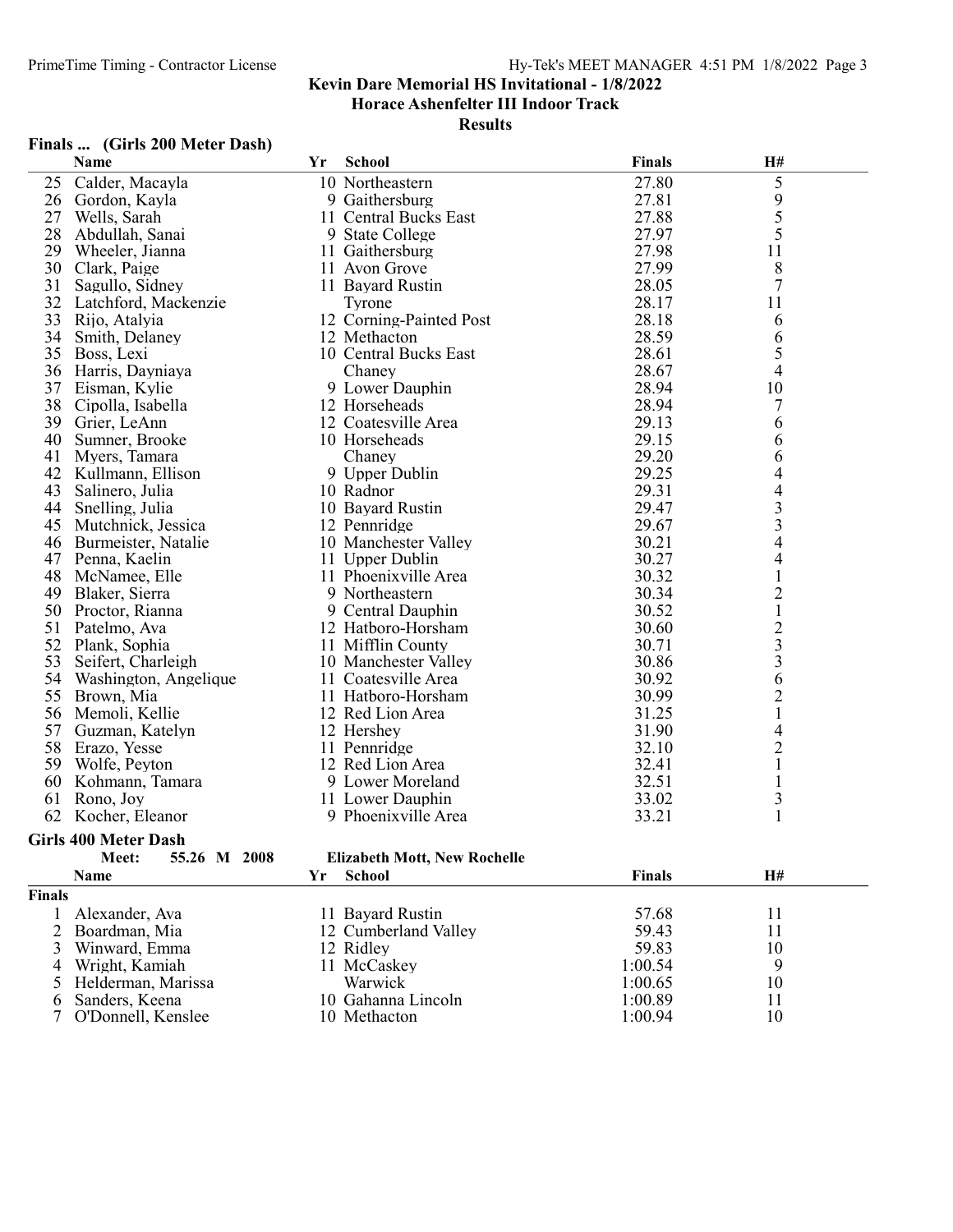Horace Ashenfelter III Indoor Track

#### **Results**

#### Finals ... (Girls 200 Meter Dash)

|    | Name                  | Yr | <b>School</b>           | <b>Finals</b> | H#                       |  |
|----|-----------------------|----|-------------------------|---------------|--------------------------|--|
| 25 | Calder, Macayla       |    | 10 Northeastern         | 27.80         | 5                        |  |
| 26 | Gordon, Kayla         |    | 9 Gaithersburg          | 27.81         | 9                        |  |
| 27 | Wells, Sarah          |    | 11 Central Bucks East   | 27.88         | 5                        |  |
| 28 | Abdullah, Sanai       |    | 9 State College         | 27.97         | 5                        |  |
| 29 | Wheeler, Jianna       |    | 11 Gaithersburg         | 27.98         | 11                       |  |
| 30 | Clark, Paige          |    | 11 Avon Grove           | 27.99         | 8                        |  |
| 31 | Sagullo, Sidney       |    | 11 Bayard Rustin        | 28.05         | $\overline{7}$           |  |
| 32 | Latchford, Mackenzie  |    | Tyrone                  | 28.17         | 11                       |  |
| 33 | Rijo, Atalyia         |    | 12 Corning-Painted Post | 28.18         | 6                        |  |
| 34 | Smith, Delaney        |    | 12 Methacton            | 28.59         | 6                        |  |
| 35 | Boss, Lexi            |    | 10 Central Bucks East   | 28.61         | 5                        |  |
| 36 | Harris, Dayniaya      |    | Chaney                  | 28.67         | 4                        |  |
| 37 | Eisman, Kylie         |    | 9 Lower Dauphin         | 28.94         | 10                       |  |
| 38 | Cipolla, Isabella     |    | 12 Horseheads           | 28.94         | 7                        |  |
| 39 | Grier, LeAnn          |    | 12 Coatesville Area     | 29.13         | 6                        |  |
| 40 | Sumner, Brooke        |    | 10 Horseheads           | 29.15         | 6                        |  |
| 41 | Myers, Tamara         |    | Chaney                  | 29.20         | 6                        |  |
| 42 | Kullmann, Ellison     |    | 9 Upper Dublin          | 29.25         | 4                        |  |
| 43 | Salinero, Julia       |    | 10 Radnor               | 29.31         | $\overline{4}$           |  |
| 44 | Snelling, Julia       |    | 10 Bayard Rustin        | 29.47         |                          |  |
| 45 | Mutchnick, Jessica    |    | 12 Pennridge            | 29.67         | $\frac{3}{3}$            |  |
| 46 | Burmeister, Natalie   |    | 10 Manchester Valley    | 30.21         | $\overline{\mathcal{L}}$ |  |
| 47 | Penna, Kaelin         |    | 11 Upper Dublin         | 30.27         | $\overline{\mathcal{A}}$ |  |
| 48 | McNamee, Elle         |    | 11 Phoenixville Area    | 30.32         | $\mathbf{1}$             |  |
| 49 | Blaker, Sierra        |    | 9 Northeastern          | 30.34         | $\overline{c}$           |  |
| 50 | Proctor, Rianna       |    | 9 Central Dauphin       | 30.52         | $\mathbf{1}$             |  |
| 51 | Patelmo, Ava          |    | 12 Hatboro-Horsham      | 30.60         |                          |  |
| 52 | Plank, Sophia         |    | 11 Mifflin County       | 30.71         | $\frac{2}{3}$            |  |
| 53 | Seifert, Charleigh    |    | 10 Manchester Valley    | 30.86         |                          |  |
| 54 | Washington, Angelique |    | 11 Coatesville Area     | 30.92         | 6                        |  |
| 55 | Brown, Mia            |    | 11 Hatboro-Horsham      | 30.99         | $\overline{c}$           |  |
| 56 | Memoli, Kellie        |    | 12 Red Lion Area        | 31.25         | $\mathbf{1}$             |  |
| 57 | Guzman, Katelyn       |    | 12 Hershey              | 31.90         | 4                        |  |
| 58 | Erazo, Yesse          |    | 11 Pennridge            | 32.10         | $\overline{c}$           |  |
| 59 | Wolfe, Peyton         |    | 12 Red Lion Area        | 32.41         | $\mathbf{1}$             |  |
| 60 | Kohmann, Tamara       |    | 9 Lower Moreland        | 32.51         | $\mathbf{1}$             |  |
| 61 | Rono, Joy             |    | 11 Lower Dauphin        | 33.02         | 3                        |  |
| 62 | Kocher, Eleanor       |    | 9 Phoenixville Area     | 33.21         | 1                        |  |
|    | Cirls 400 Motor Doch  |    |                         |               |                          |  |

#### Girls 400 Meter Dash

| 55.26 M 2008 |  |  |
|--------------|--|--|
|              |  |  |

# Meet: 55.26 M 2008 Elizabeth Mott, New Rochelle<br>Name Yr School

|        | <b>Name</b>          | School<br>Υr         | <b>Finals</b> | H# |  |
|--------|----------------------|----------------------|---------------|----|--|
| Finals |                      |                      |               |    |  |
|        | Alexander, Ava       | 11 Bayard Rustin     | 57.68         |    |  |
|        | 2 Boardman, Mia      | 12 Cumberland Valley | 59.43         |    |  |
|        | 3 Winward, Emma      | 12 Ridley            | 59.83         | 10 |  |
|        | 4 Wright, Kamiah     | 11 McCaskey          | 1:00.54       |    |  |
|        | 5 Helderman, Marissa | Warwick              | 1:00.65       | 10 |  |
|        | 6 Sanders, Keena     | 10 Gahanna Lincoln   | 1:00.89       |    |  |
|        | 7 O'Donnell, Kenslee | 10 Methacton         | 1:00.94       | 10 |  |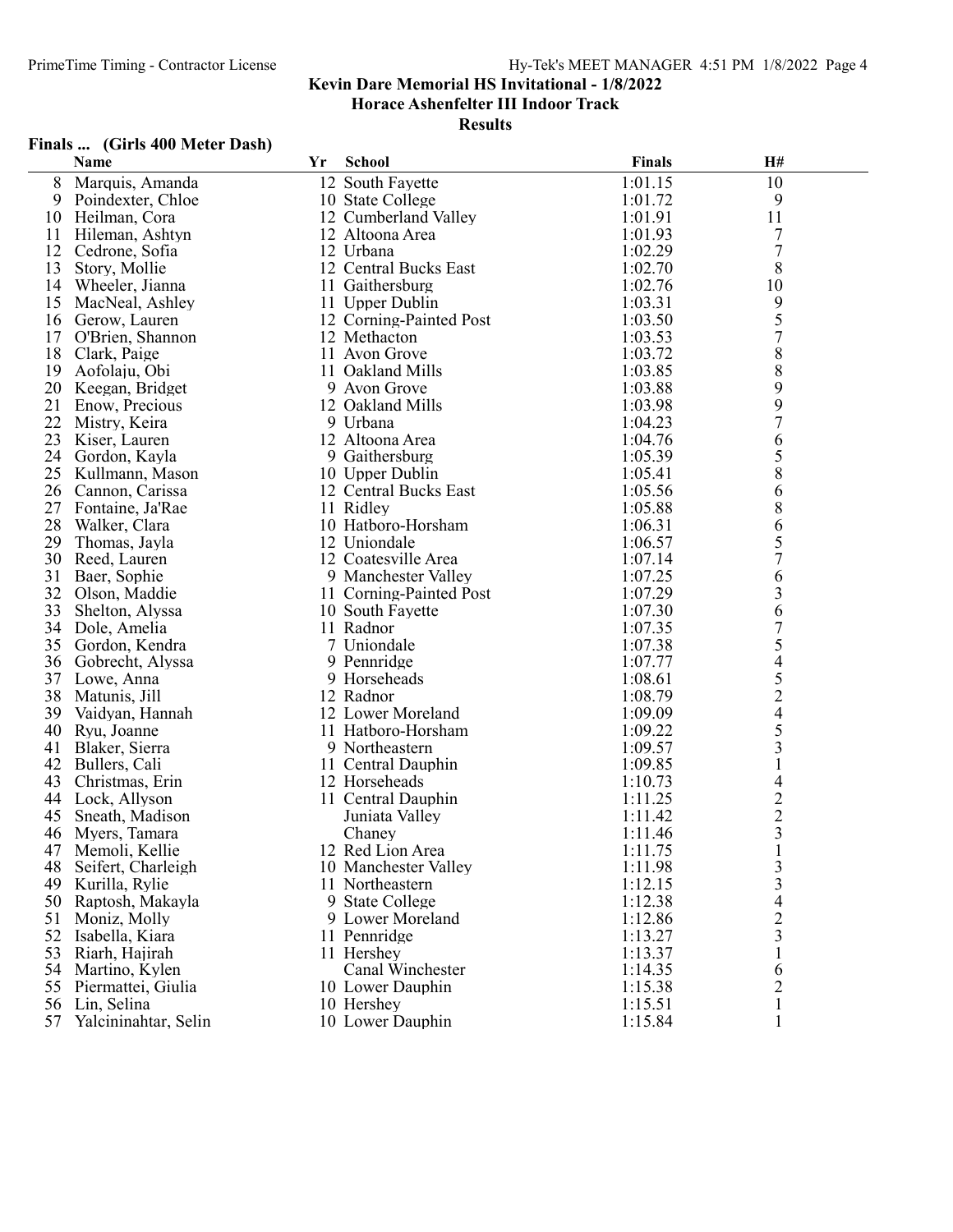Horace Ashenfelter III Indoor Track

Results

# Finals ... (Girls 400 Meter Dash)

|    | Name                 | Yr | <b>School</b>           | <b>Finals</b> | H#                       |  |
|----|----------------------|----|-------------------------|---------------|--------------------------|--|
| 8  | Marquis, Amanda      |    | 12 South Fayette        | 1:01.15       | 10                       |  |
| 9  | Poindexter, Chloe    |    | 10 State College        | 1:01.72       | 9                        |  |
| 10 | Heilman, Cora        |    | 12 Cumberland Valley    | 1:01.91       | 11                       |  |
| 11 | Hileman, Ashtyn      |    | 12 Altoona Area         | 1:01.93       | 7                        |  |
| 12 | Cedrone, Sofia       |    | 12 Urbana               | 1:02.29       | 7                        |  |
| 13 | Story, Mollie        |    | 12 Central Bucks East   | 1:02.70       | $8\,$                    |  |
| 14 | Wheeler, Jianna      |    | 11 Gaithersburg         | 1:02.76       | 10                       |  |
| 15 | MacNeal, Ashley      |    | 11 Upper Dublin         | 1:03.31       | 9                        |  |
| 16 | Gerow, Lauren        |    | 12 Corning-Painted Post | 1:03.50       | 5                        |  |
| 17 | O'Brien, Shannon     |    | 12 Methacton            | 1:03.53       | $\overline{7}$           |  |
| 18 | Clark, Paige         |    | 11 Avon Grove           | 1:03.72       | $8\,$                    |  |
| 19 | Aofolaju, Obi        |    | 11 Oakland Mills        | 1:03.85       | $8\,$                    |  |
| 20 | Keegan, Bridget      |    | 9 Avon Grove            | 1:03.88       | 9                        |  |
| 21 | Enow, Precious       |    | 12 Oakland Mills        | 1:03.98       | 9                        |  |
| 22 | Mistry, Keira        |    | 9 Urbana                | 1:04.23       | $\overline{7}$           |  |
| 23 | Kiser, Lauren        |    | 12 Altoona Area         | 1:04.76       | 6                        |  |
| 24 | Gordon, Kayla        |    | 9 Gaithersburg          | 1:05.39       | 5                        |  |
| 25 | Kullmann, Mason      |    | 10 Upper Dublin         | 1:05.41       | $\,$ $\,$                |  |
| 26 | Cannon, Carissa      |    | 12 Central Bucks East   | 1:05.56       | 6                        |  |
| 27 | Fontaine, Ja'Rae     |    | 11 Ridley               | 1:05.88       | $8\,$                    |  |
| 28 | Walker, Clara        |    | 10 Hatboro-Horsham      | 1:06.31       |                          |  |
| 29 | Thomas, Jayla        |    | 12 Uniondale            | 1:06.57       | 6<br>5<br>7              |  |
| 30 | Reed, Lauren         |    | 12 Coatesville Area     | 1:07.14       |                          |  |
| 31 | Baer, Sophie         |    | 9 Manchester Valley     | 1:07.25       | 6                        |  |
| 32 | Olson, Maddie        |    | 11 Corning-Painted Post | 1:07.29       | 3                        |  |
| 33 | Shelton, Alyssa      |    | 10 South Fayette        | 1:07.30       | $\boldsymbol{6}$         |  |
| 34 | Dole, Amelia         |    | 11 Radnor               | 1:07.35       | $\overline{7}$           |  |
| 35 | Gordon, Kendra       |    | 7 Uniondale             | 1:07.38       | 5                        |  |
| 36 | Gobrecht, Alyssa     |    | 9 Pennridge             | 1:07.77       | $\overline{4}$           |  |
| 37 | Lowe, Anna           |    | 9 Horseheads            | 1:08.61       | 5                        |  |
| 38 | Matunis, Jill        |    | 12 Radnor               | 1:08.79       | $\overline{2}$           |  |
| 39 | Vaidyan, Hannah      |    | 12 Lower Moreland       | 1:09.09       | $\overline{\mathcal{A}}$ |  |
| 40 | Ryu, Joanne          |    | 11 Hatboro-Horsham      | 1:09.22       | 5                        |  |
| 41 | Blaker, Sierra       |    | 9 Northeastern          | 1:09.57       | 3                        |  |
| 42 | Bullers, Cali        |    | 11 Central Dauphin      | 1:09.85       | 1                        |  |
| 43 | Christmas, Erin      |    | 12 Horseheads           | 1:10.73       | 4                        |  |
| 44 | Lock, Allyson        |    | 11 Central Dauphin      | 1:11.25       | $\frac{2}{2}$            |  |
| 45 | Sneath, Madison      |    | Juniata Valley          | 1:11.42       |                          |  |
| 46 | Myers, Tamara        |    | Chaney                  | 1:11.46       | $\overline{\mathbf{3}}$  |  |
|    | 47 Memoli, Kellie    |    | 12 Red Lion Area        | 1:11.75       | $\mathbf{1}$             |  |
| 48 | Seifert, Charleigh   |    | 10 Manchester Valley    | 1:11.98       | 3                        |  |
| 49 | Kurilla, Rylie       |    | 11 Northeastern         | 1:12.15       | 3                        |  |
| 50 | Raptosh, Makayla     |    | 9 State College         | 1:12.38       | 4                        |  |
| 51 | Moniz, Molly         |    | 9 Lower Moreland        | 1:12.86       | $\overline{c}$           |  |
| 52 | Isabella, Kiara      |    | 11 Pennridge            | 1:13.27       | 3                        |  |
| 53 | Riarh, Hajirah       |    | 11 Hershey              | 1:13.37       | 1                        |  |
| 54 | Martino, Kylen       |    | Canal Winchester        | 1:14.35       | 6                        |  |
| 55 | Piermattei, Giulia   |    | 10 Lower Dauphin        | 1:15.38       | $\overline{c}$           |  |
| 56 | Lin, Selina          |    | 10 Hershey              | 1:15.51       | 1                        |  |
| 57 | Yalcininahtar, Selin |    | 10 Lower Dauphin        | 1:15.84       | 1                        |  |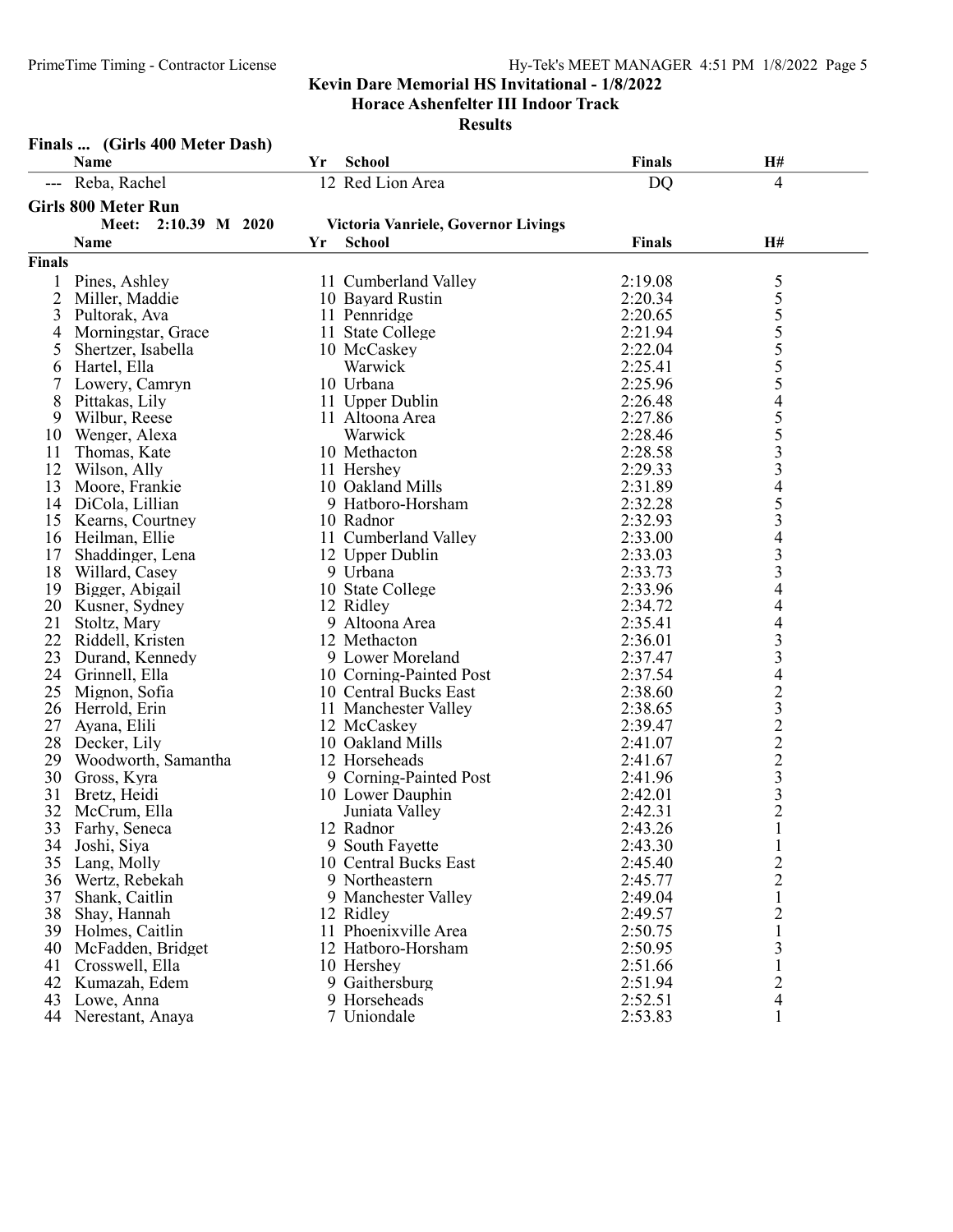|                | Finals  (Girls 400 Meter Dash) |    |                                     |               |                                                |  |
|----------------|--------------------------------|----|-------------------------------------|---------------|------------------------------------------------|--|
|                | Name                           | Yr | School                              | <b>Finals</b> | H#                                             |  |
|                | Reba, Rachel                   |    | 12 Red Lion Area                    | <b>DQ</b>     | 4                                              |  |
|                | <b>Girls 800 Meter Run</b>     |    |                                     |               |                                                |  |
|                | Meet:<br>2:10.39 M 2020        |    | Victoria Vanriele, Governor Livings |               |                                                |  |
|                | Name                           | Yr | <b>School</b>                       | <b>Finals</b> | H#                                             |  |
| <b>Finals</b>  |                                |    |                                     |               |                                                |  |
| 1              | Pines, Ashley                  |    | 11 Cumberland Valley                | 2:19.08       |                                                |  |
| $\overline{2}$ | Miller, Maddie                 |    | 10 Bayard Rustin                    | 2:20.34       | $\frac{5}{5}$<br>$\frac{5}{5}$                 |  |
| 3              | Pultorak, Ava                  |    | 11 Pennridge                        | 2:20.65       |                                                |  |
| 4              | Morningstar, Grace             |    | 11 State College                    | 2:21.94       |                                                |  |
| 5              | Shertzer, Isabella             |    | 10 McCaskey                         | 2:22.04       |                                                |  |
| 6              | Hartel, Ella                   |    | Warwick                             | 2:25.41       | 555455                                         |  |
| 7              | Lowery, Camryn                 |    | 10 Urbana                           | 2:25.96       |                                                |  |
| 8              | Pittakas, Lily                 |    | 11 Upper Dublin                     | 2:26.48       |                                                |  |
| 9              | Wilbur, Reese                  |    | 11 Altoona Area                     | 2:27.86       |                                                |  |
| 10             | Wenger, Alexa                  |    | Warwick                             | 2:28.46       |                                                |  |
| 11             | Thomas, Kate                   |    | 10 Methacton                        | 2:28.58       | $\overline{\mathbf{3}}$                        |  |
| 12             | Wilson, Ally                   |    | 11 Hershey                          | 2:29.33       | 3                                              |  |
| 13             | Moore, Frankie                 |    | 10 Oakland Mills                    | 2:31.89       | $\overline{\mathcal{A}}$                       |  |
|                | 14 DiCola, Lillian             |    | 9 Hatboro-Horsham                   | 2:32.28       |                                                |  |
| 15             | Kearns, Courtney               |    | 10 Radnor                           | 2:32.93       | $\frac{5}{3}$                                  |  |
| 16             | Heilman, Ellie                 |    | 11 Cumberland Valley                | 2:33.00       | $\overline{\mathcal{A}}$                       |  |
| 17             | Shaddinger, Lena               |    | 12 Upper Dublin                     | 2:33.03       | 3                                              |  |
| 18             | Willard, Casey                 |    | 9 Urbana                            | 2:33.73       | $\mathfrak{Z}$                                 |  |
| 19             | Bigger, Abigail                |    | 10 State College                    | 2:33.96       | 4                                              |  |
| 20             | Kusner, Sydney                 |    | 12 Ridley                           | 2:34.72       | 4                                              |  |
| 21             | Stoltz, Mary                   |    | 9 Altoona Area                      | 2:35.41       | 4                                              |  |
| 22             | Riddell, Kristen               |    | 12 Methacton                        | 2:36.01       | 3                                              |  |
| 23             | Durand, Kennedy                |    | 9 Lower Moreland                    | 2:37.47       | 3                                              |  |
| 24             | Grinnell, Ella                 |    | 10 Corning-Painted Post             | 2:37.54       | 4                                              |  |
| 25             | Mignon, Sofia                  |    | 10 Central Bucks East               | 2:38.60       |                                                |  |
| 26             | Herrold, Erin                  |    | 11 Manchester Valley                | 2:38.65       |                                                |  |
| 27             | Ayana, Elili                   |    | 12 McCaskey                         | 2:39.47       |                                                |  |
| 28             | Decker, Lily                   |    | 10 Oakland Mills                    | 2:41.07       | $\begin{array}{c}\n23 \\ 22 \\ 2\n\end{array}$ |  |
| 29             | Woodworth, Samantha            |    | 12 Horseheads                       | 2:41.67       |                                                |  |
| 30             | Gross, Kyra                    |    | 9 Corning-Painted Post              | 2:41.96       | $\overline{\mathbf{3}}$                        |  |
| 31             | Bretz, Heidi                   |    | 10 Lower Dauphin                    | 2:42.01       | $\frac{3}{2}$                                  |  |
| 32             | McCrum, Ella                   |    | Juniata Valley                      | 2:42.31       |                                                |  |
| 33             | Farhy, Seneca                  |    | 12 Radnor                           | 2:43.26       | 1                                              |  |
| 34             | Joshi, Siya                    |    | 9 South Fayette                     | 2:43.30       | $\mathbf{1}$                                   |  |
| 35             | Lang, Molly                    |    | 10 Central Bucks East               | 2:45.40       | $\overline{2}$                                 |  |
| 36             | Wertz, Rebekah                 |    | 9 Northeastern                      | 2:45.77       | $\overline{c}$                                 |  |
| 37             | Shank, Caitlin                 |    | 9 Manchester Valley                 | 2:49.04       | $\mathbf{1}$                                   |  |
| 38             | Shay, Hannah                   |    | 12 Ridley                           | 2:49.57       | 2                                              |  |
| 39             | Holmes, Caitlin                |    | 11 Phoenixville Area                | 2:50.75       | $\mathbf{1}$                                   |  |
| 40             | McFadden, Bridget              |    | 12 Hatboro-Horsham                  | 2:50.95       | 3                                              |  |
| 41             | Crosswell, Ella                |    | 10 Hershey                          | 2:51.66       | $\mathbf{1}$                                   |  |
| 42             | Kumazah, Edem                  |    | 9 Gaithersburg                      | 2:51.94       | $\overline{c}$                                 |  |
| 43             | Lowe, Anna                     |    | 9 Horseheads                        | 2:52.51       | 4                                              |  |
|                | 44 Nerestant, Anaya            |    | 7 Uniondale                         | 2:53.83       |                                                |  |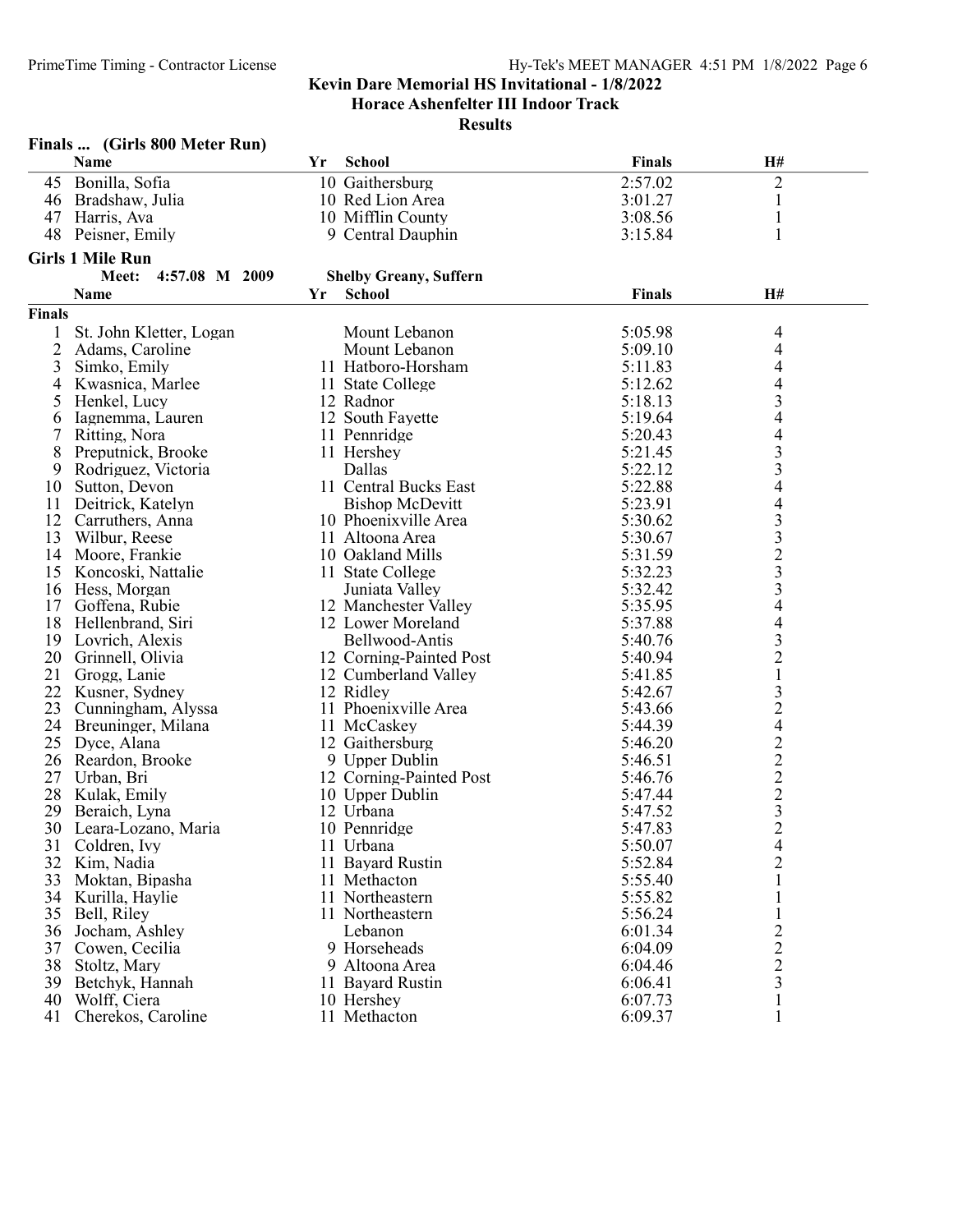Horace Ashenfelter III Indoor Track

| <b>Finals</b><br>Name<br>Yr<br><b>School</b><br>H#<br>Bonilla, Sofia<br>2:57.02<br>2<br>10 Gaithersburg<br>45<br>46<br>Bradshaw, Julia<br>10 Red Lion Area<br>3:01.27<br>$\mathbf{1}$<br>10 Mifflin County<br>47<br>Harris, Ava<br>3:08.56<br>$\mathbf{1}$<br>$\mathbf{1}$<br>48<br>3:15.84<br>Peisner, Emily<br>9 Central Dauphin<br><b>Girls 1 Mile Run</b><br>Meet:<br>4:57.08 M 2009<br><b>Shelby Greany, Suffern</b><br><b>School</b><br><b>Finals</b><br>H#<br><b>Name</b><br>Yr<br><b>Finals</b><br>St. John Kletter, Logan<br>Mount Lebanon<br>5:05.98<br>4<br>$\overline{c}$<br>Mount Lebanon<br>4<br>Adams, Caroline<br>5:09.10<br>4<br>11 Hatboro-Horsham<br>3<br>Simko, Emily<br>5:11.83<br>4<br>5:12.62<br>4<br>Kwasnica, Marlee<br>11 State College<br>3<br>5<br>12 Radnor<br>5:18.13<br>Henkel, Lucy<br>4<br>5:19.64<br>Iagnemma, Lauren<br>12 South Fayette<br>6<br>4<br>7<br>11 Pennridge<br>5:20.43<br>Ritting, Nora<br>3<br>8<br>Preputnick, Brooke<br>5:21.45<br>11 Hershey<br>3<br>Dallas<br>5:22.12<br>Rodriguez, Victoria<br>9<br>5:22.88<br>4<br>10<br>11 Central Bucks East<br>Sutton, Devon<br>5:23.91<br>4<br>11<br><b>Bishop McDevitt</b><br>Deitrick, Katelyn<br>3<br>12 Carruthers, Anna<br>5:30.62<br>10 Phoenixville Area<br>3<br>13<br>Wilbur, Reese<br>5:30.67<br>11 Altoona Area<br>$\frac{2}{3}$<br>Moore, Frankie<br>5:31.59<br>14<br>10 Oakland Mills<br>15<br>5:32.23<br>Koncoski, Nattalie<br>11 State College<br>$\overline{\mathbf{3}}$<br>Hess, Morgan<br>Juniata Valley<br>5:32.42<br>16<br>4<br>17<br>Goffena, Rubie<br>12 Manchester Valley<br>5:35.95<br>4<br>18<br>5:37.88<br>Hellenbrand, Siri<br>12 Lower Moreland<br>3<br>19<br>Lovrich, Alexis<br>Bellwood-Antis<br>5:40.76<br>$\overline{c}$<br>20<br>Grinnell, Olivia<br>12 Corning-Painted Post<br>5:40.94<br>$\mathbf 1$<br>21<br>Grogg, Lanie<br>5:41.85<br>12 Cumberland Valley<br>$\mathfrak{Z}$<br>22<br>12 Ridley<br>5:42.67<br>Kusner, Sydney<br>$\frac{2}{4}$<br>23<br>11 Phoenixville Area<br>Cunningham, Alyssa<br>5:43.66<br>24 Breuninger, Milana<br>11 McCaskey<br>5:44.39<br>$\overline{c}$<br>25<br>Dyce, Alana<br>12 Gaithersburg<br>5:46.20<br>$\frac{2}{2}$<br>26<br>Reardon, Brooke<br>9 Upper Dublin<br>5:46.51<br>27<br>Urban, Bri<br>12 Corning-Painted Post<br>5:46.76<br>28<br>Kulak, Emily<br>10 Upper Dublin<br>5:47.44<br>$\overline{\mathbf{3}}$<br>12 Urbana<br>29<br>Beraich, Lyna<br>5:47.52<br>$\overline{2}$<br>5:47.83<br>30 Leara-Lozano, Maria<br>10 Pennridge<br>31<br>5:50.07<br>4<br>Coldren, Ivy<br>11 Urbana<br>$\overline{c}$<br>32<br>11 Bayard Rustin<br>5:52.84<br>Kim, Nadia<br>33<br>5:55.40<br>Moktan, Bipasha<br>11 Methacton<br>1<br>34<br>Kurilla, Haylie<br>11 Northeastern<br>5:55.82<br>35<br>Bell, Riley<br>11 Northeastern<br>5:56.24<br>1<br>$\overline{\mathbf{c}}$<br>36<br>Jocham, Ashley<br>Lebanon<br>6:01.34<br>$\overline{c}$<br>37<br>Cowen, Cecilia<br>9 Horseheads<br>6:04.09<br>$\overline{c}$<br>38<br>Stoltz, Mary<br>9 Altoona Area<br>6:04.46<br>3<br>39<br>Betchyk, Hannah<br>11 Bayard Rustin<br>6:06.41<br>40<br>Wolff, Ciera<br>6:07.73<br>10 Hershey<br>1<br>41 Cherekos, Caroline<br>11 Methacton | Finals  (Girls 800 Meter Run) |  |         |  |
|----------------------------------------------------------------------------------------------------------------------------------------------------------------------------------------------------------------------------------------------------------------------------------------------------------------------------------------------------------------------------------------------------------------------------------------------------------------------------------------------------------------------------------------------------------------------------------------------------------------------------------------------------------------------------------------------------------------------------------------------------------------------------------------------------------------------------------------------------------------------------------------------------------------------------------------------------------------------------------------------------------------------------------------------------------------------------------------------------------------------------------------------------------------------------------------------------------------------------------------------------------------------------------------------------------------------------------------------------------------------------------------------------------------------------------------------------------------------------------------------------------------------------------------------------------------------------------------------------------------------------------------------------------------------------------------------------------------------------------------------------------------------------------------------------------------------------------------------------------------------------------------------------------------------------------------------------------------------------------------------------------------------------------------------------------------------------------------------------------------------------------------------------------------------------------------------------------------------------------------------------------------------------------------------------------------------------------------------------------------------------------------------------------------------------------------------------------------------------------------------------------------------------------------------------------------------------------------------------------------------------------------------------------------------------------------------------------------------------------------------------------------------------------------------------------------------------------------------------------------------------------------------------------------------------------------------------------------------------------------------------------------------------------------------------------------------------------------------------------------------------------------------------------------------------------------|-------------------------------|--|---------|--|
|                                                                                                                                                                                                                                                                                                                                                                                                                                                                                                                                                                                                                                                                                                                                                                                                                                                                                                                                                                                                                                                                                                                                                                                                                                                                                                                                                                                                                                                                                                                                                                                                                                                                                                                                                                                                                                                                                                                                                                                                                                                                                                                                                                                                                                                                                                                                                                                                                                                                                                                                                                                                                                                                                                                                                                                                                                                                                                                                                                                                                                                                                                                                                                                        |                               |  |         |  |
|                                                                                                                                                                                                                                                                                                                                                                                                                                                                                                                                                                                                                                                                                                                                                                                                                                                                                                                                                                                                                                                                                                                                                                                                                                                                                                                                                                                                                                                                                                                                                                                                                                                                                                                                                                                                                                                                                                                                                                                                                                                                                                                                                                                                                                                                                                                                                                                                                                                                                                                                                                                                                                                                                                                                                                                                                                                                                                                                                                                                                                                                                                                                                                                        |                               |  |         |  |
|                                                                                                                                                                                                                                                                                                                                                                                                                                                                                                                                                                                                                                                                                                                                                                                                                                                                                                                                                                                                                                                                                                                                                                                                                                                                                                                                                                                                                                                                                                                                                                                                                                                                                                                                                                                                                                                                                                                                                                                                                                                                                                                                                                                                                                                                                                                                                                                                                                                                                                                                                                                                                                                                                                                                                                                                                                                                                                                                                                                                                                                                                                                                                                                        |                               |  |         |  |
|                                                                                                                                                                                                                                                                                                                                                                                                                                                                                                                                                                                                                                                                                                                                                                                                                                                                                                                                                                                                                                                                                                                                                                                                                                                                                                                                                                                                                                                                                                                                                                                                                                                                                                                                                                                                                                                                                                                                                                                                                                                                                                                                                                                                                                                                                                                                                                                                                                                                                                                                                                                                                                                                                                                                                                                                                                                                                                                                                                                                                                                                                                                                                                                        |                               |  |         |  |
|                                                                                                                                                                                                                                                                                                                                                                                                                                                                                                                                                                                                                                                                                                                                                                                                                                                                                                                                                                                                                                                                                                                                                                                                                                                                                                                                                                                                                                                                                                                                                                                                                                                                                                                                                                                                                                                                                                                                                                                                                                                                                                                                                                                                                                                                                                                                                                                                                                                                                                                                                                                                                                                                                                                                                                                                                                                                                                                                                                                                                                                                                                                                                                                        |                               |  |         |  |
|                                                                                                                                                                                                                                                                                                                                                                                                                                                                                                                                                                                                                                                                                                                                                                                                                                                                                                                                                                                                                                                                                                                                                                                                                                                                                                                                                                                                                                                                                                                                                                                                                                                                                                                                                                                                                                                                                                                                                                                                                                                                                                                                                                                                                                                                                                                                                                                                                                                                                                                                                                                                                                                                                                                                                                                                                                                                                                                                                                                                                                                                                                                                                                                        |                               |  |         |  |
|                                                                                                                                                                                                                                                                                                                                                                                                                                                                                                                                                                                                                                                                                                                                                                                                                                                                                                                                                                                                                                                                                                                                                                                                                                                                                                                                                                                                                                                                                                                                                                                                                                                                                                                                                                                                                                                                                                                                                                                                                                                                                                                                                                                                                                                                                                                                                                                                                                                                                                                                                                                                                                                                                                                                                                                                                                                                                                                                                                                                                                                                                                                                                                                        |                               |  |         |  |
|                                                                                                                                                                                                                                                                                                                                                                                                                                                                                                                                                                                                                                                                                                                                                                                                                                                                                                                                                                                                                                                                                                                                                                                                                                                                                                                                                                                                                                                                                                                                                                                                                                                                                                                                                                                                                                                                                                                                                                                                                                                                                                                                                                                                                                                                                                                                                                                                                                                                                                                                                                                                                                                                                                                                                                                                                                                                                                                                                                                                                                                                                                                                                                                        |                               |  |         |  |
|                                                                                                                                                                                                                                                                                                                                                                                                                                                                                                                                                                                                                                                                                                                                                                                                                                                                                                                                                                                                                                                                                                                                                                                                                                                                                                                                                                                                                                                                                                                                                                                                                                                                                                                                                                                                                                                                                                                                                                                                                                                                                                                                                                                                                                                                                                                                                                                                                                                                                                                                                                                                                                                                                                                                                                                                                                                                                                                                                                                                                                                                                                                                                                                        |                               |  |         |  |
|                                                                                                                                                                                                                                                                                                                                                                                                                                                                                                                                                                                                                                                                                                                                                                                                                                                                                                                                                                                                                                                                                                                                                                                                                                                                                                                                                                                                                                                                                                                                                                                                                                                                                                                                                                                                                                                                                                                                                                                                                                                                                                                                                                                                                                                                                                                                                                                                                                                                                                                                                                                                                                                                                                                                                                                                                                                                                                                                                                                                                                                                                                                                                                                        |                               |  |         |  |
|                                                                                                                                                                                                                                                                                                                                                                                                                                                                                                                                                                                                                                                                                                                                                                                                                                                                                                                                                                                                                                                                                                                                                                                                                                                                                                                                                                                                                                                                                                                                                                                                                                                                                                                                                                                                                                                                                                                                                                                                                                                                                                                                                                                                                                                                                                                                                                                                                                                                                                                                                                                                                                                                                                                                                                                                                                                                                                                                                                                                                                                                                                                                                                                        |                               |  |         |  |
|                                                                                                                                                                                                                                                                                                                                                                                                                                                                                                                                                                                                                                                                                                                                                                                                                                                                                                                                                                                                                                                                                                                                                                                                                                                                                                                                                                                                                                                                                                                                                                                                                                                                                                                                                                                                                                                                                                                                                                                                                                                                                                                                                                                                                                                                                                                                                                                                                                                                                                                                                                                                                                                                                                                                                                                                                                                                                                                                                                                                                                                                                                                                                                                        |                               |  |         |  |
|                                                                                                                                                                                                                                                                                                                                                                                                                                                                                                                                                                                                                                                                                                                                                                                                                                                                                                                                                                                                                                                                                                                                                                                                                                                                                                                                                                                                                                                                                                                                                                                                                                                                                                                                                                                                                                                                                                                                                                                                                                                                                                                                                                                                                                                                                                                                                                                                                                                                                                                                                                                                                                                                                                                                                                                                                                                                                                                                                                                                                                                                                                                                                                                        |                               |  |         |  |
|                                                                                                                                                                                                                                                                                                                                                                                                                                                                                                                                                                                                                                                                                                                                                                                                                                                                                                                                                                                                                                                                                                                                                                                                                                                                                                                                                                                                                                                                                                                                                                                                                                                                                                                                                                                                                                                                                                                                                                                                                                                                                                                                                                                                                                                                                                                                                                                                                                                                                                                                                                                                                                                                                                                                                                                                                                                                                                                                                                                                                                                                                                                                                                                        |                               |  |         |  |
|                                                                                                                                                                                                                                                                                                                                                                                                                                                                                                                                                                                                                                                                                                                                                                                                                                                                                                                                                                                                                                                                                                                                                                                                                                                                                                                                                                                                                                                                                                                                                                                                                                                                                                                                                                                                                                                                                                                                                                                                                                                                                                                                                                                                                                                                                                                                                                                                                                                                                                                                                                                                                                                                                                                                                                                                                                                                                                                                                                                                                                                                                                                                                                                        |                               |  |         |  |
|                                                                                                                                                                                                                                                                                                                                                                                                                                                                                                                                                                                                                                                                                                                                                                                                                                                                                                                                                                                                                                                                                                                                                                                                                                                                                                                                                                                                                                                                                                                                                                                                                                                                                                                                                                                                                                                                                                                                                                                                                                                                                                                                                                                                                                                                                                                                                                                                                                                                                                                                                                                                                                                                                                                                                                                                                                                                                                                                                                                                                                                                                                                                                                                        |                               |  |         |  |
|                                                                                                                                                                                                                                                                                                                                                                                                                                                                                                                                                                                                                                                                                                                                                                                                                                                                                                                                                                                                                                                                                                                                                                                                                                                                                                                                                                                                                                                                                                                                                                                                                                                                                                                                                                                                                                                                                                                                                                                                                                                                                                                                                                                                                                                                                                                                                                                                                                                                                                                                                                                                                                                                                                                                                                                                                                                                                                                                                                                                                                                                                                                                                                                        |                               |  |         |  |
|                                                                                                                                                                                                                                                                                                                                                                                                                                                                                                                                                                                                                                                                                                                                                                                                                                                                                                                                                                                                                                                                                                                                                                                                                                                                                                                                                                                                                                                                                                                                                                                                                                                                                                                                                                                                                                                                                                                                                                                                                                                                                                                                                                                                                                                                                                                                                                                                                                                                                                                                                                                                                                                                                                                                                                                                                                                                                                                                                                                                                                                                                                                                                                                        |                               |  |         |  |
|                                                                                                                                                                                                                                                                                                                                                                                                                                                                                                                                                                                                                                                                                                                                                                                                                                                                                                                                                                                                                                                                                                                                                                                                                                                                                                                                                                                                                                                                                                                                                                                                                                                                                                                                                                                                                                                                                                                                                                                                                                                                                                                                                                                                                                                                                                                                                                                                                                                                                                                                                                                                                                                                                                                                                                                                                                                                                                                                                                                                                                                                                                                                                                                        |                               |  |         |  |
|                                                                                                                                                                                                                                                                                                                                                                                                                                                                                                                                                                                                                                                                                                                                                                                                                                                                                                                                                                                                                                                                                                                                                                                                                                                                                                                                                                                                                                                                                                                                                                                                                                                                                                                                                                                                                                                                                                                                                                                                                                                                                                                                                                                                                                                                                                                                                                                                                                                                                                                                                                                                                                                                                                                                                                                                                                                                                                                                                                                                                                                                                                                                                                                        |                               |  |         |  |
|                                                                                                                                                                                                                                                                                                                                                                                                                                                                                                                                                                                                                                                                                                                                                                                                                                                                                                                                                                                                                                                                                                                                                                                                                                                                                                                                                                                                                                                                                                                                                                                                                                                                                                                                                                                                                                                                                                                                                                                                                                                                                                                                                                                                                                                                                                                                                                                                                                                                                                                                                                                                                                                                                                                                                                                                                                                                                                                                                                                                                                                                                                                                                                                        |                               |  |         |  |
|                                                                                                                                                                                                                                                                                                                                                                                                                                                                                                                                                                                                                                                                                                                                                                                                                                                                                                                                                                                                                                                                                                                                                                                                                                                                                                                                                                                                                                                                                                                                                                                                                                                                                                                                                                                                                                                                                                                                                                                                                                                                                                                                                                                                                                                                                                                                                                                                                                                                                                                                                                                                                                                                                                                                                                                                                                                                                                                                                                                                                                                                                                                                                                                        |                               |  |         |  |
|                                                                                                                                                                                                                                                                                                                                                                                                                                                                                                                                                                                                                                                                                                                                                                                                                                                                                                                                                                                                                                                                                                                                                                                                                                                                                                                                                                                                                                                                                                                                                                                                                                                                                                                                                                                                                                                                                                                                                                                                                                                                                                                                                                                                                                                                                                                                                                                                                                                                                                                                                                                                                                                                                                                                                                                                                                                                                                                                                                                                                                                                                                                                                                                        |                               |  |         |  |
|                                                                                                                                                                                                                                                                                                                                                                                                                                                                                                                                                                                                                                                                                                                                                                                                                                                                                                                                                                                                                                                                                                                                                                                                                                                                                                                                                                                                                                                                                                                                                                                                                                                                                                                                                                                                                                                                                                                                                                                                                                                                                                                                                                                                                                                                                                                                                                                                                                                                                                                                                                                                                                                                                                                                                                                                                                                                                                                                                                                                                                                                                                                                                                                        |                               |  |         |  |
|                                                                                                                                                                                                                                                                                                                                                                                                                                                                                                                                                                                                                                                                                                                                                                                                                                                                                                                                                                                                                                                                                                                                                                                                                                                                                                                                                                                                                                                                                                                                                                                                                                                                                                                                                                                                                                                                                                                                                                                                                                                                                                                                                                                                                                                                                                                                                                                                                                                                                                                                                                                                                                                                                                                                                                                                                                                                                                                                                                                                                                                                                                                                                                                        |                               |  |         |  |
|                                                                                                                                                                                                                                                                                                                                                                                                                                                                                                                                                                                                                                                                                                                                                                                                                                                                                                                                                                                                                                                                                                                                                                                                                                                                                                                                                                                                                                                                                                                                                                                                                                                                                                                                                                                                                                                                                                                                                                                                                                                                                                                                                                                                                                                                                                                                                                                                                                                                                                                                                                                                                                                                                                                                                                                                                                                                                                                                                                                                                                                                                                                                                                                        |                               |  |         |  |
|                                                                                                                                                                                                                                                                                                                                                                                                                                                                                                                                                                                                                                                                                                                                                                                                                                                                                                                                                                                                                                                                                                                                                                                                                                                                                                                                                                                                                                                                                                                                                                                                                                                                                                                                                                                                                                                                                                                                                                                                                                                                                                                                                                                                                                                                                                                                                                                                                                                                                                                                                                                                                                                                                                                                                                                                                                                                                                                                                                                                                                                                                                                                                                                        |                               |  |         |  |
|                                                                                                                                                                                                                                                                                                                                                                                                                                                                                                                                                                                                                                                                                                                                                                                                                                                                                                                                                                                                                                                                                                                                                                                                                                                                                                                                                                                                                                                                                                                                                                                                                                                                                                                                                                                                                                                                                                                                                                                                                                                                                                                                                                                                                                                                                                                                                                                                                                                                                                                                                                                                                                                                                                                                                                                                                                                                                                                                                                                                                                                                                                                                                                                        |                               |  |         |  |
|                                                                                                                                                                                                                                                                                                                                                                                                                                                                                                                                                                                                                                                                                                                                                                                                                                                                                                                                                                                                                                                                                                                                                                                                                                                                                                                                                                                                                                                                                                                                                                                                                                                                                                                                                                                                                                                                                                                                                                                                                                                                                                                                                                                                                                                                                                                                                                                                                                                                                                                                                                                                                                                                                                                                                                                                                                                                                                                                                                                                                                                                                                                                                                                        |                               |  |         |  |
|                                                                                                                                                                                                                                                                                                                                                                                                                                                                                                                                                                                                                                                                                                                                                                                                                                                                                                                                                                                                                                                                                                                                                                                                                                                                                                                                                                                                                                                                                                                                                                                                                                                                                                                                                                                                                                                                                                                                                                                                                                                                                                                                                                                                                                                                                                                                                                                                                                                                                                                                                                                                                                                                                                                                                                                                                                                                                                                                                                                                                                                                                                                                                                                        |                               |  |         |  |
|                                                                                                                                                                                                                                                                                                                                                                                                                                                                                                                                                                                                                                                                                                                                                                                                                                                                                                                                                                                                                                                                                                                                                                                                                                                                                                                                                                                                                                                                                                                                                                                                                                                                                                                                                                                                                                                                                                                                                                                                                                                                                                                                                                                                                                                                                                                                                                                                                                                                                                                                                                                                                                                                                                                                                                                                                                                                                                                                                                                                                                                                                                                                                                                        |                               |  |         |  |
|                                                                                                                                                                                                                                                                                                                                                                                                                                                                                                                                                                                                                                                                                                                                                                                                                                                                                                                                                                                                                                                                                                                                                                                                                                                                                                                                                                                                                                                                                                                                                                                                                                                                                                                                                                                                                                                                                                                                                                                                                                                                                                                                                                                                                                                                                                                                                                                                                                                                                                                                                                                                                                                                                                                                                                                                                                                                                                                                                                                                                                                                                                                                                                                        |                               |  |         |  |
|                                                                                                                                                                                                                                                                                                                                                                                                                                                                                                                                                                                                                                                                                                                                                                                                                                                                                                                                                                                                                                                                                                                                                                                                                                                                                                                                                                                                                                                                                                                                                                                                                                                                                                                                                                                                                                                                                                                                                                                                                                                                                                                                                                                                                                                                                                                                                                                                                                                                                                                                                                                                                                                                                                                                                                                                                                                                                                                                                                                                                                                                                                                                                                                        |                               |  |         |  |
|                                                                                                                                                                                                                                                                                                                                                                                                                                                                                                                                                                                                                                                                                                                                                                                                                                                                                                                                                                                                                                                                                                                                                                                                                                                                                                                                                                                                                                                                                                                                                                                                                                                                                                                                                                                                                                                                                                                                                                                                                                                                                                                                                                                                                                                                                                                                                                                                                                                                                                                                                                                                                                                                                                                                                                                                                                                                                                                                                                                                                                                                                                                                                                                        |                               |  |         |  |
|                                                                                                                                                                                                                                                                                                                                                                                                                                                                                                                                                                                                                                                                                                                                                                                                                                                                                                                                                                                                                                                                                                                                                                                                                                                                                                                                                                                                                                                                                                                                                                                                                                                                                                                                                                                                                                                                                                                                                                                                                                                                                                                                                                                                                                                                                                                                                                                                                                                                                                                                                                                                                                                                                                                                                                                                                                                                                                                                                                                                                                                                                                                                                                                        |                               |  |         |  |
|                                                                                                                                                                                                                                                                                                                                                                                                                                                                                                                                                                                                                                                                                                                                                                                                                                                                                                                                                                                                                                                                                                                                                                                                                                                                                                                                                                                                                                                                                                                                                                                                                                                                                                                                                                                                                                                                                                                                                                                                                                                                                                                                                                                                                                                                                                                                                                                                                                                                                                                                                                                                                                                                                                                                                                                                                                                                                                                                                                                                                                                                                                                                                                                        |                               |  |         |  |
|                                                                                                                                                                                                                                                                                                                                                                                                                                                                                                                                                                                                                                                                                                                                                                                                                                                                                                                                                                                                                                                                                                                                                                                                                                                                                                                                                                                                                                                                                                                                                                                                                                                                                                                                                                                                                                                                                                                                                                                                                                                                                                                                                                                                                                                                                                                                                                                                                                                                                                                                                                                                                                                                                                                                                                                                                                                                                                                                                                                                                                                                                                                                                                                        |                               |  |         |  |
|                                                                                                                                                                                                                                                                                                                                                                                                                                                                                                                                                                                                                                                                                                                                                                                                                                                                                                                                                                                                                                                                                                                                                                                                                                                                                                                                                                                                                                                                                                                                                                                                                                                                                                                                                                                                                                                                                                                                                                                                                                                                                                                                                                                                                                                                                                                                                                                                                                                                                                                                                                                                                                                                                                                                                                                                                                                                                                                                                                                                                                                                                                                                                                                        |                               |  |         |  |
|                                                                                                                                                                                                                                                                                                                                                                                                                                                                                                                                                                                                                                                                                                                                                                                                                                                                                                                                                                                                                                                                                                                                                                                                                                                                                                                                                                                                                                                                                                                                                                                                                                                                                                                                                                                                                                                                                                                                                                                                                                                                                                                                                                                                                                                                                                                                                                                                                                                                                                                                                                                                                                                                                                                                                                                                                                                                                                                                                                                                                                                                                                                                                                                        |                               |  |         |  |
|                                                                                                                                                                                                                                                                                                                                                                                                                                                                                                                                                                                                                                                                                                                                                                                                                                                                                                                                                                                                                                                                                                                                                                                                                                                                                                                                                                                                                                                                                                                                                                                                                                                                                                                                                                                                                                                                                                                                                                                                                                                                                                                                                                                                                                                                                                                                                                                                                                                                                                                                                                                                                                                                                                                                                                                                                                                                                                                                                                                                                                                                                                                                                                                        |                               |  |         |  |
|                                                                                                                                                                                                                                                                                                                                                                                                                                                                                                                                                                                                                                                                                                                                                                                                                                                                                                                                                                                                                                                                                                                                                                                                                                                                                                                                                                                                                                                                                                                                                                                                                                                                                                                                                                                                                                                                                                                                                                                                                                                                                                                                                                                                                                                                                                                                                                                                                                                                                                                                                                                                                                                                                                                                                                                                                                                                                                                                                                                                                                                                                                                                                                                        |                               |  |         |  |
|                                                                                                                                                                                                                                                                                                                                                                                                                                                                                                                                                                                                                                                                                                                                                                                                                                                                                                                                                                                                                                                                                                                                                                                                                                                                                                                                                                                                                                                                                                                                                                                                                                                                                                                                                                                                                                                                                                                                                                                                                                                                                                                                                                                                                                                                                                                                                                                                                                                                                                                                                                                                                                                                                                                                                                                                                                                                                                                                                                                                                                                                                                                                                                                        |                               |  |         |  |
|                                                                                                                                                                                                                                                                                                                                                                                                                                                                                                                                                                                                                                                                                                                                                                                                                                                                                                                                                                                                                                                                                                                                                                                                                                                                                                                                                                                                                                                                                                                                                                                                                                                                                                                                                                                                                                                                                                                                                                                                                                                                                                                                                                                                                                                                                                                                                                                                                                                                                                                                                                                                                                                                                                                                                                                                                                                                                                                                                                                                                                                                                                                                                                                        |                               |  |         |  |
|                                                                                                                                                                                                                                                                                                                                                                                                                                                                                                                                                                                                                                                                                                                                                                                                                                                                                                                                                                                                                                                                                                                                                                                                                                                                                                                                                                                                                                                                                                                                                                                                                                                                                                                                                                                                                                                                                                                                                                                                                                                                                                                                                                                                                                                                                                                                                                                                                                                                                                                                                                                                                                                                                                                                                                                                                                                                                                                                                                                                                                                                                                                                                                                        |                               |  |         |  |
|                                                                                                                                                                                                                                                                                                                                                                                                                                                                                                                                                                                                                                                                                                                                                                                                                                                                                                                                                                                                                                                                                                                                                                                                                                                                                                                                                                                                                                                                                                                                                                                                                                                                                                                                                                                                                                                                                                                                                                                                                                                                                                                                                                                                                                                                                                                                                                                                                                                                                                                                                                                                                                                                                                                                                                                                                                                                                                                                                                                                                                                                                                                                                                                        |                               |  |         |  |
|                                                                                                                                                                                                                                                                                                                                                                                                                                                                                                                                                                                                                                                                                                                                                                                                                                                                                                                                                                                                                                                                                                                                                                                                                                                                                                                                                                                                                                                                                                                                                                                                                                                                                                                                                                                                                                                                                                                                                                                                                                                                                                                                                                                                                                                                                                                                                                                                                                                                                                                                                                                                                                                                                                                                                                                                                                                                                                                                                                                                                                                                                                                                                                                        |                               |  |         |  |
|                                                                                                                                                                                                                                                                                                                                                                                                                                                                                                                                                                                                                                                                                                                                                                                                                                                                                                                                                                                                                                                                                                                                                                                                                                                                                                                                                                                                                                                                                                                                                                                                                                                                                                                                                                                                                                                                                                                                                                                                                                                                                                                                                                                                                                                                                                                                                                                                                                                                                                                                                                                                                                                                                                                                                                                                                                                                                                                                                                                                                                                                                                                                                                                        |                               |  |         |  |
|                                                                                                                                                                                                                                                                                                                                                                                                                                                                                                                                                                                                                                                                                                                                                                                                                                                                                                                                                                                                                                                                                                                                                                                                                                                                                                                                                                                                                                                                                                                                                                                                                                                                                                                                                                                                                                                                                                                                                                                                                                                                                                                                                                                                                                                                                                                                                                                                                                                                                                                                                                                                                                                                                                                                                                                                                                                                                                                                                                                                                                                                                                                                                                                        |                               |  |         |  |
|                                                                                                                                                                                                                                                                                                                                                                                                                                                                                                                                                                                                                                                                                                                                                                                                                                                                                                                                                                                                                                                                                                                                                                                                                                                                                                                                                                                                                                                                                                                                                                                                                                                                                                                                                                                                                                                                                                                                                                                                                                                                                                                                                                                                                                                                                                                                                                                                                                                                                                                                                                                                                                                                                                                                                                                                                                                                                                                                                                                                                                                                                                                                                                                        |                               |  | 6:09.37 |  |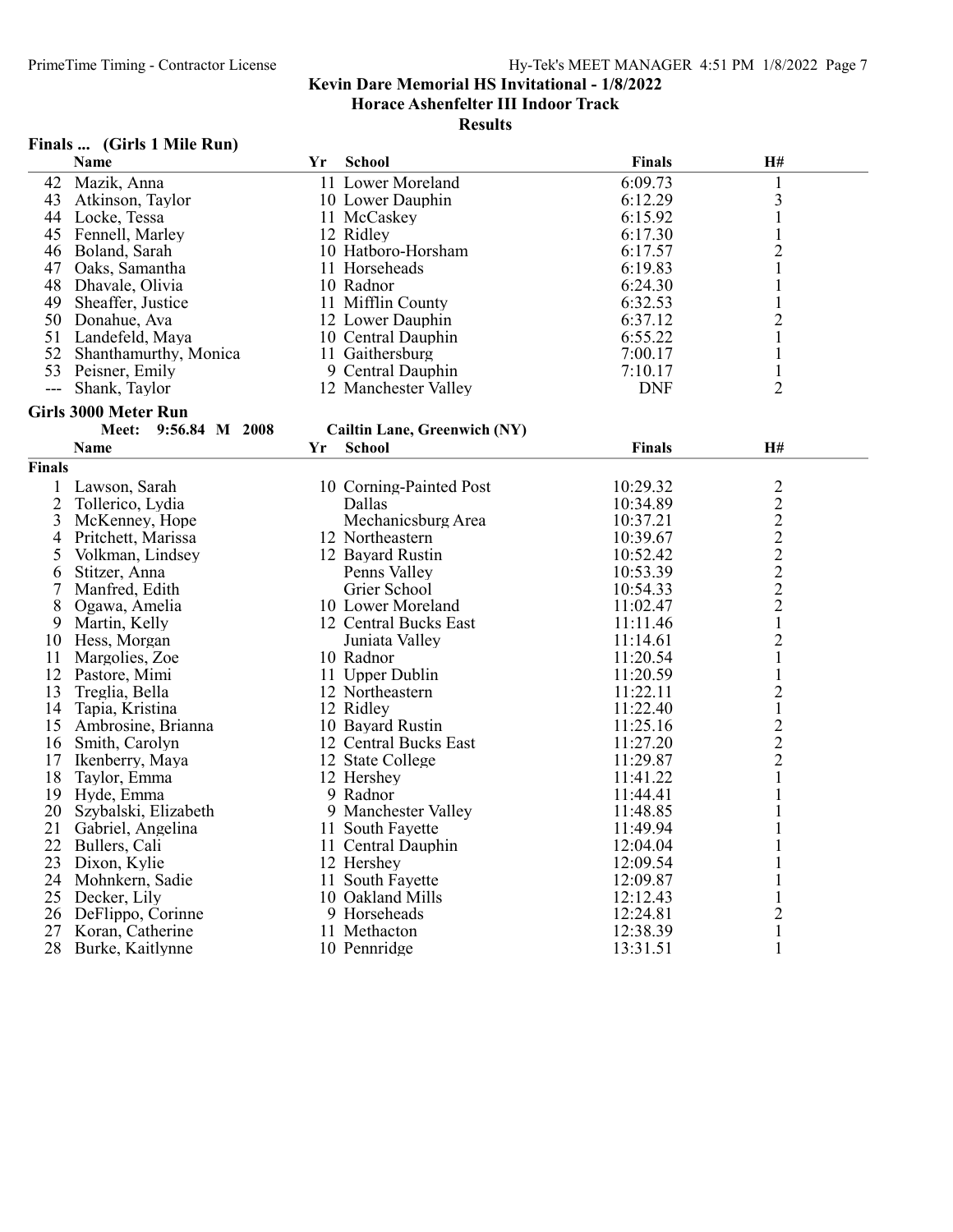Horace Ashenfelter III Indoor Track

Results

# Finals ... (Girls 1 Mile Run)

|                | Name                        | Yr | <b>School</b>                | Finals        | H#             |  |
|----------------|-----------------------------|----|------------------------------|---------------|----------------|--|
| 42             | Mazik, Anna                 |    | 11 Lower Moreland            | 6:09.73       | $\mathbf{1}$   |  |
| 43             | Atkinson, Taylor            |    | 10 Lower Dauphin             | 6:12.29       | 3              |  |
|                | 44 Locke, Tessa             |    | 11 McCaskey                  | 6:15.92       | $\mathbf{1}$   |  |
| 45             | Fennell, Marley             |    | 12 Ridley                    | 6:17.30       | $\mathbf{1}$   |  |
| 46             | Boland, Sarah               |    | 10 Hatboro-Horsham           | 6:17.57       | $\overline{c}$ |  |
| 47             | Oaks, Samantha              |    | 11 Horseheads                | 6:19.83       | $\mathbf{1}$   |  |
| 48             | Dhavale, Olivia             |    | 10 Radnor                    | 6:24.30       | 1              |  |
| 49             | Sheaffer, Justice           |    | 11 Mifflin County            | 6:32.53       | $\mathbf{1}$   |  |
|                | 50 Donahue, Ava             |    | 12 Lower Dauphin             | 6:37.12       | $\overline{2}$ |  |
|                | 51 Landefeld, Maya          |    | 10 Central Dauphin           | 6:55.22       | $\mathbf{1}$   |  |
| 52             | Shanthamurthy, Monica       |    | 11 Gaithersburg              | 7:00.17       | $\mathbf{1}$   |  |
|                | 53 Peisner, Emily           |    | 9 Central Dauphin            | 7:10.17       | $\mathbf{1}$   |  |
| $---$          | Shank, Taylor               |    | 12 Manchester Valley         | <b>DNF</b>    | $\overline{2}$ |  |
|                | <b>Girls 3000 Meter Run</b> |    |                              |               |                |  |
|                | Meet: 9:56.84 M 2008        |    | Cailtin Lane, Greenwich (NY) |               |                |  |
|                | <b>Name</b>                 | Yr | <b>School</b>                | <b>Finals</b> | H#             |  |
| Finals         |                             |    |                              |               |                |  |
| 1              | Lawson, Sarah               |    | 10 Corning-Painted Post      | 10:29.32      | $\overline{2}$ |  |
| $\overline{2}$ | Tollerico, Lydia            |    | Dallas                       | 10:34.89      |                |  |
| 3              | McKenney, Hope              |    | Mechanicsburg Area           | 10:37.21      | 2222222        |  |
| 4              | Pritchett, Marissa          |    | 12 Northeastern              | 10:39.67      |                |  |
| 5              | Volkman, Lindsey            |    | 12 Bayard Rustin             | 10:52.42      |                |  |
| 6              | Stitzer, Anna               |    | Penns Valley                 | 10:53.39      |                |  |
| 7              | Manfred, Edith              |    | Grier School                 | 10:54.33      |                |  |
| 8              | Ogawa, Amelia               |    | 10 Lower Moreland            | 11:02.47      |                |  |
| 9              | Martin, Kelly               |    | 12 Central Bucks East        | 11:11.46      | $\mathbf 1$    |  |
| 10             | Hess, Morgan                |    | Juniata Valley               | 11:14.61      | $\overline{c}$ |  |
| 11             | Margolies, Zoe              |    | 10 Radnor                    | 11:20.54      | $\mathbf{1}$   |  |
|                | 12 Pastore, Mimi            |    | 11 Upper Dublin              | 11:20.59      | $\mathbf{1}$   |  |
| 13             | Treglia, Bella              |    | 12 Northeastern              | 11:22.11      | $\overline{2}$ |  |
| 14             | Tapia, Kristina             |    | 12 Ridley                    | 11:22.40      | $\mathbf{1}$   |  |
| 15             | Ambrosine, Brianna          |    | 10 Bayard Rustin             | 11:25.16      | $\overline{c}$ |  |
| 16             | Smith, Carolyn              |    | 12 Central Bucks East        | 11:27.20      | $\overline{c}$ |  |
| 17             | Ikenberry, Maya             |    | 12 State College             | 11:29.87      | $\overline{2}$ |  |
| 18             | Taylor, Emma                |    | 12 Hershey                   | 11:41.22      | $\mathbf{1}$   |  |
| 19             | Hyde, Emma                  |    | 9 Radnor                     | 11:44.41      | $\mathbf{1}$   |  |
| 20             | Szybalski, Elizabeth        |    | 9 Manchester Valley          | 11:48.85      | 1              |  |
| 21             | Gabriel, Angelina           |    | 11 South Fayette             | 11:49.94      | $\mathbf{1}$   |  |
| 22             | Bullers, Cali               |    | 11 Central Dauphin           | 12:04.04      | 1              |  |
| 23             | Dixon, Kylie                |    | 12 Hershey                   | 12:09.54      | $\mathbf{1}$   |  |
| 24             | Mohnkern, Sadie             |    | 11 South Fayette             | 12:09.87      | $\mathbf{1}$   |  |
| 25             | Decker, Lily                |    | 10 Oakland Mills             | 12:12.43      | $\mathbf{1}$   |  |
| 26             | DeFlippo, Corinne           |    | 9 Horseheads                 | 12:24.81      | $\overline{c}$ |  |
| 27             | Koran, Catherine            |    | 11 Methacton                 | 12:38.39      | $\mathbf{1}$   |  |
| 28             | Burke, Kaitlynne            |    | 10 Pennridge                 | 13:31.51      | $\mathbf{1}$   |  |
|                |                             |    |                              |               |                |  |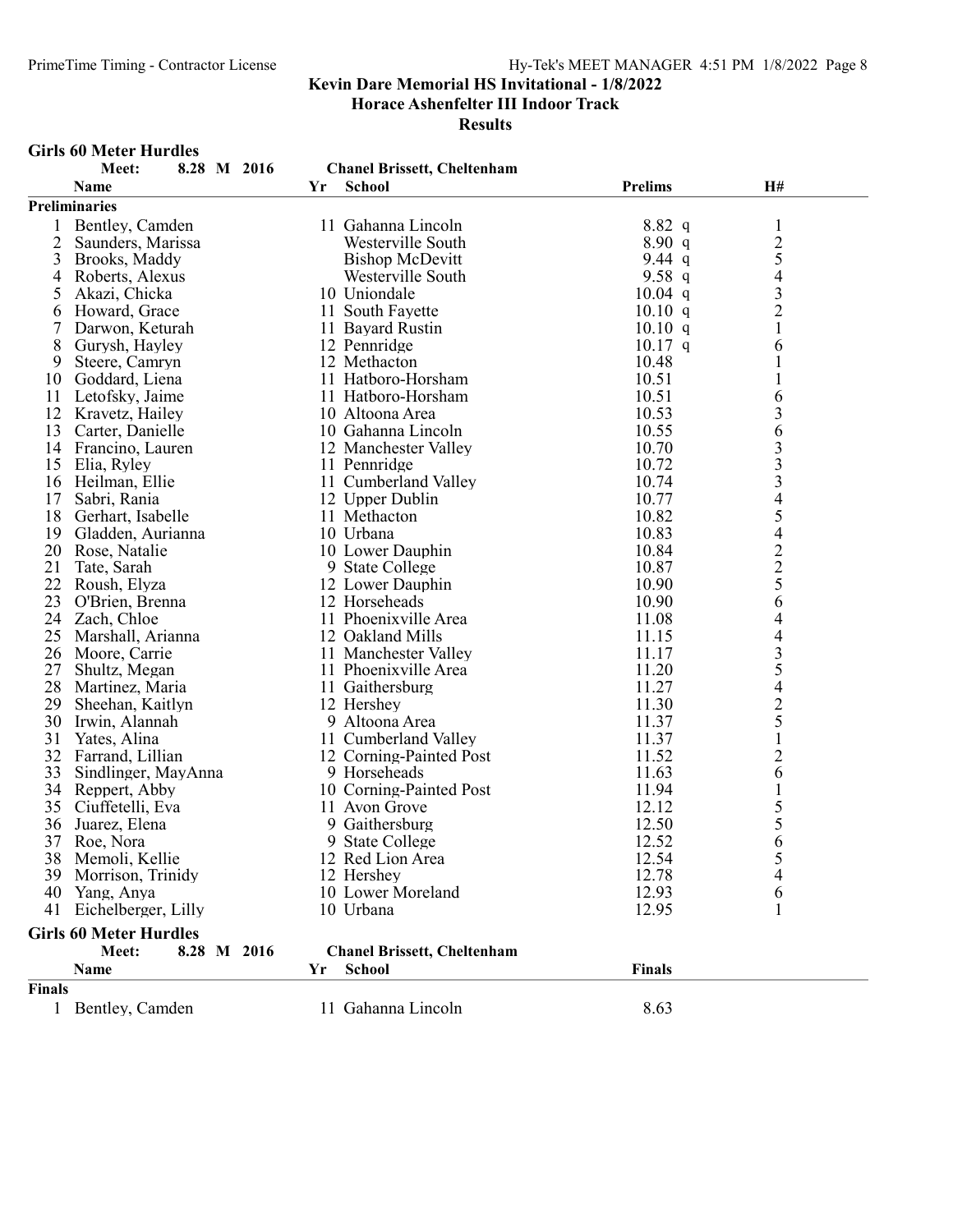Horace Ashenfelter III Indoor Track

Results

#### Girls 60 Meter Hurdles

|               | Meet:<br>8.28 M 2016          |    | <b>Chanel Brissett, Cheltenham</b> |                |                                                 |
|---------------|-------------------------------|----|------------------------------------|----------------|-------------------------------------------------|
|               | <b>Name</b>                   | Yr | <b>School</b>                      | <b>Prelims</b> | H#                                              |
|               | <b>Preliminaries</b>          |    |                                    |                |                                                 |
|               | Bentley, Camden               |    | 11 Gahanna Lincoln                 | $8.82\ q$      | $\mathbf{1}$                                    |
| 2             | Saunders, Marissa             |    | Westerville South                  | 8.90 q         |                                                 |
| 3             | Brooks, Maddy                 |    | <b>Bishop McDevitt</b>             | 9.44 $q$       | $rac{2}{5}$                                     |
| 4             | Roberts, Alexus               |    | Westerville South                  | 9.58 $q$       |                                                 |
| 5             | Akazi, Chicka                 |    | 10 Uniondale                       | $10.04$ q      |                                                 |
| 6             | Howard, Grace                 |    | 11 South Fayette                   | 10.10 q        | $\begin{array}{c} 4 \\ 3 \\ 2 \end{array}$      |
| 7             | Darwon, Keturah               |    | 11 Bayard Rustin                   | 10.10 q        | $\mathbf{1}$                                    |
| 8             | Gurysh, Hayley                |    | 12 Pennridge                       | $10.17$ q      | 6                                               |
| 9             | Steere, Camryn                |    | 12 Methacton                       | 10.48          | $\mathbf{1}$                                    |
| 10            | Goddard, Liena                |    | 11 Hatboro-Horsham                 | 10.51          | $\mathbf{1}$                                    |
| 11            | Letofsky, Jaime               |    | 11 Hatboro-Horsham                 | 10.51          | 6                                               |
| 12            | Kravetz, Hailey               |    | 10 Altoona Area                    | 10.53          | 3                                               |
| 13            | Carter, Danielle              |    | 10 Gahanna Lincoln                 | 10.55          | 6                                               |
| 14            | Francino, Lauren              |    | 12 Manchester Valley               | 10.70          |                                                 |
| 15            | Elia, Ryley                   |    | 11 Pennridge                       | 10.72          | 33345                                           |
| 16            | Heilman, Ellie                |    | 11 Cumberland Valley               | 10.74          |                                                 |
| 17            | Sabri, Rania                  |    | 12 Upper Dublin                    | 10.77          |                                                 |
| 18            | Gerhart, Isabelle             |    | 11 Methacton                       | 10.82          |                                                 |
| 19            | Gladden, Aurianna             |    | 10 Urbana                          | 10.83          | $\overline{4}$                                  |
| 20            | Rose, Natalie                 |    | 10 Lower Dauphin                   | 10.84          |                                                 |
| 21            | Tate, Sarah                   |    | 9 State College                    | 10.87          |                                                 |
| 22            | Roush, Elyza                  |    | 12 Lower Dauphin                   | 10.90          |                                                 |
| 23            | O'Brien, Brenna               |    | 12 Horseheads                      | 10.90          | $\begin{array}{c} 2 \\ 2 \\ 5 \\ 6 \end{array}$ |
| 24            | Zach, Chloe                   |    | 11 Phoenixville Area               | 11.08          | 4                                               |
| 25            | Marshall, Arianna             |    | 12 Oakland Mills                   | 11.15          | $\overline{4}$                                  |
| 26            | Moore, Carrie                 |    | 11 Manchester Valley               | 11.17          |                                                 |
| 27            | Shultz, Megan                 |    | 11 Phoenixville Area               | 11.20          | $rac{3}{5}$                                     |
| 28            | Martinez, Maria               |    | 11 Gaithersburg                    | 11.27          |                                                 |
| 29            | Sheehan, Kaitlyn              |    | 12 Hershey                         | 11.30          | $\begin{array}{c} 4 \\ 2 \\ 5 \end{array}$      |
| 30            | Irwin, Alannah                |    | 9 Altoona Area                     | 11.37          |                                                 |
| 31            | Yates, Alina                  |    | 11 Cumberland Valley               | 11.37          | $\,1$                                           |
| 32            | Farrand, Lillian              |    | 12 Corning-Painted Post            | 11.52          | $\overline{2}$                                  |
| 33            | Sindlinger, MayAnna           |    | 9 Horseheads                       | 11.63          | 6                                               |
| 34            | Reppert, Abby                 |    | 10 Corning-Painted Post            | 11.94          | $\mathbf{1}$                                    |
| 35            | Ciuffetelli, Eva              |    | 11 Avon Grove                      | 12.12          | 5                                               |
| 36            | Juarez, Elena                 |    | 9 Gaithersburg                     | 12.50          | 5                                               |
| 37            | Roe, Nora                     |    | 9 State College                    | 12.52          | 6                                               |
|               | 38 Memoli, Kellie             |    | 12 Red Lion Area                   | 12.54          | 5                                               |
|               |                               |    | 12 Hershey                         | 12.78          |                                                 |
|               | 39 Morrison, Trinidy          |    | 10 Lower Moreland                  | 12.93          | 4                                               |
| 40            | Yang, Anya                    |    | 10 Urbana                          | 12.95          | 6                                               |
| 41            | Eichelberger, Lilly           |    |                                    |                |                                                 |
|               | <b>Girls 60 Meter Hurdles</b> |    |                                    |                |                                                 |
|               | Meet:<br>8.28 M 2016          |    | <b>Chanel Brissett, Cheltenham</b> |                |                                                 |
|               | Name                          | Yr | <b>School</b>                      | <b>Finals</b>  |                                                 |
| <b>Finals</b> |                               |    |                                    |                |                                                 |
| $\mathbf{1}$  | Bentley, Camden               |    | 11 Gahanna Lincoln                 | 8.63           |                                                 |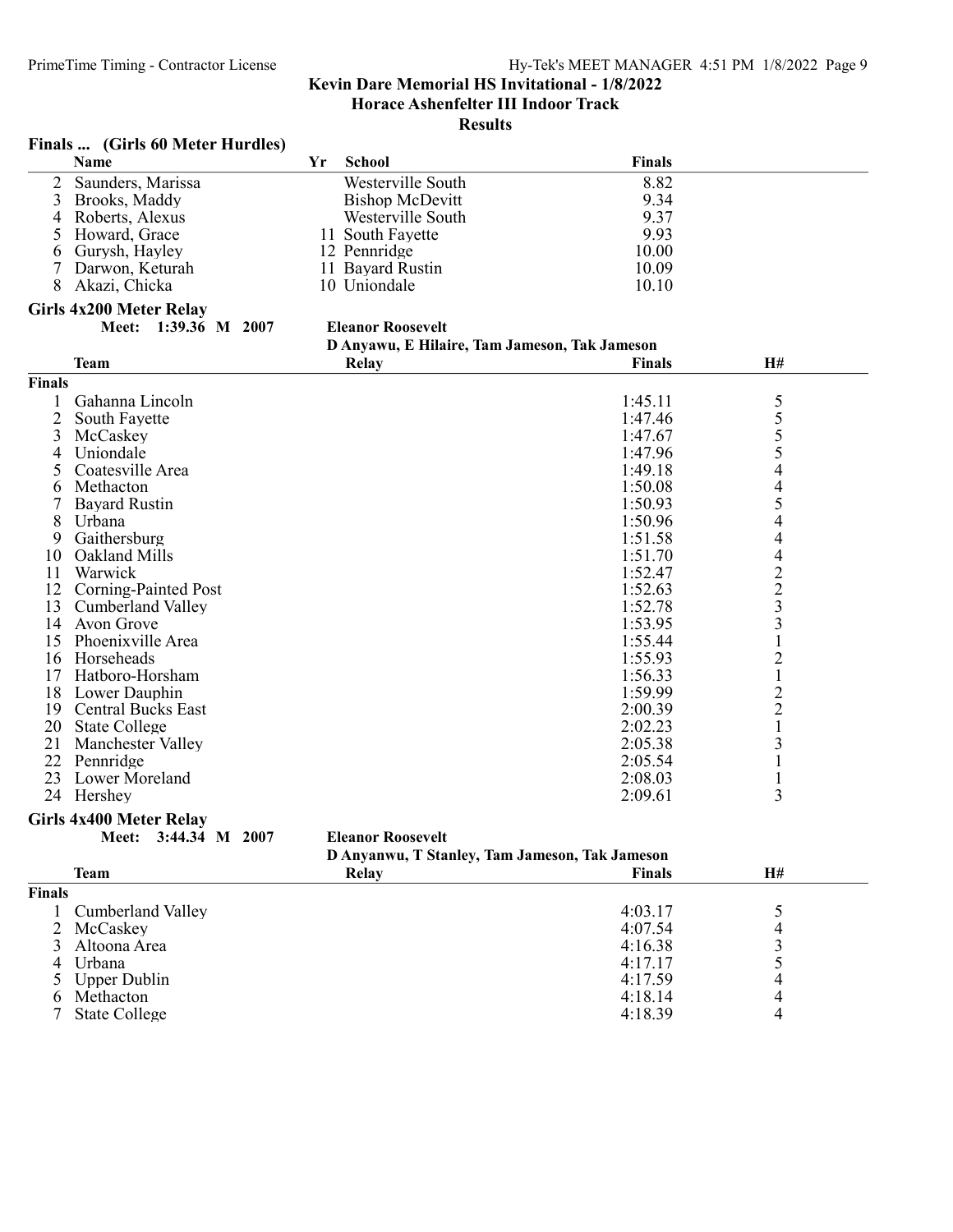# Results

| Finals |  | (Girls 60 Meter Hurdles) |  |
|--------|--|--------------------------|--|
|--------|--|--------------------------|--|

|               | Name                           | Yr | School                                        | <b>Finals</b> |                          |  |
|---------------|--------------------------------|----|-----------------------------------------------|---------------|--------------------------|--|
| 2             | Saunders, Marissa              |    | Westerville South                             | 8.82          |                          |  |
| 3             | Brooks, Maddy                  |    | <b>Bishop McDevitt</b>                        | 9.34          |                          |  |
| 4             | Roberts, Alexus                |    | Westerville South                             | 9.37          |                          |  |
| 5             | Howard, Grace                  |    | 11 South Fayette                              | 9.93          |                          |  |
| 6             | Gurysh, Hayley                 |    | 12 Pennridge                                  | 10.00         |                          |  |
|               | Darwon, Keturah                |    | 11 Bayard Rustin                              | 10.09         |                          |  |
| 8             | Akazi, Chicka                  |    | 10 Uniondale                                  | 10.10         |                          |  |
|               | <b>Girls 4x200 Meter Relay</b> |    |                                               |               |                          |  |
|               | Meet: 1:39.36 M 2007           |    | <b>Eleanor Roosevelt</b>                      |               |                          |  |
|               |                                |    | D Anyawu, E Hilaire, Tam Jameson, Tak Jameson |               |                          |  |
|               | <b>Team</b>                    |    | Relay                                         | <b>Finals</b> | H#                       |  |
| <b>Finals</b> |                                |    |                                               |               |                          |  |
|               | Gahanna Lincoln                |    |                                               | 1:45.11       |                          |  |
| 2             | South Fayette                  |    |                                               | 1:47.46       | $\frac{5}{5}$            |  |
| 3             | McCaskey                       |    |                                               | 1:47.67       |                          |  |
| 4             | Uniondale                      |    |                                               | 1:47.96       | 5                        |  |
|               | Coatesville Area               |    |                                               | 1:49.18       | 4                        |  |
| 6             | Methacton                      |    |                                               | 1:50.08       | $\overline{\mathcal{A}}$ |  |
|               | <b>Bayard Rustin</b>           |    |                                               | 1:50.93       | 5                        |  |
| 8             | Urbana                         |    |                                               | 1:50.96       | $\overline{\mathcal{A}}$ |  |
| 9             | Gaithersburg                   |    |                                               | 1:51.58       | $\overline{\mathcal{A}}$ |  |
| 10            | Oakland Mills                  |    |                                               | 1:51.70       | $\overline{\mathcal{A}}$ |  |
| 11            | Warwick                        |    |                                               | 1:52.47       | $\frac{2}{3}$            |  |
| 12            | <b>Corning-Painted Post</b>    |    |                                               | 1:52.63       |                          |  |
| 13            | Cumberland Valley              |    |                                               | 1:52.78       |                          |  |
| 14            | Avon Grove                     |    |                                               | 1:53.95       | $\overline{\mathbf{3}}$  |  |
| 15            | Phoenixville Area              |    |                                               | 1:55.44       | $\mathbf{1}$             |  |
| 16            | Horseheads                     |    |                                               | 1:55.93       | $\overline{2}$           |  |
| 17            | Hatboro-Horsham                |    |                                               | 1:56.33       | $\,1$                    |  |
| 18            | Lower Dauphin                  |    |                                               | 1:59.99       | $\frac{2}{2}$            |  |
| 19            | <b>Central Bucks East</b>      |    |                                               | 2:00.39       |                          |  |
| 20            | <b>State College</b>           |    |                                               | 2:02.23       | $\mathbf 1$              |  |
| 21            | <b>Manchester Valley</b>       |    |                                               | 2:05.38       | $\mathfrak{Z}$           |  |
| 22            | Pennridge                      |    |                                               | 2:05.54       | $\mathbf{1}$             |  |
| 23            | Lower Moreland                 |    |                                               | 2:08.03       | $\mathbf{1}$             |  |
|               | 24 Hershey                     |    |                                               | 2:09.61       | 3                        |  |

#### Girls 4x400 Meter Relay

Meet: 3:44.34 M 2007 Eleanor Roosevelt

| D Anyanwu, T Stanley, Tam Jameson, Tak Jameson |
|------------------------------------------------|
|------------------------------------------------|

|               | Team                | $\sim$<br>Relay | <b>Finals</b> | H# |  |
|---------------|---------------------|-----------------|---------------|----|--|
| <b>Finals</b> |                     |                 |               |    |  |
|               | 1 Cumberland Valley |                 | 4:03.17       |    |  |
|               | 2 McCaskey          |                 | 4:07.54       |    |  |
|               | 3 Altoona Area      |                 | 4:16.38       |    |  |
|               | 4 Urbana            |                 | 4:17.17       |    |  |
|               | 5 Upper Dublin      |                 | 4:17.59       |    |  |
| 6.            | Methacton           |                 | 4:18.14       |    |  |
|               | State College       |                 | 4:18.39       |    |  |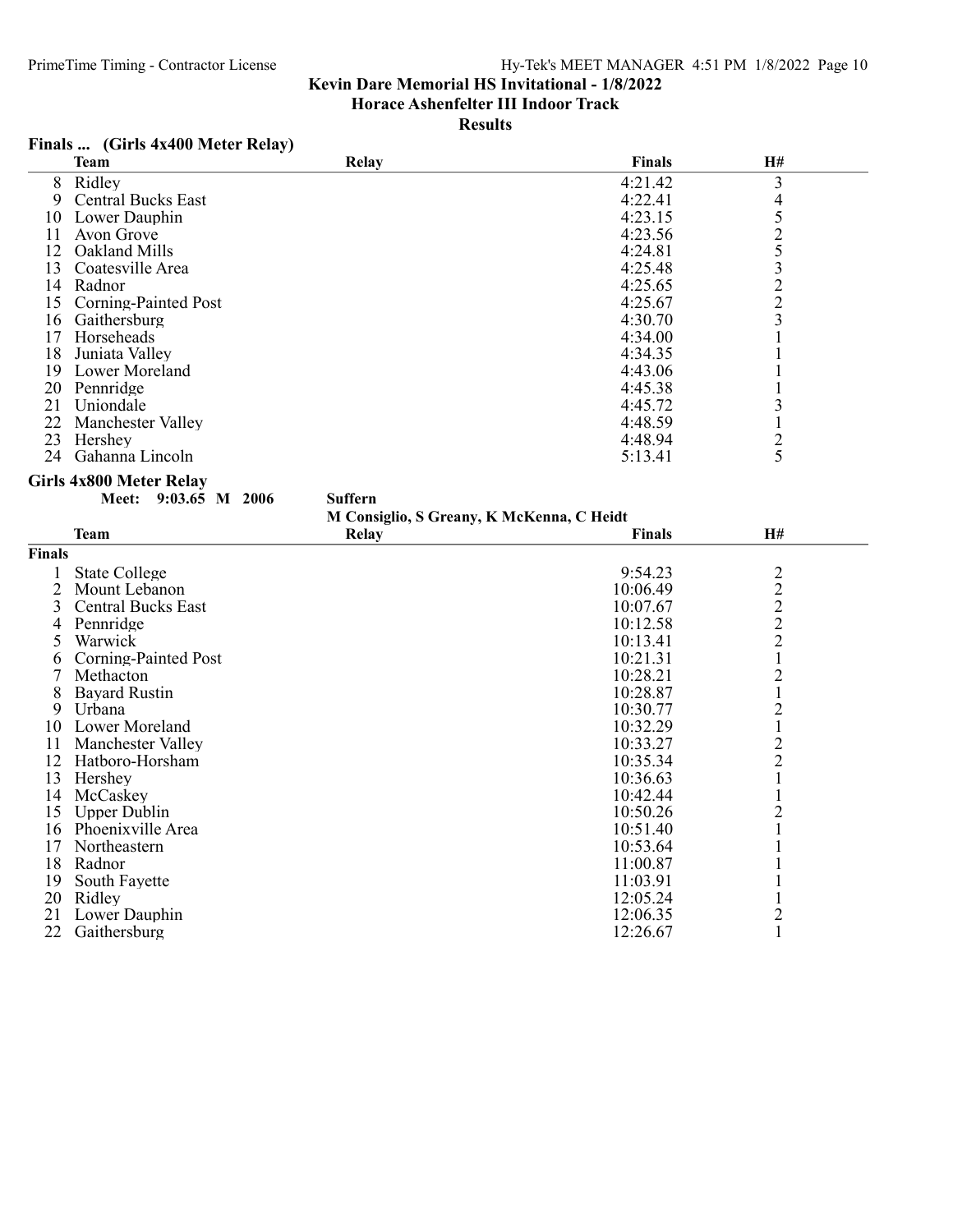Horace Ashenfelter III Indoor Track

Results

# Finals ... (Girls 4x400 Meter Relay)

| 8<br>3<br>Ridley<br>4:21.42<br><b>Central Bucks East</b><br>4:22.41<br>4<br>9<br>525322<br>Lower Dauphin<br>4:23.15<br>10<br>4:23.56<br>11<br>Avon Grove<br>12<br>Oakland Mills<br>4:24.81<br>13<br>Coatesville Area<br>4:25.48<br>4:25.65<br>14 Radnor<br>15<br>Corning-Painted Post<br>4:25.67<br>$\overline{\mathbf{3}}$<br>16 Gaithersburg<br>4:30.70<br>17 Horseheads<br>4:34.00<br>1<br>Juniata Valley<br>18<br>4:34.35<br>$\mathbf{1}$<br>4:43.06<br>19<br>Lower Moreland<br>1<br>20 Pennridge<br>4:45.38<br>1<br>21<br>Uniondale<br>3<br>4:45.72<br>22 Manchester Valley<br>$\mathbf{1}$<br>4:48.59<br>23<br>Hershey<br>$\overline{c}$<br>4:48.94<br>5<br>24<br>Gahanna Lincoln<br>5:13.41<br><b>Girls 4x800 Meter Relay</b><br><b>Suffern</b><br>Meet: 9:03.65 M 2006<br>M Consiglio, S Greany, K McKenna, C Heidt<br><b>Team</b><br>H#<br><b>Relay</b><br><b>Finals</b><br>Finals<br><b>State College</b><br>9:54.23<br>$\overline{c}$<br>1<br>$\begin{array}{c} 2 \\ 2 \\ 2 \end{array}$<br>$\overline{2}$<br>Mount Lebanon<br>10:06.49<br>3<br><b>Central Bucks East</b><br>10:07.67<br>Pennridge<br>10:12.58<br>4<br>Warwick<br>10:13.41<br>5<br>$\mathbf{1}$<br><b>Corning-Painted Post</b><br>10:21.31<br>6<br>$\overline{2}$<br>7<br>Methacton<br>10:28.21<br><b>Bayard Rustin</b><br>$\mathbf{1}$<br>8<br>10:28.87<br>2<br>Urbana<br>10:30.77<br>9<br>Lower Moreland<br>10:32.29<br>$\mathbf{1}$<br>10<br>$\overline{2}$<br>11<br>Manchester Valley<br>10:33.27<br>$\overline{2}$<br>12 Hatboro-Horsham<br>10:35.34<br>13<br>$\mathbf{1}$<br>Hershey<br>10:36.63<br>14 McCaskey<br>10:42.44<br>1<br>$\overline{2}$<br>15<br><b>Upper Dublin</b><br>10:50.26<br>1<br>16 Phoenixville Area<br>10:51.40<br>17<br>Northeastern<br>10:53.64<br>1 | <b>Team</b> | Relay | Finals   | H# |  |
|--------------------------------------------------------------------------------------------------------------------------------------------------------------------------------------------------------------------------------------------------------------------------------------------------------------------------------------------------------------------------------------------------------------------------------------------------------------------------------------------------------------------------------------------------------------------------------------------------------------------------------------------------------------------------------------------------------------------------------------------------------------------------------------------------------------------------------------------------------------------------------------------------------------------------------------------------------------------------------------------------------------------------------------------------------------------------------------------------------------------------------------------------------------------------------------------------------------------------------------------------------------------------------------------------------------------------------------------------------------------------------------------------------------------------------------------------------------------------------------------------------------------------------------------------------------------------------------------------------------------------------------------------------------------------------------------------------------------------------------------------------------|-------------|-------|----------|----|--|
|                                                                                                                                                                                                                                                                                                                                                                                                                                                                                                                                                                                                                                                                                                                                                                                                                                                                                                                                                                                                                                                                                                                                                                                                                                                                                                                                                                                                                                                                                                                                                                                                                                                                                                                                                              |             |       |          |    |  |
|                                                                                                                                                                                                                                                                                                                                                                                                                                                                                                                                                                                                                                                                                                                                                                                                                                                                                                                                                                                                                                                                                                                                                                                                                                                                                                                                                                                                                                                                                                                                                                                                                                                                                                                                                              |             |       |          |    |  |
|                                                                                                                                                                                                                                                                                                                                                                                                                                                                                                                                                                                                                                                                                                                                                                                                                                                                                                                                                                                                                                                                                                                                                                                                                                                                                                                                                                                                                                                                                                                                                                                                                                                                                                                                                              |             |       |          |    |  |
|                                                                                                                                                                                                                                                                                                                                                                                                                                                                                                                                                                                                                                                                                                                                                                                                                                                                                                                                                                                                                                                                                                                                                                                                                                                                                                                                                                                                                                                                                                                                                                                                                                                                                                                                                              |             |       |          |    |  |
|                                                                                                                                                                                                                                                                                                                                                                                                                                                                                                                                                                                                                                                                                                                                                                                                                                                                                                                                                                                                                                                                                                                                                                                                                                                                                                                                                                                                                                                                                                                                                                                                                                                                                                                                                              |             |       |          |    |  |
|                                                                                                                                                                                                                                                                                                                                                                                                                                                                                                                                                                                                                                                                                                                                                                                                                                                                                                                                                                                                                                                                                                                                                                                                                                                                                                                                                                                                                                                                                                                                                                                                                                                                                                                                                              |             |       |          |    |  |
|                                                                                                                                                                                                                                                                                                                                                                                                                                                                                                                                                                                                                                                                                                                                                                                                                                                                                                                                                                                                                                                                                                                                                                                                                                                                                                                                                                                                                                                                                                                                                                                                                                                                                                                                                              |             |       |          |    |  |
|                                                                                                                                                                                                                                                                                                                                                                                                                                                                                                                                                                                                                                                                                                                                                                                                                                                                                                                                                                                                                                                                                                                                                                                                                                                                                                                                                                                                                                                                                                                                                                                                                                                                                                                                                              |             |       |          |    |  |
|                                                                                                                                                                                                                                                                                                                                                                                                                                                                                                                                                                                                                                                                                                                                                                                                                                                                                                                                                                                                                                                                                                                                                                                                                                                                                                                                                                                                                                                                                                                                                                                                                                                                                                                                                              |             |       |          |    |  |
|                                                                                                                                                                                                                                                                                                                                                                                                                                                                                                                                                                                                                                                                                                                                                                                                                                                                                                                                                                                                                                                                                                                                                                                                                                                                                                                                                                                                                                                                                                                                                                                                                                                                                                                                                              |             |       |          |    |  |
|                                                                                                                                                                                                                                                                                                                                                                                                                                                                                                                                                                                                                                                                                                                                                                                                                                                                                                                                                                                                                                                                                                                                                                                                                                                                                                                                                                                                                                                                                                                                                                                                                                                                                                                                                              |             |       |          |    |  |
|                                                                                                                                                                                                                                                                                                                                                                                                                                                                                                                                                                                                                                                                                                                                                                                                                                                                                                                                                                                                                                                                                                                                                                                                                                                                                                                                                                                                                                                                                                                                                                                                                                                                                                                                                              |             |       |          |    |  |
|                                                                                                                                                                                                                                                                                                                                                                                                                                                                                                                                                                                                                                                                                                                                                                                                                                                                                                                                                                                                                                                                                                                                                                                                                                                                                                                                                                                                                                                                                                                                                                                                                                                                                                                                                              |             |       |          |    |  |
|                                                                                                                                                                                                                                                                                                                                                                                                                                                                                                                                                                                                                                                                                                                                                                                                                                                                                                                                                                                                                                                                                                                                                                                                                                                                                                                                                                                                                                                                                                                                                                                                                                                                                                                                                              |             |       |          |    |  |
|                                                                                                                                                                                                                                                                                                                                                                                                                                                                                                                                                                                                                                                                                                                                                                                                                                                                                                                                                                                                                                                                                                                                                                                                                                                                                                                                                                                                                                                                                                                                                                                                                                                                                                                                                              |             |       |          |    |  |
|                                                                                                                                                                                                                                                                                                                                                                                                                                                                                                                                                                                                                                                                                                                                                                                                                                                                                                                                                                                                                                                                                                                                                                                                                                                                                                                                                                                                                                                                                                                                                                                                                                                                                                                                                              |             |       |          |    |  |
|                                                                                                                                                                                                                                                                                                                                                                                                                                                                                                                                                                                                                                                                                                                                                                                                                                                                                                                                                                                                                                                                                                                                                                                                                                                                                                                                                                                                                                                                                                                                                                                                                                                                                                                                                              |             |       |          |    |  |
|                                                                                                                                                                                                                                                                                                                                                                                                                                                                                                                                                                                                                                                                                                                                                                                                                                                                                                                                                                                                                                                                                                                                                                                                                                                                                                                                                                                                                                                                                                                                                                                                                                                                                                                                                              |             |       |          |    |  |
|                                                                                                                                                                                                                                                                                                                                                                                                                                                                                                                                                                                                                                                                                                                                                                                                                                                                                                                                                                                                                                                                                                                                                                                                                                                                                                                                                                                                                                                                                                                                                                                                                                                                                                                                                              |             |       |          |    |  |
|                                                                                                                                                                                                                                                                                                                                                                                                                                                                                                                                                                                                                                                                                                                                                                                                                                                                                                                                                                                                                                                                                                                                                                                                                                                                                                                                                                                                                                                                                                                                                                                                                                                                                                                                                              |             |       |          |    |  |
|                                                                                                                                                                                                                                                                                                                                                                                                                                                                                                                                                                                                                                                                                                                                                                                                                                                                                                                                                                                                                                                                                                                                                                                                                                                                                                                                                                                                                                                                                                                                                                                                                                                                                                                                                              |             |       |          |    |  |
|                                                                                                                                                                                                                                                                                                                                                                                                                                                                                                                                                                                                                                                                                                                                                                                                                                                                                                                                                                                                                                                                                                                                                                                                                                                                                                                                                                                                                                                                                                                                                                                                                                                                                                                                                              |             |       |          |    |  |
|                                                                                                                                                                                                                                                                                                                                                                                                                                                                                                                                                                                                                                                                                                                                                                                                                                                                                                                                                                                                                                                                                                                                                                                                                                                                                                                                                                                                                                                                                                                                                                                                                                                                                                                                                              |             |       |          |    |  |
|                                                                                                                                                                                                                                                                                                                                                                                                                                                                                                                                                                                                                                                                                                                                                                                                                                                                                                                                                                                                                                                                                                                                                                                                                                                                                                                                                                                                                                                                                                                                                                                                                                                                                                                                                              |             |       |          |    |  |
|                                                                                                                                                                                                                                                                                                                                                                                                                                                                                                                                                                                                                                                                                                                                                                                                                                                                                                                                                                                                                                                                                                                                                                                                                                                                                                                                                                                                                                                                                                                                                                                                                                                                                                                                                              |             |       |          |    |  |
|                                                                                                                                                                                                                                                                                                                                                                                                                                                                                                                                                                                                                                                                                                                                                                                                                                                                                                                                                                                                                                                                                                                                                                                                                                                                                                                                                                                                                                                                                                                                                                                                                                                                                                                                                              |             |       |          |    |  |
|                                                                                                                                                                                                                                                                                                                                                                                                                                                                                                                                                                                                                                                                                                                                                                                                                                                                                                                                                                                                                                                                                                                                                                                                                                                                                                                                                                                                                                                                                                                                                                                                                                                                                                                                                              |             |       |          |    |  |
|                                                                                                                                                                                                                                                                                                                                                                                                                                                                                                                                                                                                                                                                                                                                                                                                                                                                                                                                                                                                                                                                                                                                                                                                                                                                                                                                                                                                                                                                                                                                                                                                                                                                                                                                                              |             |       |          |    |  |
|                                                                                                                                                                                                                                                                                                                                                                                                                                                                                                                                                                                                                                                                                                                                                                                                                                                                                                                                                                                                                                                                                                                                                                                                                                                                                                                                                                                                                                                                                                                                                                                                                                                                                                                                                              |             |       |          |    |  |
|                                                                                                                                                                                                                                                                                                                                                                                                                                                                                                                                                                                                                                                                                                                                                                                                                                                                                                                                                                                                                                                                                                                                                                                                                                                                                                                                                                                                                                                                                                                                                                                                                                                                                                                                                              |             |       |          |    |  |
|                                                                                                                                                                                                                                                                                                                                                                                                                                                                                                                                                                                                                                                                                                                                                                                                                                                                                                                                                                                                                                                                                                                                                                                                                                                                                                                                                                                                                                                                                                                                                                                                                                                                                                                                                              |             |       |          |    |  |
|                                                                                                                                                                                                                                                                                                                                                                                                                                                                                                                                                                                                                                                                                                                                                                                                                                                                                                                                                                                                                                                                                                                                                                                                                                                                                                                                                                                                                                                                                                                                                                                                                                                                                                                                                              |             |       |          |    |  |
|                                                                                                                                                                                                                                                                                                                                                                                                                                                                                                                                                                                                                                                                                                                                                                                                                                                                                                                                                                                                                                                                                                                                                                                                                                                                                                                                                                                                                                                                                                                                                                                                                                                                                                                                                              |             |       |          |    |  |
|                                                                                                                                                                                                                                                                                                                                                                                                                                                                                                                                                                                                                                                                                                                                                                                                                                                                                                                                                                                                                                                                                                                                                                                                                                                                                                                                                                                                                                                                                                                                                                                                                                                                                                                                                              |             |       |          |    |  |
|                                                                                                                                                                                                                                                                                                                                                                                                                                                                                                                                                                                                                                                                                                                                                                                                                                                                                                                                                                                                                                                                                                                                                                                                                                                                                                                                                                                                                                                                                                                                                                                                                                                                                                                                                              |             |       |          |    |  |
|                                                                                                                                                                                                                                                                                                                                                                                                                                                                                                                                                                                                                                                                                                                                                                                                                                                                                                                                                                                                                                                                                                                                                                                                                                                                                                                                                                                                                                                                                                                                                                                                                                                                                                                                                              |             |       |          |    |  |
|                                                                                                                                                                                                                                                                                                                                                                                                                                                                                                                                                                                                                                                                                                                                                                                                                                                                                                                                                                                                                                                                                                                                                                                                                                                                                                                                                                                                                                                                                                                                                                                                                                                                                                                                                              |             |       |          |    |  |
|                                                                                                                                                                                                                                                                                                                                                                                                                                                                                                                                                                                                                                                                                                                                                                                                                                                                                                                                                                                                                                                                                                                                                                                                                                                                                                                                                                                                                                                                                                                                                                                                                                                                                                                                                              |             |       |          |    |  |
|                                                                                                                                                                                                                                                                                                                                                                                                                                                                                                                                                                                                                                                                                                                                                                                                                                                                                                                                                                                                                                                                                                                                                                                                                                                                                                                                                                                                                                                                                                                                                                                                                                                                                                                                                              |             |       |          |    |  |
|                                                                                                                                                                                                                                                                                                                                                                                                                                                                                                                                                                                                                                                                                                                                                                                                                                                                                                                                                                                                                                                                                                                                                                                                                                                                                                                                                                                                                                                                                                                                                                                                                                                                                                                                                              |             |       |          |    |  |
|                                                                                                                                                                                                                                                                                                                                                                                                                                                                                                                                                                                                                                                                                                                                                                                                                                                                                                                                                                                                                                                                                                                                                                                                                                                                                                                                                                                                                                                                                                                                                                                                                                                                                                                                                              | 18 Radnor   |       | 11:00.87 |    |  |
| 19<br>South Fayette<br>11:03.91                                                                                                                                                                                                                                                                                                                                                                                                                                                                                                                                                                                                                                                                                                                                                                                                                                                                                                                                                                                                                                                                                                                                                                                                                                                                                                                                                                                                                                                                                                                                                                                                                                                                                                                              |             |       |          |    |  |
| 20<br>12:05.24<br>Ridley<br>1                                                                                                                                                                                                                                                                                                                                                                                                                                                                                                                                                                                                                                                                                                                                                                                                                                                                                                                                                                                                                                                                                                                                                                                                                                                                                                                                                                                                                                                                                                                                                                                                                                                                                                                                |             |       |          |    |  |
| $\overline{2}$<br>21<br>Lower Dauphin<br>12:06.35                                                                                                                                                                                                                                                                                                                                                                                                                                                                                                                                                                                                                                                                                                                                                                                                                                                                                                                                                                                                                                                                                                                                                                                                                                                                                                                                                                                                                                                                                                                                                                                                                                                                                                            |             |       |          |    |  |
| 22<br>1<br>Gaithersburg<br>12:26.67                                                                                                                                                                                                                                                                                                                                                                                                                                                                                                                                                                                                                                                                                                                                                                                                                                                                                                                                                                                                                                                                                                                                                                                                                                                                                                                                                                                                                                                                                                                                                                                                                                                                                                                          |             |       |          |    |  |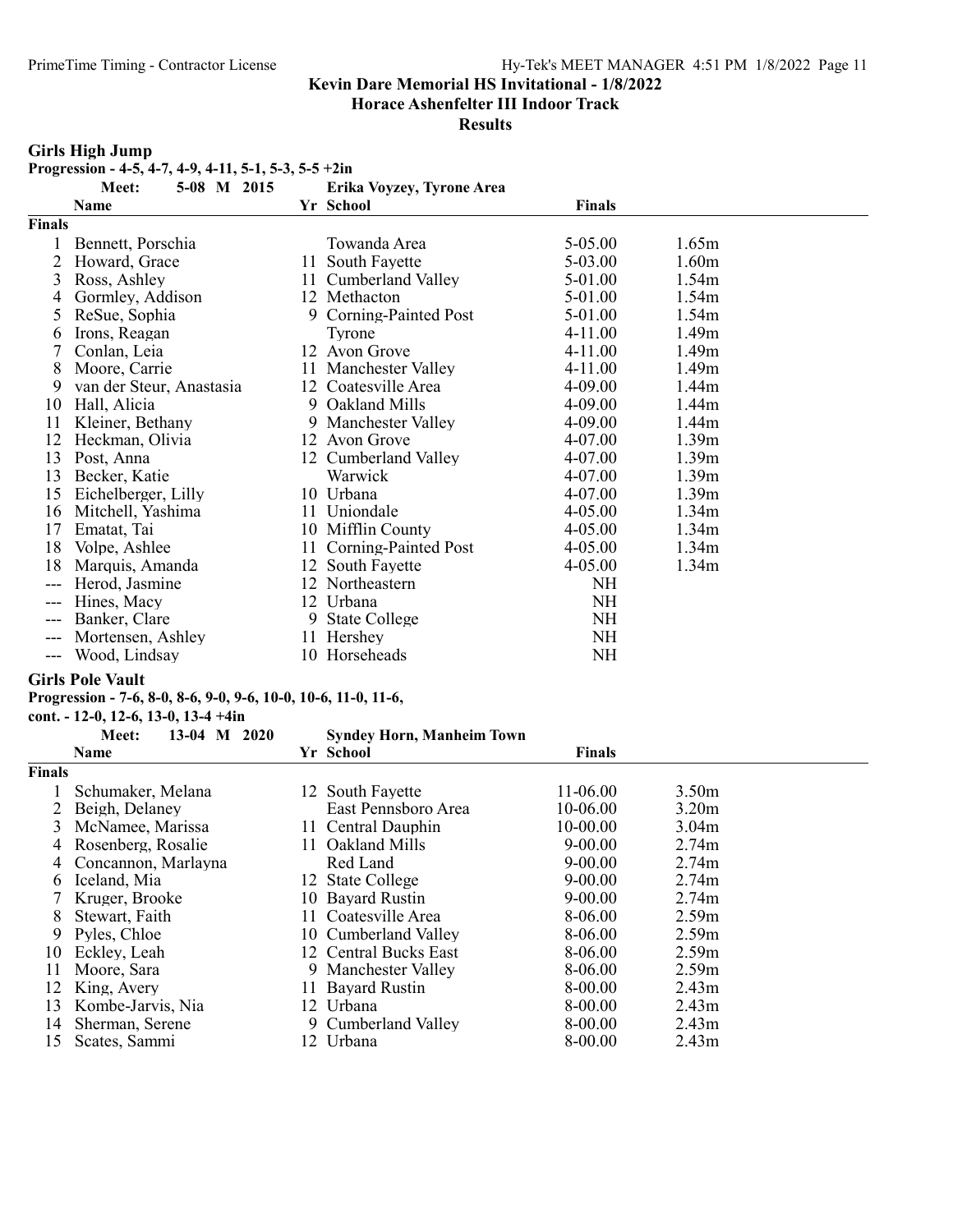Horace Ashenfelter III Indoor Track

#### **Results**

#### Girls High Jump

Progression - 4-5, 4-7, 4-9, 4-11, 5-1, 5-3, 5-5 +2in

|               | 5-08 M 2015<br>Meet:     |     | Erika Voyzey, Tyrone Area |               |                   |
|---------------|--------------------------|-----|---------------------------|---------------|-------------------|
|               | Name                     |     | Yr School                 | <b>Finals</b> |                   |
| <b>Finals</b> |                          |     |                           |               |                   |
|               | Bennett, Porschia        |     | Towanda Area              | 5-05.00       | 1.65m             |
| 2             | Howard, Grace            |     | 11 South Fayette          | 5-03.00       | 1.60 <sub>m</sub> |
| 3             | Ross, Ashley             | 11  | Cumberland Valley         | 5-01.00       | 1.54m             |
| 4             | Gormley, Addison         |     | 12 Methacton              | 5-01.00       | 1.54m             |
| 5.            | ReSue, Sophia            |     | 9 Corning-Painted Post    | 5-01.00       | 1.54m             |
| 6             | Irons, Reagan            |     | Tyrone                    | 4-11.00       | 1.49 <sub>m</sub> |
|               | Conlan, Leia             |     | 12 Avon Grove             | 4-11.00       | 1.49 <sub>m</sub> |
| 8             | Moore, Carrie            |     | 11 Manchester Valley      | 4-11.00       | 1.49 <sub>m</sub> |
| 9             | van der Steur, Anastasia |     | 12 Coatesville Area       | 4-09.00       | 1.44m             |
| 10            | Hall, Alicia             |     | 9 Oakland Mills           | 4-09.00       | 1.44m             |
| 11            | Kleiner, Bethany         |     | 9 Manchester Valley       | 4-09.00       | 1.44m             |
| 12            | Heckman, Olivia          |     | 12 Avon Grove             | 4-07.00       | 1.39 <sub>m</sub> |
| 13            | Post, Anna               |     | 12 Cumberland Valley      | 4-07.00       | 1.39 <sub>m</sub> |
| 13            | Becker, Katie            |     | Warwick                   | 4-07.00       | 1.39 <sub>m</sub> |
| 15            | Eichelberger, Lilly      |     | 10 Urbana                 | 4-07.00       | 1.39m             |
| 16            | Mitchell, Yashima        |     | 11 Uniondale              | 4-05.00       | 1.34m             |
| 17            | Ematat, Tai              |     | 10 Mifflin County         | 4-05.00       | 1.34m             |
| 18            | Volpe, Ashlee            | 11. | Corning-Painted Post      | 4-05.00       | 1.34 <sub>m</sub> |
| 18            | Marquis, Amanda          |     | 12 South Fayette          | 4-05.00       | 1.34 <sub>m</sub> |
| ---           | Herod, Jasmine           |     | 12 Northeastern           | NH            |                   |
| ---           | Hines, Macy              |     | 12 Urbana                 | NH            |                   |
| ---           | Banker, Clare            | 9   | <b>State College</b>      | <b>NH</b>     |                   |
| ---           | Mortensen, Ashley        |     | 11 Hershey                | <b>NH</b>     |                   |
| ---           | Wood, Lindsay            |     | 10 Horseheads             | NH            |                   |

#### Girls Pole Vault

#### Progression - 7-6, 8-0, 8-6, 9-0, 9-6, 10-0, 10-6, 11-0, 11-6,

cont. - 12-0, 12-6, 13-0, 13-4 +4in

| Yr School<br>Finals<br>Name<br>12 South Fayette<br>11-06.00<br>3.50 <sub>m</sub><br>Schumaker, Melana<br>Beigh, Delaney<br>East Pennsboro Area<br>10-06.00<br>3.20 <sub>m</sub><br>10-00.00<br>3<br>McNamee, Marissa<br>11 Central Dauphin<br>3.04 <sub>m</sub><br>Oakland Mills<br>$9 - 00.00$<br>Rosenberg, Rosalie<br>2.74m<br>4<br>11.<br>Red Land<br>$9 - 00.00$<br>2.74m<br>Concannon, Marlayna<br>4<br>Iceland, Mia<br>$9 - 00.00$<br>2.74m<br>12 State College<br>6<br>$9 - 00.00$<br>Kruger, Brooke<br>10 Bayard Rustin<br>2.74m<br>11 Coatesville Area<br>8-06.00<br>2.59m<br>8<br>Stewart, Faith<br>8-06.00<br>2.59m<br>9<br>Pyles, Chloe<br>10 Cumberland Valley<br>12 Central Bucks East<br>2.59 <sub>m</sub><br>8-06.00<br>Eckley, Leah<br>10<br>8-06.00<br>2.59m<br>9 Manchester Valley<br>Moore, Sara<br>11<br>King, Avery<br>8-00.00<br>12<br>11 Bayard Rustin<br>2.43 <sub>m</sub><br>12 Urbana<br>8-00.00<br>Kombe-Jarvis, Nia<br>2.43 <sub>m</sub><br>13<br>9 Cumberland Valley<br>8-00.00<br>2.43 <sub>m</sub><br>Sherman, Serene<br>14<br>Urbana<br>8-00.00<br>15<br>Scates, Sammi<br>2.43 <sub>m</sub> | 13-04 M 2020<br>Meet: | <b>Syndey Horn, Manheim Town</b> |  |
|-------------------------------------------------------------------------------------------------------------------------------------------------------------------------------------------------------------------------------------------------------------------------------------------------------------------------------------------------------------------------------------------------------------------------------------------------------------------------------------------------------------------------------------------------------------------------------------------------------------------------------------------------------------------------------------------------------------------------------------------------------------------------------------------------------------------------------------------------------------------------------------------------------------------------------------------------------------------------------------------------------------------------------------------------------------------------------------------------------------------------------|-----------------------|----------------------------------|--|
| Finals                                                                                                                                                                                                                                                                                                                                                                                                                                                                                                                                                                                                                                                                                                                                                                                                                                                                                                                                                                                                                                                                                                                        |                       |                                  |  |
|                                                                                                                                                                                                                                                                                                                                                                                                                                                                                                                                                                                                                                                                                                                                                                                                                                                                                                                                                                                                                                                                                                                               |                       |                                  |  |
|                                                                                                                                                                                                                                                                                                                                                                                                                                                                                                                                                                                                                                                                                                                                                                                                                                                                                                                                                                                                                                                                                                                               |                       |                                  |  |
|                                                                                                                                                                                                                                                                                                                                                                                                                                                                                                                                                                                                                                                                                                                                                                                                                                                                                                                                                                                                                                                                                                                               |                       |                                  |  |
|                                                                                                                                                                                                                                                                                                                                                                                                                                                                                                                                                                                                                                                                                                                                                                                                                                                                                                                                                                                                                                                                                                                               |                       |                                  |  |
|                                                                                                                                                                                                                                                                                                                                                                                                                                                                                                                                                                                                                                                                                                                                                                                                                                                                                                                                                                                                                                                                                                                               |                       |                                  |  |
|                                                                                                                                                                                                                                                                                                                                                                                                                                                                                                                                                                                                                                                                                                                                                                                                                                                                                                                                                                                                                                                                                                                               |                       |                                  |  |
|                                                                                                                                                                                                                                                                                                                                                                                                                                                                                                                                                                                                                                                                                                                                                                                                                                                                                                                                                                                                                                                                                                                               |                       |                                  |  |
|                                                                                                                                                                                                                                                                                                                                                                                                                                                                                                                                                                                                                                                                                                                                                                                                                                                                                                                                                                                                                                                                                                                               |                       |                                  |  |
|                                                                                                                                                                                                                                                                                                                                                                                                                                                                                                                                                                                                                                                                                                                                                                                                                                                                                                                                                                                                                                                                                                                               |                       |                                  |  |
|                                                                                                                                                                                                                                                                                                                                                                                                                                                                                                                                                                                                                                                                                                                                                                                                                                                                                                                                                                                                                                                                                                                               |                       |                                  |  |
|                                                                                                                                                                                                                                                                                                                                                                                                                                                                                                                                                                                                                                                                                                                                                                                                                                                                                                                                                                                                                                                                                                                               |                       |                                  |  |
|                                                                                                                                                                                                                                                                                                                                                                                                                                                                                                                                                                                                                                                                                                                                                                                                                                                                                                                                                                                                                                                                                                                               |                       |                                  |  |
|                                                                                                                                                                                                                                                                                                                                                                                                                                                                                                                                                                                                                                                                                                                                                                                                                                                                                                                                                                                                                                                                                                                               |                       |                                  |  |
|                                                                                                                                                                                                                                                                                                                                                                                                                                                                                                                                                                                                                                                                                                                                                                                                                                                                                                                                                                                                                                                                                                                               |                       |                                  |  |
|                                                                                                                                                                                                                                                                                                                                                                                                                                                                                                                                                                                                                                                                                                                                                                                                                                                                                                                                                                                                                                                                                                                               |                       |                                  |  |
|                                                                                                                                                                                                                                                                                                                                                                                                                                                                                                                                                                                                                                                                                                                                                                                                                                                                                                                                                                                                                                                                                                                               |                       |                                  |  |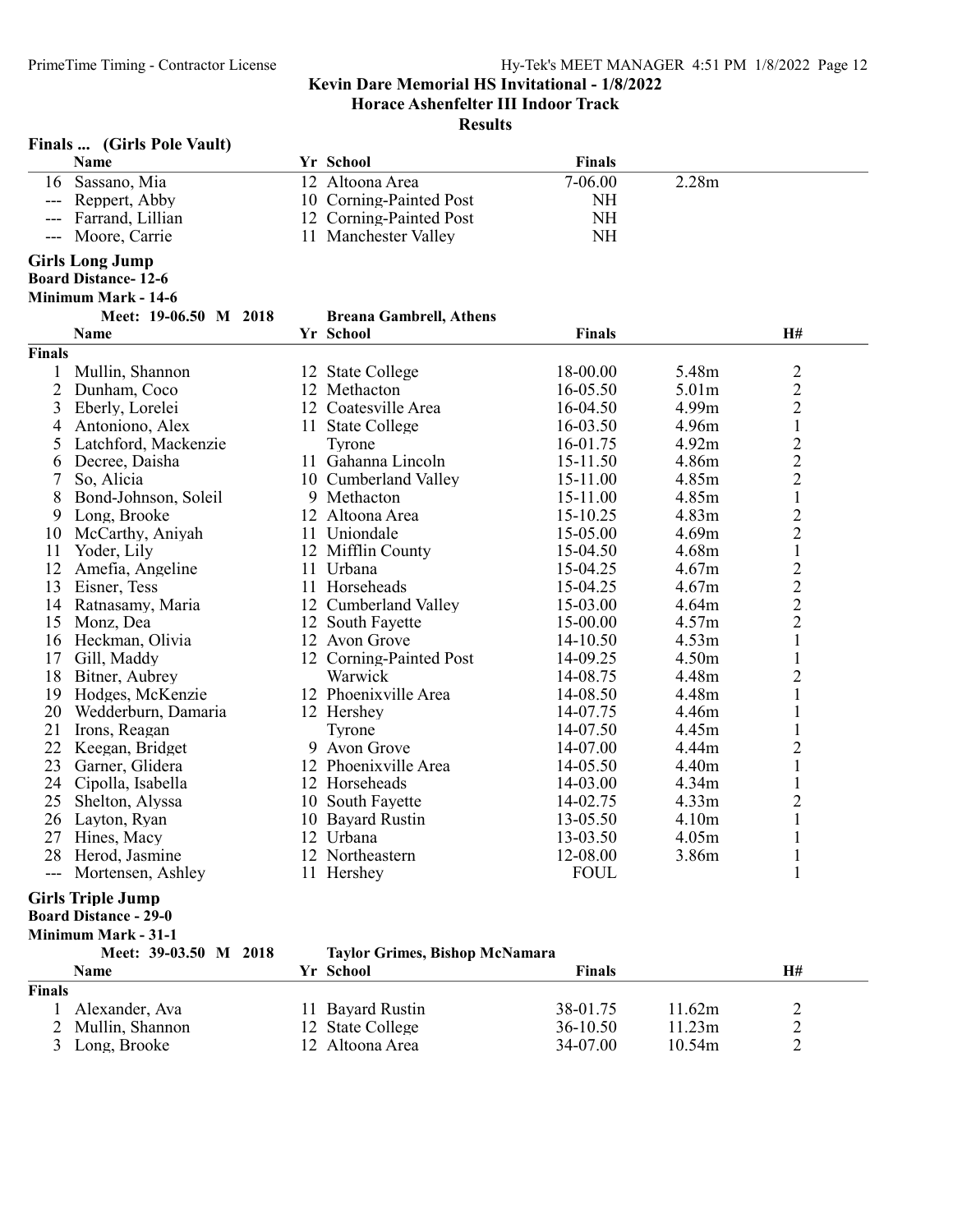Horace Ashenfelter III Indoor Track

#### **Results**

| Finals | (Girls Pole Vault) |  |  |
|--------|--------------------|--|--|
|--------|--------------------|--|--|

|                     | Name                       | Yr School                      | <b>Finals</b> |       |                |
|---------------------|----------------------------|--------------------------------|---------------|-------|----------------|
|                     | 16 Sassano, Mia            | 12 Altoona Area                | 7-06.00       | 2.28m |                |
| ---                 | Reppert, Abby              | 10 Corning-Painted Post        | <b>NH</b>     |       |                |
| $---$               | Farrand, Lillian           | 12 Corning-Painted Post        | <b>NH</b>     |       |                |
|                     | Moore, Carrie              | 11 Manchester Valley           | <b>NH</b>     |       |                |
|                     | <b>Girls Long Jump</b>     |                                |               |       |                |
|                     | <b>Board Distance-12-6</b> |                                |               |       |                |
|                     | Minimum Mark - 14-6        |                                |               |       |                |
|                     | Meet: 19-06.50 M 2018      | <b>Breana Gambrell, Athens</b> |               |       |                |
|                     | Name                       | Yr School                      | <b>Finals</b> |       | H#             |
| <b>Finals</b>       |                            |                                |               |       |                |
| $\mathbf{1}$        | Mullin, Shannon            | 12 State College               | 18-00.00      | 5.48m | $\overline{c}$ |
| $\overline{2}$      | Dunham, Coco               | 12 Methacton                   | 16-05.50      | 5.01m | $\overline{c}$ |
| 3                   | Eberly, Lorelei            | 12 Coatesville Area            | 16-04.50      | 4.99m | $\overline{c}$ |
| 4                   | Antoniono, Alex            | 11 State College               | 16-03.50      | 4.96m | $\mathbf 1$    |
| 5                   | Latchford, Mackenzie       | Tyrone                         | 16-01.75      | 4.92m | $\overline{c}$ |
| 6                   | Decree, Daisha             | 11 Gahanna Lincoln             | 15-11.50      | 4.86m | $\overline{2}$ |
| 7                   | So, Alicia                 | 10 Cumberland Valley           | 15-11.00      | 4.85m | $\overline{c}$ |
| 8                   | Bond-Johnson, Soleil       | 9 Methacton                    | 15-11.00      | 4.85m | $\mathbf 1$    |
| 9                   | Long, Brooke               | 12 Altoona Area                | 15-10.25      | 4.83m | $\overline{c}$ |
| 10                  | McCarthy, Aniyah           | 11 Uniondale                   | 15-05.00      | 4.69m | $\overline{2}$ |
| 11                  | Yoder, Lily                | 12 Mifflin County              | 15-04.50      | 4.68m | $\mathbf{1}$   |
| 12                  | Amefia, Angeline           | 11 Urbana                      | 15-04.25      | 4.67m | $\overline{2}$ |
| 13                  | Eisner, Tess               | 11 Horseheads                  | 15-04.25      | 4.67m | $\overline{c}$ |
| 14                  | Ratnasamy, Maria           | 12 Cumberland Valley           | 15-03.00      | 4.64m |                |
| 15                  | Monz, Dea                  | 12 South Fayette               | 15-00.00      | 4.57m | $\frac{2}{2}$  |
| 16                  | Heckman, Olivia            | 12 Avon Grove                  | 14-10.50      | 4.53m | $\mathbf{1}$   |
| 17                  | Gill, Maddy                | 12 Corning-Painted Post        | 14-09.25      | 4.50m | $\mathbf{1}$   |
| 18                  | Bitner, Aubrey             | Warwick                        | 14-08.75      | 4.48m | $\overline{2}$ |
| 19                  | Hodges, McKenzie           | 12 Phoenixville Area           | 14-08.50      | 4.48m | $\mathbf{1}$   |
| 20                  | Wedderburn, Damaria        | 12 Hershey                     | 14-07.75      | 4.46m | $\mathbf{1}$   |
| 21                  | Irons, Reagan              | Tyrone                         | 14-07.50      | 4.45m | $\mathbf{1}$   |
| 22                  | Keegan, Bridget            | 9 Avon Grove                   | 14-07.00      | 4.44m | $\overline{c}$ |
| 23                  | Garner, Glidera            | 12 Phoenixville Area           | 14-05.50      | 4.40m | $\mathbf{1}$   |
| 24                  | Cipolla, Isabella          | 12 Horseheads                  | 14-03.00      | 4.34m | $\mathbf 1$    |
| 25                  | Shelton, Alyssa            | 10 South Fayette               | 14-02.75      | 4.33m | $\overline{2}$ |
| 26                  | Layton, Ryan               | 10 Bayard Rustin               | 13-05.50      | 4.10m | $\mathbf{1}$   |
| 27                  | Hines, Macy                | 12 Urbana                      | 13-03.50      | 4.05m | $\mathbf 1$    |
| 28                  | Herod, Jasmine             | 12 Northeastern                | 12-08.00      | 3.86m | $\mathbf{1}$   |
| $\qquad \qquad - -$ | Mortensen, Ashley          | 11 Hershey                     | <b>FOUL</b>   |       | $\mathbf{1}$   |
|                     | <b>Girls Triple Jump</b>   |                                |               |       |                |

Board Distance - 29-0

Minimum Mark - 31-1<br>Meet: 39-03.50 M 2018

#### Taylor Grimes, Bishop McNamara

| Name              | Yr School        | Finals     |        | H# |  |
|-------------------|------------------|------------|--------|----|--|
| Finals            |                  |            |        |    |  |
| Alexander, Ava    | 11 Bayard Rustin | 38-01.75   | 11.62m | ∸  |  |
| 2 Mullin, Shannon | 12 State College | $36-10.50$ | 1.23m  | -  |  |
| 3 Long, Brooke    | 12 Altoona Area  | 34-07.00   | 10.54m |    |  |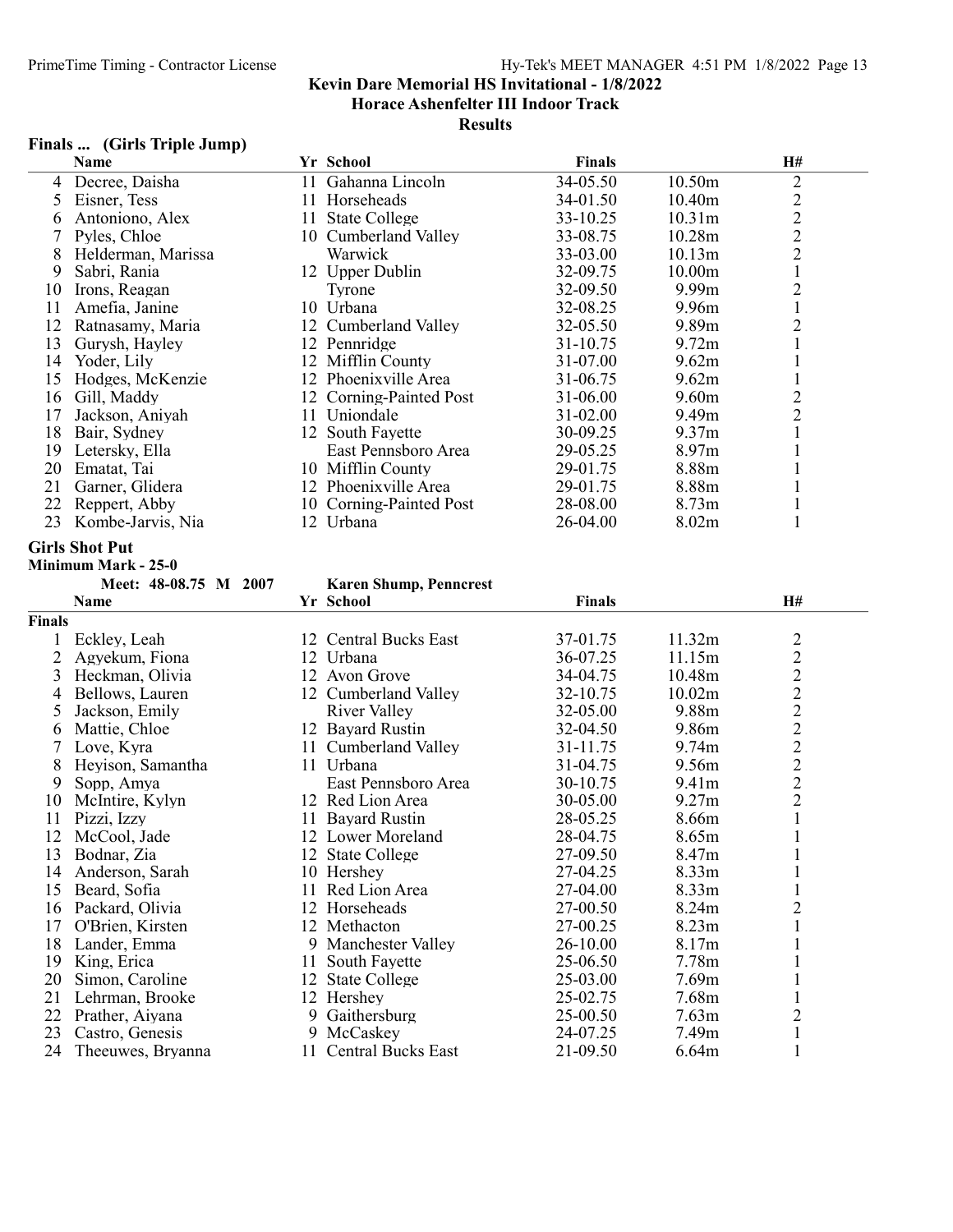#### **Results**

### Finals ... (Girls Triple Jump)

|    | Name               |    | Yr School               | <b>Finals</b> |                   | <b>H#</b>      |
|----|--------------------|----|-------------------------|---------------|-------------------|----------------|
| 4  | Decree, Daisha     |    | 11 Gahanna Lincoln      | 34-05.50      | 10.50m            | 2              |
|    | Eisner, Tess       |    | 11 Horseheads           | 34-01.50      | 10.40m            | $\overline{c}$ |
| 6  | Antoniono, Alex    |    | 11 State College        | 33-10.25      | 10.31m            | $\overline{c}$ |
|    | Pyles, Chloe       |    | 10 Cumberland Valley    | 33-08.75      | 10.28m            | $\overline{c}$ |
| 8  | Helderman, Marissa |    | Warwick                 | 33-03.00      | 10.13m            | $\overline{2}$ |
| 9  | Sabri, Rania       |    | 12 Upper Dublin         | 32-09.75      | 10.00m            |                |
| 10 | Irons, Reagan      |    | Tyrone                  | 32-09.50      | 9.99 <sub>m</sub> |                |
|    | Amefia, Janine     |    | 10 Urbana               | 32-08.25      | 9.96m             |                |
| 12 | Ratnasamy, Maria   |    | 12 Cumberland Valley    | 32-05.50      | 9.89 <sub>m</sub> |                |
| 13 | Gurysh, Hayley     |    | 12 Pennridge            | 31-10.75      | 9.72 <sub>m</sub> |                |
| 14 | Yoder, Lily        |    | 12 Mifflin County       | 31-07.00      | 9.62m             |                |
| 15 | Hodges, McKenzie   |    | 12 Phoenixville Area    | 31-06.75      | 9.62m             |                |
| 16 | Gill, Maddy        |    | 12 Corning-Painted Post | 31-06.00      | 9.60 <sub>m</sub> | 2              |
| 17 | Jackson, Aniyah    |    | 11 Uniondale            | $31 - 02.00$  | 9.49 <sub>m</sub> | 2              |
| 18 | Bair, Sydney       |    | 12 South Fayette        | 30-09.25      | 9.37 <sub>m</sub> |                |
| 19 | Letersky, Ella     |    | East Pennsboro Area     | 29-05.25      | 8.97 <sub>m</sub> |                |
| 20 | Ematat, Tai        |    | 10 Mifflin County       | 29-01.75      | 8.88m             |                |
| 21 | Garner, Glidera    |    | 12 Phoenixville Area    | 29-01.75      | 8.88m             |                |
| 22 | Reppert, Abby      |    | 10 Corning-Painted Post | 28-08.00      | 8.73 <sub>m</sub> |                |
| 23 | Kombe-Jarvis, Nia  | 12 | Urbana                  | 26-04.00      | 8.02 <sub>m</sub> |                |

#### Girls Shot Put

Minimum Mark - 25-0

#### Meet: 48-08.75 M 2007 Karen Shump, Penncrest

|               | Name              |    | Yr School             | <b>Finals</b> |                   | <b>H#</b>                                  |
|---------------|-------------------|----|-----------------------|---------------|-------------------|--------------------------------------------|
| <b>Finals</b> |                   |    |                       |               |                   |                                            |
|               | Eckley, Leah      |    | 12 Central Bucks East | 37-01.75      | 11.32m            | $\overline{c}$                             |
|               | Agyekum, Fiona    |    | 12 Urbana             | 36-07.25      | 11.15m            |                                            |
| 3             | Heckman, Olivia   |    | 12 Avon Grove         | 34-04.75      | 10.48m            | $\begin{array}{c} 2 \\ 2 \\ 2 \end{array}$ |
| 4             | Bellows, Lauren   |    | 12 Cumberland Valley  | 32-10.75      | 10.02m            |                                            |
| 5             | Jackson, Emily    |    | River Valley          | 32-05.00      | 9.88m             | $\overline{2}$                             |
| 6             | Mattie, Chloe     |    | 12 Bayard Rustin      | 32-04.50      | 9.86m             | $\overline{2}$                             |
|               | Love, Kyra        | 11 | Cumberland Valley     | 31-11.75      | 9.74m             | $\begin{array}{c} 2 \\ 2 \\ 2 \end{array}$ |
| 8             | Heyison, Samantha | 11 | Urbana                | 31-04.75      | 9.56m             |                                            |
| 9             | Sopp, Amya        |    | East Pennsboro Area   | 30-10.75      | 9.41m             |                                            |
| 10            | McIntire, Kylyn   |    | 12 Red Lion Area      | 30-05.00      | 9.27m             |                                            |
| 11            | Pizzi, Izzy       | 11 | <b>Bayard Rustin</b>  | 28-05.25      | 8.66m             | $\mathbf{1}$                               |
| 12            | McCool, Jade      |    | 12 Lower Moreland     | 28-04.75      | 8.65m             | $\mathbf{1}$                               |
| 13            | Bodnar, Zia       |    | 12 State College      | 27-09.50      | 8.47m             | $\mathbf{1}$                               |
| 14            | Anderson, Sarah   |    | 10 Hershey            | 27-04.25      | 8.33m             |                                            |
| 15            | Beard, Sofia      |    | 11 Red Lion Area      | 27-04.00      | 8.33 <sub>m</sub> | $\mathbf{1}$                               |
| 16            | Packard, Olivia   |    | 12 Horseheads         | 27-00.50      | 8.24m             | $\mathbf{2}$                               |
| 17            | O'Brien, Kirsten  |    | 12 Methacton          | 27-00.25      | 8.23 <sub>m</sub> | $\mathbf{1}$                               |
| 18            | Lander, Emma      |    | 9 Manchester Valley   | 26-10.00      | 8.17m             |                                            |
| 19            | King, Erica       | 11 | South Fayette         | 25-06.50      | 7.78m             |                                            |
| 20            | Simon, Caroline   | 12 | <b>State College</b>  | 25-03.00      | 7.69m             |                                            |
| 21            | Lehrman, Brooke   |    | 12 Hershey            | 25-02.75      | 7.68m             |                                            |
| 22            | Prather, Aiyana   |    | 9 Gaithersburg        | 25-00.50      | 7.63 <sub>m</sub> | $\overline{2}$                             |
| 23            | Castro, Genesis   |    | 9 McCaskey            | 24-07.25      | 7.49m             | $\mathbf{1}$                               |
| 24            | Theeuwes, Bryanna |    | 11 Central Bucks East | 21-09.50      | 6.64m             |                                            |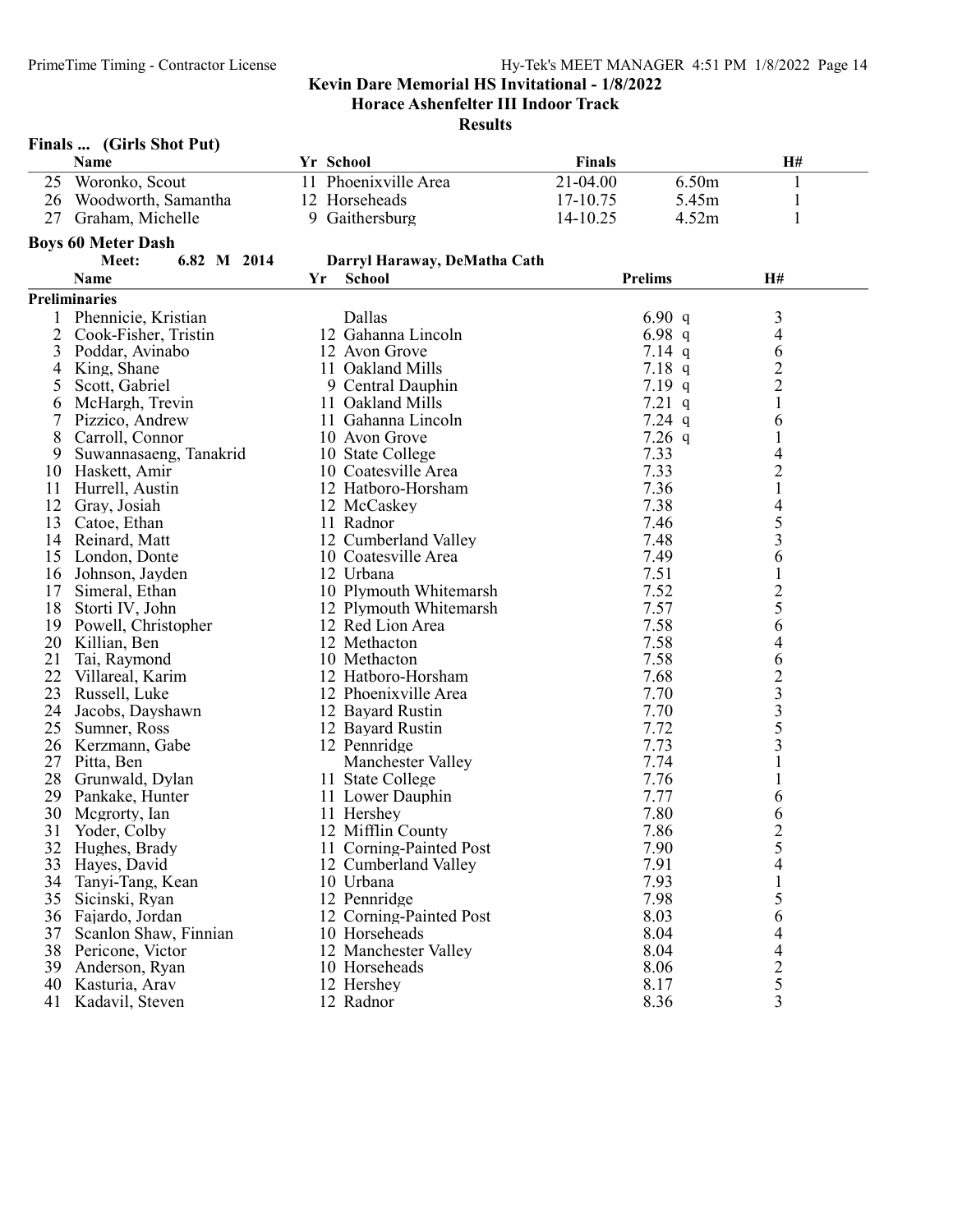|    | Finals  (Girls Shot Put)             |                              |               |                |                                                 |
|----|--------------------------------------|------------------------------|---------------|----------------|-------------------------------------------------|
|    | Name                                 | Yr School                    | <b>Finals</b> |                | H#                                              |
| 25 | Woronko, Scout                       | 11 Phoenixville Area         | 21-04.00      | 6.50m          | 1                                               |
|    | 26 Woodworth, Samantha               | 12 Horseheads                | 17-10.75      | 5.45m          | $\mathbf{1}$                                    |
|    | 27 Graham, Michelle                  | 9 Gaithersburg               | 14-10.25      | 4.52m          | 1                                               |
|    |                                      |                              |               |                |                                                 |
|    | <b>Boys 60 Meter Dash</b>            |                              |               |                |                                                 |
|    | 6.82 M 2014<br>Meet:                 | Darryl Haraway, DeMatha Cath |               |                |                                                 |
|    | <b>Name</b>                          | Yr<br><b>School</b>          |               | <b>Prelims</b> | H#                                              |
|    | <b>Preliminaries</b>                 |                              |               |                |                                                 |
| 1  | Phennicie, Kristian                  | Dallas                       |               | 6.90 $q$       | 3                                               |
|    | 2 Cook-Fisher, Tristin               | 12 Gahanna Lincoln           |               | 6.98 $q$       | 4                                               |
| 3  | Poddar, Avinabo                      | 12 Avon Grove                |               | $7.14$ q       | 6                                               |
| 4  | King, Shane                          | 11 Oakland Mills             |               | $7.18$ q       | $\frac{2}{2}$                                   |
| 5  | Scott, Gabriel                       | 9 Central Dauphin            |               | $7.19$ q       |                                                 |
| 6  | McHargh, Trevin                      | 11 Oakland Mills             |               | 7.21 $q$       | $\mathbbm{1}$                                   |
| 7  | Pizzico, Andrew                      | 11 Gahanna Lincoln           |               | $7.24$ q       | 6                                               |
| 8  | Carroll, Connor                      | 10 Avon Grove                |               | $7.26$ q       | $\mathbf{1}$                                    |
| 9  | Suwannasaeng, Tanakrid               | 10 State College             |               | 7.33           | $\overline{4}$                                  |
|    | 10 Haskett, Amir                     | 10 Coatesville Area          |               | 7.33           | $\overline{c}$                                  |
| 11 | Hurrell, Austin                      | 12 Hatboro-Horsham           |               | 7.36<br>7.38   | $\,1\,$                                         |
|    | 12 Gray, Josiah<br>13 Catoe, Ethan   | 12 McCaskey<br>11 Radnor     |               | 7.46           | $\begin{array}{c} 4 \\ 5 \\ 3 \end{array}$      |
|    |                                      | 12 Cumberland Valley         |               | 7.48           |                                                 |
|    | 14 Reinard, Matt<br>15 London, Donte | 10 Coatesville Area          |               | 7.49           | 6                                               |
|    | 16 Johnson, Jayden                   | 12 Urbana                    |               | 7.51           |                                                 |
|    | 17 Simeral, Ethan                    | 10 Plymouth Whitemarsh       |               | 7.52           | $\begin{array}{c} 1 \\ 2 \\ 5 \\ 6 \end{array}$ |
|    | 18 Storti IV, John                   | 12 Plymouth Whitemarsh       |               | 7.57           |                                                 |
|    | 19 Powell, Christopher               | 12 Red Lion Area             |               | 7.58           |                                                 |
|    | 20 Killian, Ben                      | 12 Methacton                 |               | 7.58           |                                                 |
| 21 | Tai, Raymond                         | 10 Methacton                 |               | 7.58           | 46233353                                        |
|    | 22 Villareal, Karim                  | 12 Hatboro-Horsham           |               | 7.68           |                                                 |
| 23 | Russell, Luke                        | 12 Phoenixville Area         |               | 7.70           |                                                 |
| 24 | Jacobs, Dayshawn                     | 12 Bayard Rustin             |               | 7.70           |                                                 |
|    | 25 Sumner, Ross                      | 12 Bayard Rustin             |               | 7.72           |                                                 |
|    | 26 Kerzmann, Gabe                    | 12 Pennridge                 |               | 7.73           |                                                 |
| 27 | Pitta, Ben                           | Manchester Valley            |               | 7.74           | 1                                               |
|    | 28 Grunwald, Dylan                   | 11 State College             |               | 7.76           | 1                                               |
|    | 29 Pankake, Hunter                   | 11 Lower Dauphin             |               | 7.77           | 6                                               |
|    | 30 Mcgrorty, Ian                     | 11 Hershey                   |               | 7.80           | 6                                               |
|    | 31 Yoder, Colby                      | 12 Mifflin County            |               | 7.86           | $\overline{c}$                                  |
|    | 32 Hughes, Brady                     | 11 Corning-Painted Post      |               | 7.90           | 5                                               |
| 33 | Hayes, David                         | 12 Cumberland Valley         |               | 7.91           | 4                                               |
| 34 | Tanyi-Tang, Kean                     | 10 Urbana                    |               | 7.93           |                                                 |
| 35 | Sicinski, Ryan                       | 12 Pennridge                 |               | 7.98           | 5                                               |
|    | 36 Fajardo, Jordan                   | 12 Corning-Painted Post      |               | 8.03           | 6                                               |
| 37 | Scanlon Shaw, Finnian                | 10 Horseheads                |               | 8.04           |                                                 |
|    | 38 Pericone, Victor                  | 12 Manchester Valley         |               | 8.04           |                                                 |
| 39 | Anderson, Ryan                       | 10 Horseheads                |               | 8.06           | $\frac{4}{2}$                                   |
|    | 40 Kasturia, Arav                    | 12 Hershey                   |               | 8.17           |                                                 |
| 41 | Kadavil, Steven                      | 12 Radnor                    |               | 8.36           | 3                                               |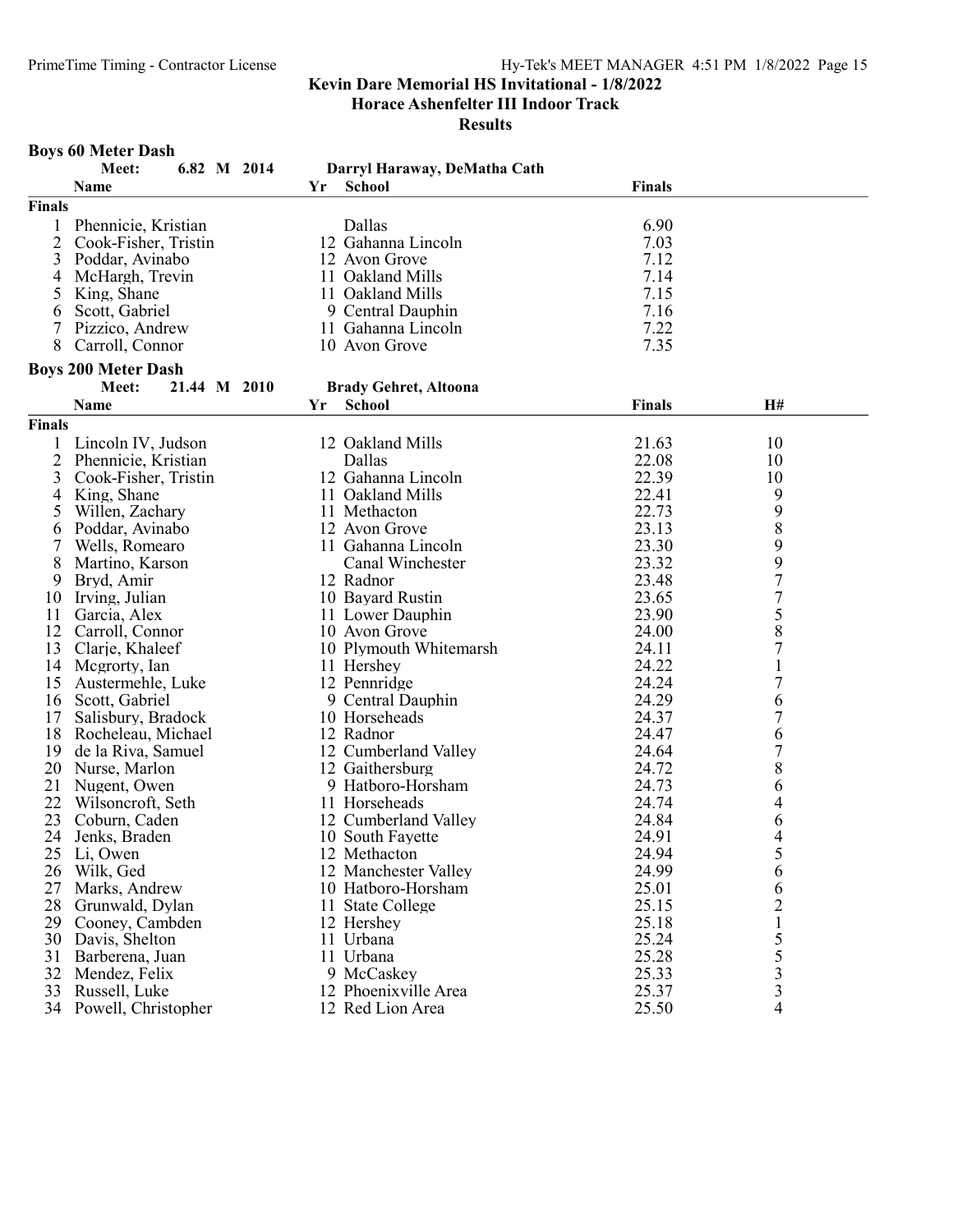Horace Ashenfelter III Indoor Track

Results

# Boys 60 Meter Dash

|               | Meet:<br>6.82 M 2014       | Darryl Haraway, DeMatha Cath |               |                  |
|---------------|----------------------------|------------------------------|---------------|------------------|
|               | Name                       | <b>School</b><br>Yr          | <b>Finals</b> |                  |
| Finals        |                            |                              |               |                  |
| 1             | Phennicie, Kristian        | Dallas                       | 6.90          |                  |
| 2             | Cook-Fisher, Tristin       | 12 Gahanna Lincoln           | 7.03          |                  |
| 3             | Poddar, Avinabo            | 12 Avon Grove                | 7.12          |                  |
| 4             | McHargh, Trevin            | 11 Oakland Mills             | 7.14          |                  |
| 5             | King, Shane                | 11 Oakland Mills             | 7.15          |                  |
| 6             | Scott, Gabriel             | 9 Central Dauphin            | 7.16          |                  |
| 7             | Pizzico, Andrew            | 11 Gahanna Lincoln           | 7.22          |                  |
| 8             | Carroll, Connor            | 10 Avon Grove                | 7.35          |                  |
|               |                            |                              |               |                  |
|               | <b>Boys 200 Meter Dash</b> |                              |               |                  |
|               | Meet:<br>21.44 M 2010      | <b>Brady Gehret, Altoona</b> |               |                  |
|               | Name                       | Yr<br><b>School</b>          | <b>Finals</b> | H#               |
| <b>Finals</b> |                            |                              |               |                  |
| 1             | Lincoln IV, Judson         | 12 Oakland Mills             | 21.63         | 10               |
| 2             | Phennicie, Kristian        | Dallas                       | 22.08         | 10               |
| 3             | Cook-Fisher, Tristin       | 12 Gahanna Lincoln           | 22.39         | 10               |
| 4             | King, Shane                | 11 Oakland Mills             | 22.41         | 9                |
| 5             | Willen, Zachary            | 11 Methacton                 | 22.73         | 9                |
| 6             | Poddar, Avinabo            | 12 Avon Grove                | 23.13         | 8                |
| 7             | Wells, Romearo             | 11 Gahanna Lincoln           | 23.30         |                  |
| 8             | Martino, Karson            | Canal Winchester             | 23.32         | 9<br>9           |
| 9             | Bryd, Amir                 | 12 Radnor                    | 23.48         | $\boldsymbol{7}$ |
| 10            | Irving, Julian             | 10 Bayard Rustin             | 23.65         |                  |
| 11            | Garcia, Alex               | 11 Lower Dauphin             | 23.90         | $\frac{7}{5}$    |
| 12            | Carroll, Connor            | 10 Avon Grove                | 24.00         | 8                |
| 13            | Clarje, Khaleef            | 10 Plymouth Whitemarsh       | 24.11         | $\overline{7}$   |
| 14            | Megrorty, Ian              | 11 Hershey                   | 24.22         | $\mathbf{1}$     |
| 15            | Austermehle, Luke          | 12 Pennridge                 | 24.24         | 7                |
| 16            | Scott, Gabriel             | 9 Central Dauphin            | 24.29         | 6                |
| 17            | Salisbury, Bradock         | 10 Horseheads                | 24.37         | $\overline{7}$   |
| 18            | Rocheleau, Michael         | 12 Radnor                    | 24.47         | 6                |
| 19            | de la Riva, Samuel         | 12 Cumberland Valley         | 24.64         | $\overline{7}$   |
| 20            | Nurse, Marlon              | 12 Gaithersburg              | 24.72         | $\,$ $\,$        |
| 21            | Nugent, Owen               | 9 Hatboro-Horsham            | 24.73         | 6                |
| 22            | Wilsoncroft, Seth          | 11 Horseheads                | 24.74         | 4                |
| 23            | Coburn, Caden              | 12 Cumberland Valley         | 24.84         |                  |
| 24            |                            | 10 South Fayette             | 24.91         | 6<br>4           |
|               | Jenks, Braden              |                              |               |                  |
|               | 25 Li, Owen                | 12 Methacton                 | 24.94         | 5                |
| 26            | Wilk, Ged                  | 12 Manchester Valley         | 24.99         | 6                |
| 27            | Marks, Andrew              | 10 Hatboro-Horsham           | 25.01         | 6                |
| 28            | Grunwald, Dylan            | 11 State College             | 25.15         | 2                |
| 29            | Cooney, Cambden            | 12 Hershey                   | 25.18         |                  |
| 30            | Davis, Shelton             | 11 Urbana                    | 25.24         | 5                |
| 31            | Barberena, Juan            | 11 Urbana                    | 25.28         | 5                |
| 32            | Mendez, Felix              | 9 McCaskey                   | 25.33         | 3                |
| 33            | Russell, Luke              | 12 Phoenixville Area         | 25.37         | 3                |
|               | 34 Powell, Christopher     | 12 Red Lion Area             | 25.50         | 4                |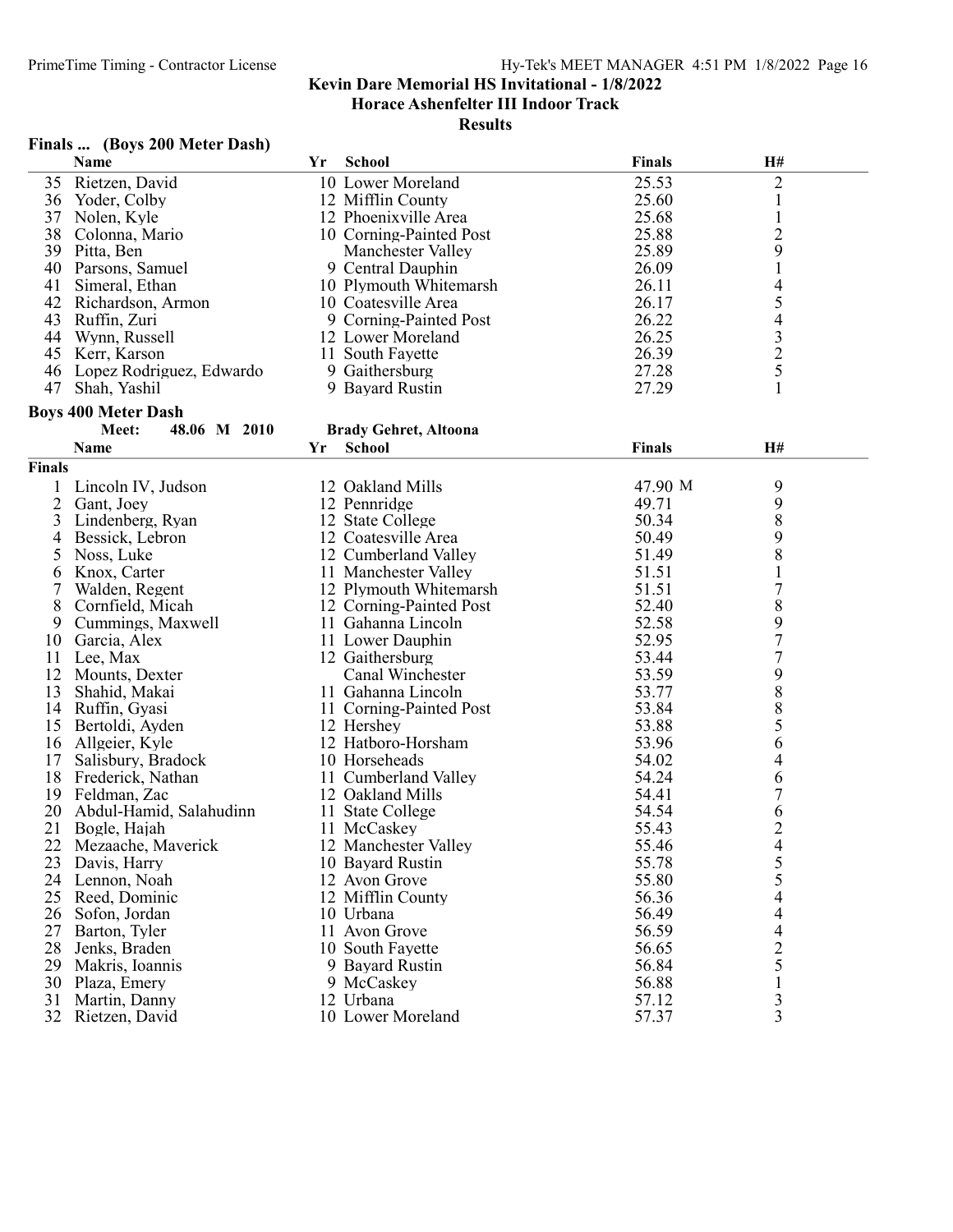| Finals |  |  | (Boys 200 Meter Dash) |  |
|--------|--|--|-----------------------|--|
|--------|--|--|-----------------------|--|

|               | <b>Name</b>                | Yr | <b>School</b>                | Finals        | H#                                              |  |
|---------------|----------------------------|----|------------------------------|---------------|-------------------------------------------------|--|
| 35            | Rietzen, David             |    | 10 Lower Moreland            | 25.53         | $\overline{c}$                                  |  |
| 36            | Yoder, Colby               |    | 12 Mifflin County            | 25.60         | $\mathbf{1}$                                    |  |
| 37            | Nolen, Kyle                |    | 12 Phoenixville Area         | 25.68         | $\mathbf{1}$                                    |  |
| 38            | Colonna, Mario             |    | 10 Corning-Painted Post      | 25.88         | $\overline{c}$                                  |  |
| 39            | Pitta, Ben                 |    | Manchester Valley            | 25.89         | 9                                               |  |
| 40            | Parsons, Samuel            |    | 9 Central Dauphin            | 26.09         | $\mathbf{1}$                                    |  |
| 41            | Simeral, Ethan             |    | 10 Plymouth Whitemarsh       | 26.11         | $\overline{\mathcal{L}}$                        |  |
| 42            | Richardson, Armon          |    | 10 Coatesville Area          | 26.17         |                                                 |  |
| 43            | Ruffin, Zuri               |    | 9 Corning-Painted Post       | 26.22         | $\begin{array}{c} 5 \\ 4 \\ 3 \\ 2 \end{array}$ |  |
| 44            | Wynn, Russell              |    | 12 Lower Moreland            | 26.25         |                                                 |  |
| 45            | Kerr, Karson               |    | 11 South Fayette             | 26.39         |                                                 |  |
| 46            |                            |    | 9 Gaithersburg               | 27.28         | 5                                               |  |
| 47            | Lopez Rodriguez, Edwardo   |    | 9 Bayard Rustin              | 27.29         | $\mathbf{1}$                                    |  |
|               | Shah, Yashil               |    |                              |               |                                                 |  |
|               | <b>Boys 400 Meter Dash</b> |    |                              |               |                                                 |  |
|               | 48.06 M 2010<br>Meet:      |    | <b>Brady Gehret, Altoona</b> |               |                                                 |  |
|               | <b>Name</b>                | Yr | <b>School</b>                | <b>Finals</b> | H#                                              |  |
| <b>Finals</b> |                            |    |                              |               |                                                 |  |
| 1             | Lincoln IV, Judson         |    | 12 Oakland Mills             | 47.90 M       | 9                                               |  |
| 2             | Gant, Joey                 |    | 12 Pennridge                 | 49.71         | 9                                               |  |
| 3             | Lindenberg, Ryan           |    | 12 State College             | 50.34         | 8                                               |  |
| 4             | Bessick, Lebron            |    | 12 Coatesville Area          | 50.49         | 9                                               |  |
| 5             | Noss, Luke                 |    | 12 Cumberland Valley         | 51.49         | 8                                               |  |
|               | Knox, Carter               |    |                              | 51.51         |                                                 |  |
| 6             |                            |    | 11 Manchester Valley         |               | $\mathbf{1}$                                    |  |
| 7             | Walden, Regent             |    | 12 Plymouth Whitemarsh       | 51.51         | $\overline{7}$                                  |  |
| 8             | Cornfield, Micah           |    | 12 Corning-Painted Post      | 52.40         | 8                                               |  |
| 9             | Cummings, Maxwell          |    | 11 Gahanna Lincoln           | 52.58         | 9                                               |  |
| 10            | Garcia, Alex               |    | 11 Lower Dauphin             | 52.95         | $\overline{7}$                                  |  |
| 11            | Lee, Max                   |    | 12 Gaithersburg              | 53.44         | $\overline{7}$                                  |  |
| 12            | Mounts, Dexter             |    | Canal Winchester             | 53.59         | 9<br>8<br>8                                     |  |
| 13            | Shahid, Makai              |    | 11 Gahanna Lincoln           | 53.77         |                                                 |  |
| 14            | Ruffin, Gyasi              |    | 11 Corning-Painted Post      | 53.84         |                                                 |  |
| 15            | Bertoldi, Ayden            |    | 12 Hershey                   | 53.88         | 5                                               |  |
| 16            | Allgeier, Kyle             |    | 12 Hatboro-Horsham           | 53.96         | 6                                               |  |
| 17            | Salisbury, Bradock         |    | 10 Horseheads                | 54.02         | 4                                               |  |
| 18            | Frederick, Nathan          |    | 11 Cumberland Valley         | 54.24         | 6                                               |  |
| 19            | Feldman, Zac               |    | 12 Oakland Mills             | 54.41         | $\overline{7}$                                  |  |
| 20            | Abdul-Hamid, Salahudinn    |    | 11 State College             | 54.54         | 6                                               |  |
| 21            | Bogle, Hajah               |    | 11 McCaskey                  | 55.43         | $\overline{c}$                                  |  |
| 22            | Mezaache, Maverick         |    | 12 Manchester Valley         | 55.46         | $\overline{4}$                                  |  |
| 23            | Davis, Harry               |    | 10 Bayard Rustin             | 55.78         |                                                 |  |
| 24            | Lennon, Noah               |    | 12 Avon Grove                | 55.80         | 5<br>5                                          |  |
| 25            | Reed, Dominic              |    | 12 Mifflin County            | 56.36         | 4                                               |  |
| 26            | Sofon, Jordan              |    | 10 Urbana                    | 56.49         | 4                                               |  |
| 27            | Barton, Tyler              |    | 11 Avon Grove                | 56.59         | $\overline{4}$                                  |  |
| 28            | Jenks, Braden              |    | 10 South Fayette             | 56.65         | $\overline{2}$                                  |  |
| 29            | Makris, Ioannis            |    | 9 Bayard Rustin              | 56.84         | 5                                               |  |
| 30            | Plaza, Emery               |    | 9 McCaskey                   | 56.88         | $\mathbf{1}$                                    |  |
| 31            | Martin, Danny              |    | 12 Urbana                    | 57.12         | 3                                               |  |
| 32            | Rietzen, David             |    | 10 Lower Moreland            | 57.37         | $\overline{3}$                                  |  |
|               |                            |    |                              |               |                                                 |  |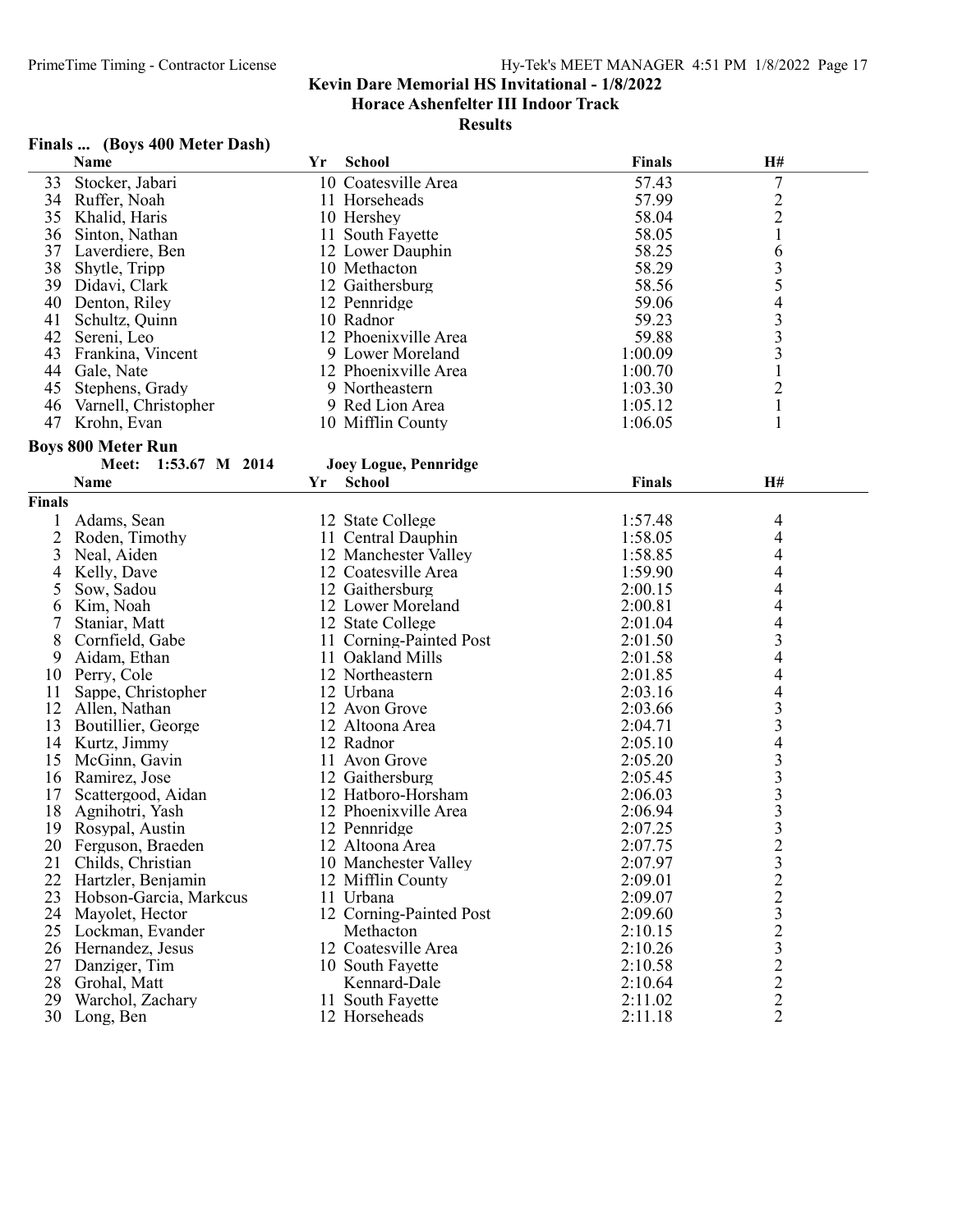Results

# Finals ... (Boys 400 Meter Dash)

|                | Name                      | Yr | <b>School</b>           | <b>Finals</b> | H#                                              |  |
|----------------|---------------------------|----|-------------------------|---------------|-------------------------------------------------|--|
| 33             | Stocker, Jabari           |    | 10 Coatesville Area     | 57.43         | $\overline{7}$                                  |  |
| 34             | Ruffer, Noah              |    | 11 Horseheads           | 57.99         |                                                 |  |
| 35             | Khalid, Haris             |    | 10 Hershey              | 58.04         | $\frac{2}{2}$                                   |  |
| 36             | Sinton, Nathan            |    | 11 South Fayette        | 58.05         | $\mathbf{1}$                                    |  |
| 37             | Laverdiere, Ben           |    | 12 Lower Dauphin        | 58.25         | 6                                               |  |
| 38             | Shytle, Tripp             |    | 10 Methacton            | 58.29         |                                                 |  |
| 39             | Didavi, Clark             |    | 12 Gaithersburg         | 58.56         | $rac{3}{5}$                                     |  |
| 40             | Denton, Riley             |    | 12 Pennridge            | 59.06         |                                                 |  |
| 41             | Schultz, Quinn            |    | 10 Radnor               | 59.23         | $\begin{array}{c} 4 \\ 3 \\ 3 \end{array}$      |  |
| 42             | Sereni, Leo               |    | 12 Phoenixville Area    | 59.88         |                                                 |  |
| 43             | Frankina, Vincent         |    | 9 Lower Moreland        | 1:00.09       | $\overline{\mathbf{3}}$                         |  |
|                |                           |    |                         |               |                                                 |  |
| 44             | Gale, Nate                |    | 12 Phoenixville Area    | 1:00.70       | $\mathbf{1}$                                    |  |
| 45             | Stephens, Grady           |    | 9 Northeastern          | 1:03.30       | $\overline{c}$                                  |  |
| 46             | Varnell, Christopher      |    | 9 Red Lion Area         | 1:05.12       | $\mathbf{1}$                                    |  |
|                | 47 Krohn, Evan            |    | 10 Mifflin County       | 1:06.05       | 1                                               |  |
|                | <b>Boys 800 Meter Run</b> |    |                         |               |                                                 |  |
|                | 1:53.67 M 2014<br>Meet:   |    | Joey Logue, Pennridge   |               |                                                 |  |
|                | <b>Name</b>               | Yr | <b>School</b>           | Finals        | H#                                              |  |
| <b>Finals</b>  |                           |    |                         |               |                                                 |  |
| 1              | Adams, Sean               |    | 12 State College        | 1:57.48       | 4                                               |  |
|                |                           |    |                         |               |                                                 |  |
| $\overline{2}$ | Roden, Timothy            |    | 11 Central Dauphin      | 1:58.05       | 4                                               |  |
| 3              | Neal, Aiden               |    | 12 Manchester Valley    | 1:58.85       | 4                                               |  |
| 4              | Kelly, Dave               |    | 12 Coatesville Area     | 1:59.90       | 4                                               |  |
| 5              | Sow, Sadou                |    | 12 Gaithersburg         | 2:00.15       | 4                                               |  |
| 6              | Kim, Noah                 |    | 12 Lower Moreland       | 2:00.81       | 4                                               |  |
| 7              | Staniar, Matt             |    | 12 State College        | 2:01.04       | 4                                               |  |
| 8              | Cornfield, Gabe           |    | 11 Corning-Painted Post | 2:01.50       | 3                                               |  |
| 9              | Aidam, Ethan              |    | 11 Oakland Mills        | 2:01.58       | 4                                               |  |
| 10             | Perry, Cole               |    | 12 Northeastern         | 2:01.85       | 4                                               |  |
| 11             | Sappe, Christopher        |    | 12 Urbana               | 2:03.16       | 4                                               |  |
| 12             | Allen, Nathan             |    | 12 Avon Grove           | 2:03.66       | $\frac{3}{3}$                                   |  |
| 13             | Boutillier, George        |    | 12 Altoona Area         | 2:04.71       |                                                 |  |
| 14             | Kurtz, Jimmy              |    | 12 Radnor               | 2:05.10       | $\overline{\mathcal{L}}$                        |  |
| 15             | McGinn, Gavin             |    | 11 Avon Grove           | 2:05.20       |                                                 |  |
| 16             | Ramirez, Jose             |    | 12 Gaithersburg         | 2:05.45       |                                                 |  |
| 17             | Scattergood, Aidan        |    | 12 Hatboro-Horsham      | 2:06.03       | $\begin{array}{c} 3 \\ 3 \\ 3 \\ 3 \end{array}$ |  |
| 18             | Agnihotri, Yash           |    | 12 Phoenixville Area    | 2:06.94       |                                                 |  |
| 19             | Rosypal, Austin           |    | 12 Pennridge            | 2:07.25       |                                                 |  |
| 20             | Ferguson, Braeden         |    | 12 Altoona Area         | 2:07.75       | $\overline{2}$                                  |  |
| 21             | Childs, Christian         |    | 10 Manchester Valley    | 2:07.97       |                                                 |  |
| 22             | Hartzler, Benjamin        |    | 12 Mifflin County       | 2:09.01       |                                                 |  |
| 23             | Hobson-Garcia, Markcus    |    | 11 Urbana               | 2:09.07       | $\frac{3}{2}$ $\frac{2}{3}$ $\frac{3}{2}$       |  |
|                |                           |    |                         |               |                                                 |  |
| 24             | Mayolet, Hector           |    | 12 Corning-Painted Post | 2:09.60       |                                                 |  |
| 25             | Lockman, Evander          |    | Methacton               | 2:10.15       |                                                 |  |
| 26             | Hernandez, Jesus          |    | 12 Coatesville Area     | 2:10.26       | $\overline{\mathbf{3}}$                         |  |
| 27             | Danziger, Tim             |    | 10 South Fayette        | 2:10.58       | $\frac{2}{2}$                                   |  |
| 28             | Grohal, Matt              |    | Kennard-Dale            | 2:10.64       |                                                 |  |
| 29             | Warchol, Zachary          |    | 11 South Fayette        | 2:11.02       | $\overline{c}$                                  |  |
| 30             | Long, Ben                 |    | 12 Horseheads           | 2:11.18       | $\overline{2}$                                  |  |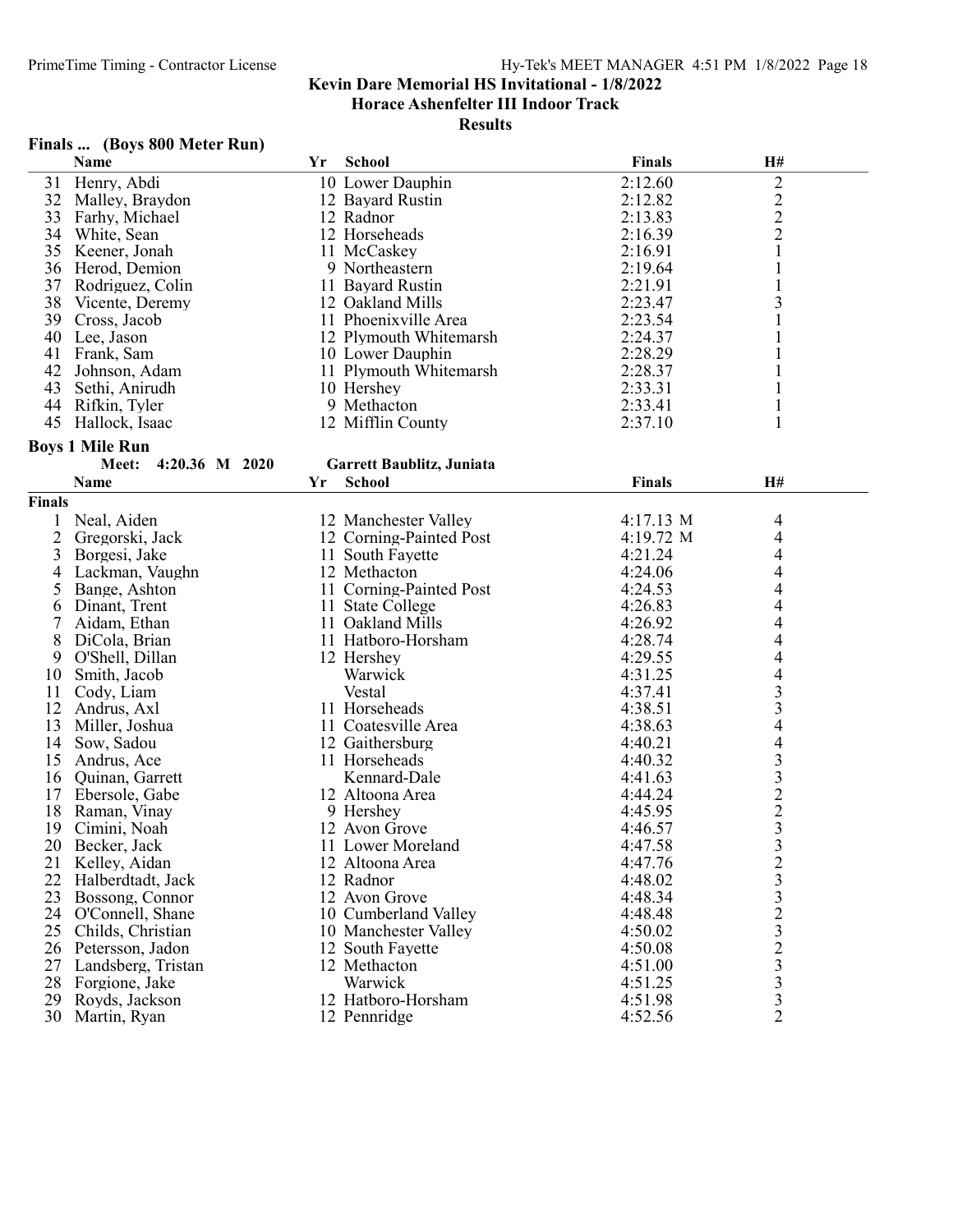Horace Ashenfelter III Indoor Track

Results

# Finals ... (Boys 800 Meter Run)

|        | <b>Name</b>             | Yr | School                    | <b>Finals</b>       | H#                      |  |
|--------|-------------------------|----|---------------------------|---------------------|-------------------------|--|
| 31     | Henry, Abdi             |    | 10 Lower Dauphin          | 2:12.60             | $\sqrt{2}$              |  |
| 32     | Malley, Braydon         |    | 12 Bayard Rustin          | 2:12.82             | $\sqrt{2}$              |  |
| 33     | Farhy, Michael          |    | 12 Radnor                 | 2:13.83             | $\overline{c}$          |  |
| 34     | White, Sean             |    | 12 Horseheads             | 2:16.39             | $\overline{c}$          |  |
| 35     | Keener, Jonah           |    | 11 McCaskey               | 2:16.91             | 1                       |  |
| 36     | Herod, Demion           |    | 9 Northeastern            | 2:19.64             | 1                       |  |
| 37     | Rodriguez, Colin        |    | 11 Bayard Rustin          | 2:21.91             | 1                       |  |
| 38     | Vicente, Deremy         |    | 12 Oakland Mills          | 2:23.47             | 3                       |  |
| 39     | Cross, Jacob            |    | 11 Phoenixville Area      | 2:23.54             | 1                       |  |
| 40     | Lee, Jason              |    | 12 Plymouth Whitemarsh    | 2:24.37             |                         |  |
| 41     | Frank, Sam              |    | 10 Lower Dauphin          | 2:28.29             |                         |  |
| 42     | Johnson, Adam           |    | 11 Plymouth Whitemarsh    | 2:28.37             |                         |  |
| 43     | Sethi, Anirudh          |    | 10 Hershey                | 2:33.31             | 1                       |  |
| 44     | Rifkin, Tyler           |    | 9 Methacton               | 2:33.41             | $\mathbf{1}$            |  |
| 45     | Hallock, Isaac          |    | 12 Mifflin County         | 2:37.10             | $\mathbf{1}$            |  |
|        |                         |    |                           |                     |                         |  |
|        | <b>Boys 1 Mile Run</b>  |    |                           |                     |                         |  |
|        | Meet:<br>4:20.36 M 2020 |    | Garrett Baublitz, Juniata |                     |                         |  |
|        | <b>Name</b>             | Yr | <b>School</b>             | <b>Finals</b>       | H#                      |  |
| Finals |                         |    |                           |                     |                         |  |
| 1      | Neal, Aiden             |    | 12 Manchester Valley      | $4:17.13 \text{ M}$ | 4                       |  |
| 2      | Gregorski, Jack         |    | 12 Corning-Painted Post   | 4:19.72 M           | $\overline{4}$          |  |
| 3      | Borgesi, Jake           |    | 11 South Fayette          | 4:21.24             | 4                       |  |
| 4      | Lackman, Vaughn         |    | 12 Methacton              | 4:24.06             | 4                       |  |
| 5      | Bange, Ashton           |    | 11 Corning-Painted Post   | 4:24.53             | 4                       |  |
| 6      | Dinant, Trent           |    | 11 State College          | 4:26.83             | 4                       |  |
| 7      | Aidam, Ethan            |    | 11 Oakland Mills          | 4:26.92             | 4                       |  |
| 8      | DiCola, Brian           |    | 11 Hatboro-Horsham        | 4:28.74             | 4                       |  |
| 9      | O'Shell, Dillan         |    | 12 Hershey                | 4:29.55             | 4                       |  |
| 10     | Smith, Jacob            |    | Warwick                   | 4:31.25             | 4                       |  |
| 11     | Cody, Liam              |    | Vestal                    | 4:37.41             | 3                       |  |
| 12     | Andrus, Axl             |    | 11 Horseheads             | 4:38.51             | 3                       |  |
| 13     | Miller, Joshua          |    | 11 Coatesville Area       | 4:38.63             | 4                       |  |
| 14     | Sow, Sadou              |    | 12 Gaithersburg           | 4:40.21             | 4                       |  |
| 15     | Andrus, Ace             |    | 11 Horseheads             | 4:40.32             | $\overline{\mathbf{3}}$ |  |
| 16     | Quinan, Garrett         |    | Kennard-Dale              | 4:41.63             | 3                       |  |
| 17     | Ebersole, Gabe          |    | 12 Altoona Area           | 4:44.24             |                         |  |
| 18     | Raman, Vinay            |    | 9 Hershey                 | 4:45.95             |                         |  |
| 19     | Cimini, Noah            |    | 12 Avon Grove             | 4:46.57             | $\frac{2}{3}$           |  |
| 20     | Becker, Jack            |    | 11 Lower Moreland         | 4:47.58             | $\overline{3}$          |  |
| 21     | Kelley, Aidan           |    | 12 Altoona Area           | 4:47.76             |                         |  |
| 22     | Halberdtadt, Jack       |    | 12 Radnor                 | 4:48.02             | $\frac{2}{3}$           |  |
| 23     | Bossong, Connor         |    | 12 Avon Grove             | 4:48.34             |                         |  |
| 24     | O'Connell, Shane        |    | 10 Cumberland Valley      | 4:48.48             | $\frac{3}{2}$           |  |
| 25     | Childs, Christian       |    | 10 Manchester Valley      | 4:50.02             |                         |  |
| 26     | Petersson, Jadon        |    | 12 South Fayette          | 4:50.08             | $\overline{c}$          |  |
| 27     | Landsberg, Tristan      |    | 12 Methacton              | 4:51.00             | $\overline{\mathbf{3}}$ |  |
| 28     | Forgione, Jake          |    | Warwick                   | 4:51.25             | 3                       |  |
| 29     | Royds, Jackson          |    | 12 Hatboro-Horsham        | 4:51.98             | 3                       |  |
| 30     | Martin, Ryan            |    | 12 Pennridge              | 4:52.56             | $\overline{2}$          |  |
|        |                         |    |                           |                     |                         |  |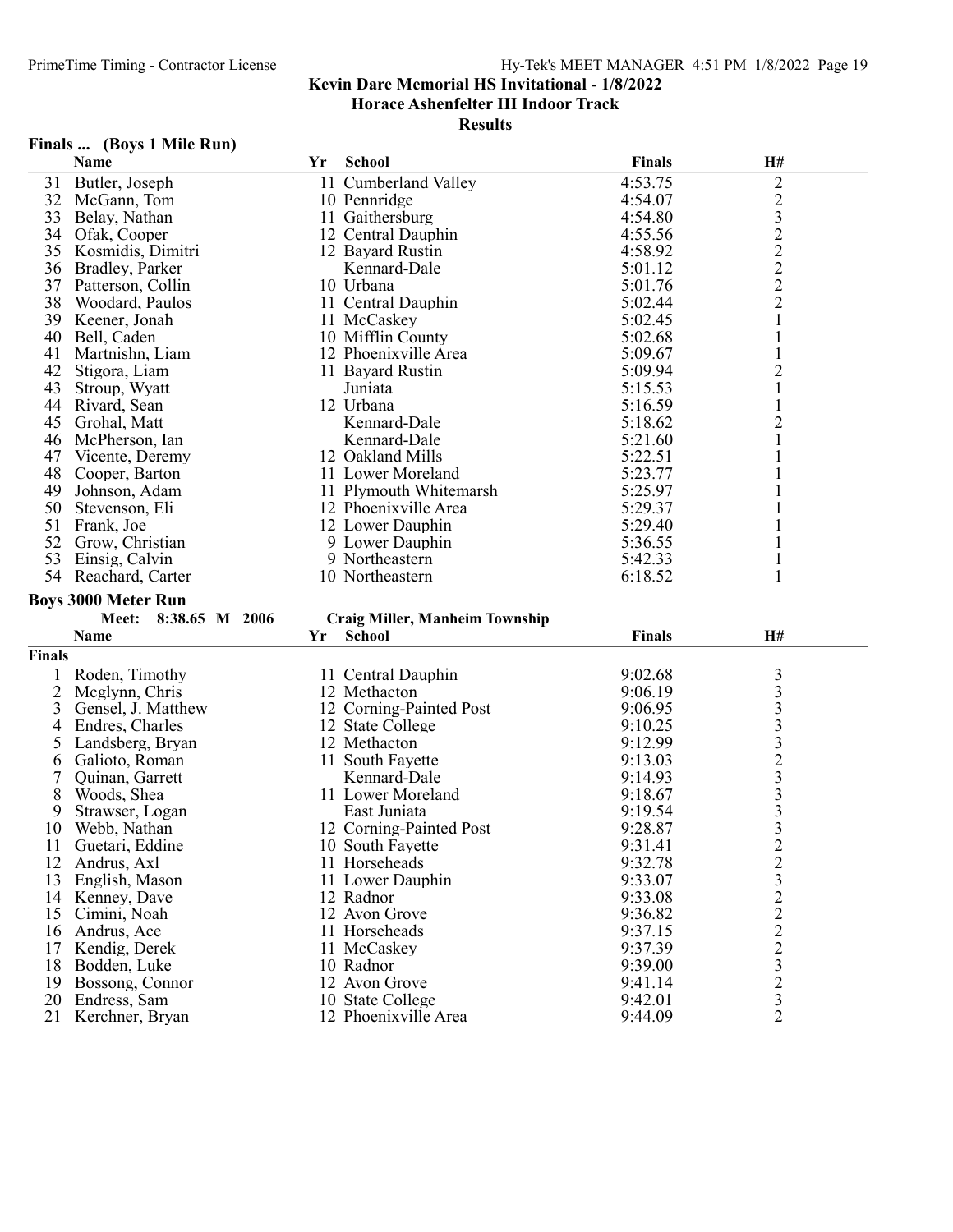Results

# Finals ... (Boys 1 Mile Run)

| Name              | Yr                                                                                 | <b>School</b> | <b>Finals</b>                                                                                                                                                                                                                                                                                                                                                                                                                            | H#                                                                                       |                                                                                                        |
|-------------------|------------------------------------------------------------------------------------|---------------|------------------------------------------------------------------------------------------------------------------------------------------------------------------------------------------------------------------------------------------------------------------------------------------------------------------------------------------------------------------------------------------------------------------------------------------|------------------------------------------------------------------------------------------|--------------------------------------------------------------------------------------------------------|
| Butler, Joseph    |                                                                                    |               | 4:53.75                                                                                                                                                                                                                                                                                                                                                                                                                                  | $\overline{c}$                                                                           |                                                                                                        |
| McGann, Tom       |                                                                                    |               | 4:54.07                                                                                                                                                                                                                                                                                                                                                                                                                                  |                                                                                          |                                                                                                        |
| Belay, Nathan     |                                                                                    |               | 4:54.80                                                                                                                                                                                                                                                                                                                                                                                                                                  |                                                                                          |                                                                                                        |
| Ofak, Cooper      |                                                                                    |               | 4:55.56                                                                                                                                                                                                                                                                                                                                                                                                                                  |                                                                                          |                                                                                                        |
| Kosmidis, Dimitri |                                                                                    |               | 4:58.92                                                                                                                                                                                                                                                                                                                                                                                                                                  |                                                                                          |                                                                                                        |
| Bradley, Parker   |                                                                                    | Kennard-Dale  | 5:01.12                                                                                                                                                                                                                                                                                                                                                                                                                                  |                                                                                          |                                                                                                        |
| Patterson, Collin |                                                                                    |               | 5:01.76                                                                                                                                                                                                                                                                                                                                                                                                                                  |                                                                                          |                                                                                                        |
| Woodard, Paulos   |                                                                                    |               | 5:02.44                                                                                                                                                                                                                                                                                                                                                                                                                                  |                                                                                          |                                                                                                        |
| Keener, Jonah     |                                                                                    |               | 5:02.45                                                                                                                                                                                                                                                                                                                                                                                                                                  |                                                                                          |                                                                                                        |
| Bell, Caden       |                                                                                    |               | 5:02.68                                                                                                                                                                                                                                                                                                                                                                                                                                  |                                                                                          |                                                                                                        |
| Martnishn, Liam   |                                                                                    |               | 5:09.67                                                                                                                                                                                                                                                                                                                                                                                                                                  |                                                                                          |                                                                                                        |
| Stigora, Liam     |                                                                                    |               | 5:09.94                                                                                                                                                                                                                                                                                                                                                                                                                                  |                                                                                          |                                                                                                        |
| Stroup, Wyatt     |                                                                                    | Juniata       | 5:15.53                                                                                                                                                                                                                                                                                                                                                                                                                                  |                                                                                          |                                                                                                        |
| Rivard, Sean      |                                                                                    |               | 5:16.59                                                                                                                                                                                                                                                                                                                                                                                                                                  |                                                                                          |                                                                                                        |
| Grohal, Matt      |                                                                                    |               |                                                                                                                                                                                                                                                                                                                                                                                                                                          |                                                                                          |                                                                                                        |
|                   |                                                                                    |               |                                                                                                                                                                                                                                                                                                                                                                                                                                          |                                                                                          |                                                                                                        |
| Vicente, Deremy   |                                                                                    |               | 5:22.51                                                                                                                                                                                                                                                                                                                                                                                                                                  |                                                                                          |                                                                                                        |
| Cooper, Barton    |                                                                                    |               | 5:23.77                                                                                                                                                                                                                                                                                                                                                                                                                                  |                                                                                          |                                                                                                        |
| Johnson, Adam     |                                                                                    |               | 5:25.97                                                                                                                                                                                                                                                                                                                                                                                                                                  |                                                                                          |                                                                                                        |
| Stevenson, Eli    |                                                                                    |               | 5:29.37                                                                                                                                                                                                                                                                                                                                                                                                                                  |                                                                                          |                                                                                                        |
|                   |                                                                                    |               |                                                                                                                                                                                                                                                                                                                                                                                                                                          |                                                                                          |                                                                                                        |
| Grow, Christian   |                                                                                    |               | 5:36.55                                                                                                                                                                                                                                                                                                                                                                                                                                  |                                                                                          |                                                                                                        |
| Einsig, Calvin    |                                                                                    |               | 5:42.33                                                                                                                                                                                                                                                                                                                                                                                                                                  |                                                                                          |                                                                                                        |
| Reachard, Carter  |                                                                                    |               | 6:18.52                                                                                                                                                                                                                                                                                                                                                                                                                                  |                                                                                          |                                                                                                        |
|                   |                                                                                    |               |                                                                                                                                                                                                                                                                                                                                                                                                                                          |                                                                                          |                                                                                                        |
| 54                | McPherson, Ian<br>Frank, Joe<br><b>Boys 3000 Meter Run</b><br>$20 \leq x \leq 200$ |               | 11 Cumberland Valley<br>10 Pennridge<br>11 Gaithersburg<br>12 Central Dauphin<br>12 Bayard Rustin<br>10 Urbana<br>11 Central Dauphin<br>11 McCaskey<br>10 Mifflin County<br>12 Phoenixville Area<br>11 Bayard Rustin<br>12 Urbana<br>Kennard-Dale<br>Kennard-Dale<br>12 Oakland Mills<br>11 Lower Moreland<br>11 Plymouth Whitemarsh<br>12 Phoenixville Area<br>12 Lower Dauphin<br>9 Lower Dauphin<br>9 Northeastern<br>10 Northeastern | 5:18.62<br>5:21.60<br>5:29.40<br>$\sim$ $\sim$ $\sim$ $\sim$ $\sim$<br><b>CONTRACTOR</b> | $\frac{2}{3}$<br>$\overline{c}$<br>$\overline{2}$<br>$\frac{2}{2}$<br>$\overline{c}$<br>$\overline{c}$ |

# Meet: 8:38.65 M 2006 Craig Miller, Manheim Township<br>Name Vr School

|        | Name               | Yr | <b>School</b>           | Finals  | <b>H#</b>      |  |
|--------|--------------------|----|-------------------------|---------|----------------|--|
| Finals |                    |    |                         |         |                |  |
|        | Roden, Timothy     |    | 11 Central Dauphin      | 9:02.68 | 3              |  |
|        | Mcglynn, Chris     |    | 12 Methacton            | 9:06.19 |                |  |
| 3      | Gensel, J. Matthew |    | 12 Corning-Painted Post | 9:06.95 |                |  |
| 4      | Endres, Charles    |    | 12 State College        | 9:10.25 |                |  |
| 5      | Landsberg, Bryan   |    | 12 Methacton            | 9:12.99 | 3              |  |
| 6      | Galioto, Roman     |    | 11 South Fayette        | 9:13.03 |                |  |
|        | Quinan, Garrett    |    | Kennard-Dale            | 9:14.93 | 3              |  |
| 8      | Woods, Shea        |    | 11 Lower Moreland       | 9:18.67 | 3              |  |
| 9      | Strawser, Logan    |    | East Juniata            | 9:19.54 |                |  |
| 10     | Webb, Nathan       |    | 12 Corning-Painted Post | 9:28.87 | 3              |  |
| 11     | Guetari, Eddine    |    | 10 South Fayette        | 9:31.41 | 2              |  |
| 12     | Andrus, Axl        |    | 11 Horseheads           | 9:32.78 | $\frac{2}{3}$  |  |
| 13     | English, Mason     |    | 11 Lower Dauphin        | 9:33.07 |                |  |
| 14     | Kenney, Dave       |    | 12 Radnor               | 9:33.08 |                |  |
| 15     | Cimini, Noah       |    | 12 Avon Grove           | 9:36.82 | $\overline{c}$ |  |
| 16     | Andrus, Ace        |    | 11 Horseheads           | 9:37.15 | $\overline{c}$ |  |
| 17     | Kendig, Derek      |    | 11 McCaskey             | 9:37.39 | $\overline{c}$ |  |
| 18     | Bodden, Luke       |    | 10 Radnor               | 9:39.00 | 3              |  |
| 19     | Bossong, Connor    |    | 12 Avon Grove           | 9:41.14 | $\overline{c}$ |  |
| 20     | Endress, Sam       |    | 10 State College        | 9:42.01 | 3              |  |
| 21     | Kerchner, Bryan    |    | 12 Phoenixville Area    | 9:44.09 | $\overline{2}$ |  |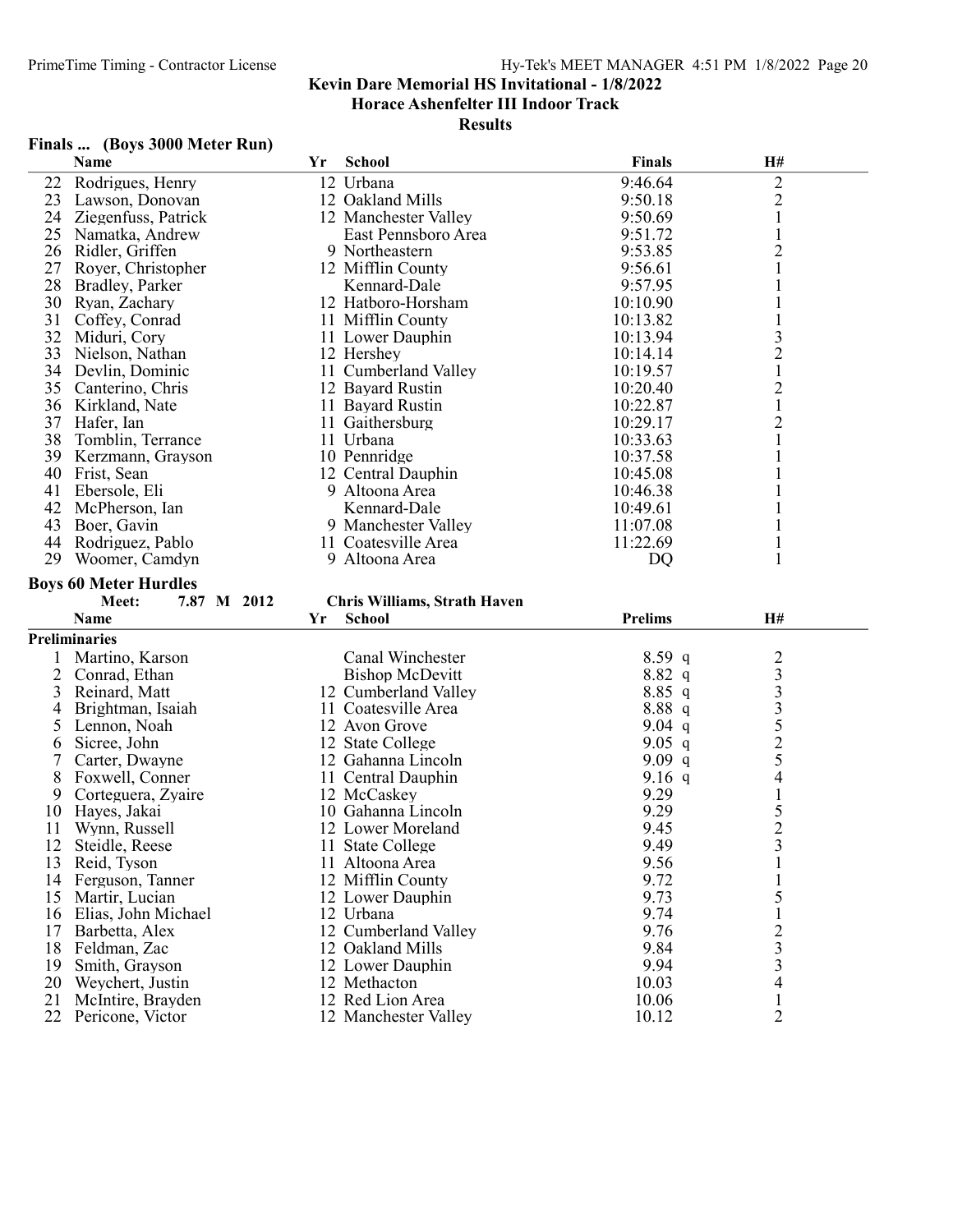#### Results

# Finals ... (Boys 3000 Meter Run)

|          | Name                                  | Yr | School                                        | <b>Finals</b>  | H#                             |
|----------|---------------------------------------|----|-----------------------------------------------|----------------|--------------------------------|
| 22       | Rodrigues, Henry                      |    | 12 Urbana                                     | 9:46.64        | $\mathbf{2}$                   |
| 23       | Lawson, Donovan                       |    | 12 Oakland Mills                              | 9:50.18        | $\overline{c}$                 |
| 24       | Ziegenfuss, Patrick                   |    | 12 Manchester Valley                          | 9:50.69        | $\mathbf{1}$                   |
| 25       | Namatka, Andrew                       |    | East Pennsboro Area                           | 9:51.72        | $\mathbf{1}$                   |
| 26       | Ridler, Griffen                       |    | 9 Northeastern                                | 9:53.85        | $\overline{c}$                 |
| 27       | Royer, Christopher                    |    | 12 Mifflin County                             | 9:56.61        | $\mathbf{1}$                   |
| 28       | Bradley, Parker                       |    | Kennard-Dale                                  | 9:57.95        | $\mathbf{1}$                   |
| 30       | Ryan, Zachary                         |    | 12 Hatboro-Horsham                            | 10:10.90       | $\mathbf{1}$                   |
| 31       | Coffey, Conrad                        |    | 11 Mifflin County                             | 10:13.82       |                                |
| 32       | Miduri, Cory                          |    | 11 Lower Dauphin                              | 10:13.94       |                                |
| 33       | Nielson, Nathan                       |    | 12 Hershey                                    | 10:14.14       | $\frac{3}{2}$                  |
| 34       | Devlin, Dominic                       |    | 11 Cumberland Valley                          | 10:19.57       | $\,1$                          |
| 35       | Canterino, Chris                      |    | 12 Bayard Rustin                              | 10:20.40       | $\overline{2}$                 |
| 36       | Kirkland, Nate                        |    | 11 Bayard Rustin                              | 10:22.87       | $\,1\,$                        |
| 37       |                                       |    |                                               | 10:29.17       |                                |
|          | Hafer, Ian                            |    | 11 Gaithersburg                               |                | $\overline{c}$                 |
| 38       | Tomblin, Terrance                     |    | 11 Urbana                                     | 10:33.63       | $\mathbf{1}$                   |
| 39       | Kerzmann, Grayson                     |    | 10 Pennridge                                  | 10:37.58       | 1                              |
| 40       | Frist, Sean                           |    | 12 Central Dauphin                            | 10:45.08       | 1                              |
| 41       | Ebersole, Eli                         |    | 9 Altoona Area                                | 10:46.38       | $\mathbf{1}$                   |
| 42       | McPherson, Ian                        |    | Kennard-Dale                                  | 10:49.61       | $\mathbf{1}$                   |
| 43       | Boer, Gavin                           |    | 9 Manchester Valley                           | 11:07.08       |                                |
| 44       | Rodriguez, Pablo                      |    | 11 Coatesville Area                           | 11:22.69       | $\mathbf{1}$                   |
| 29       | Woomer, Camdyn                        |    | 9 Altoona Area                                | DQ             | 1                              |
|          | <b>Boys 60 Meter Hurdles</b>          |    |                                               |                |                                |
|          |                                       |    |                                               |                |                                |
|          | 7.87 M 2012<br>Meet:                  |    |                                               |                |                                |
|          | <b>Name</b>                           | Yr | Chris Williams, Strath Haven<br><b>School</b> | <b>Prelims</b> | H#                             |
|          |                                       |    |                                               |                |                                |
|          | <b>Preliminaries</b>                  |    |                                               |                |                                |
| 1        | Martino, Karson                       |    | Canal Winchester                              | $8.59$ q       |                                |
| 2        | Conrad, Ethan                         |    | <b>Bishop McDevitt</b>                        | $8.82\ q$      |                                |
| 3        | Reinard, Matt                         |    | 12 Cumberland Valley                          | 8.85 q         |                                |
| 4        | Brightman, Isaiah                     |    | 11 Coatesville Area                           | 8.88 q         |                                |
| 5        | Lennon, Noah                          |    | 12 Avon Grove                                 | 9.04 $q$       |                                |
| 6        | Sicree, John                          |    | 12 State College                              | $9.05$ q       |                                |
| 7        | Carter, Dwayne                        |    | 12 Gahanna Lincoln                            | $9.09$ q       | 23333525                       |
| 8        | Foxwell, Conner                       |    | 11 Central Dauphin                            | 9.16 $q$       | 4                              |
| 9        | Corteguera, Zyaire                    |    | 12 McCaskey                                   | 9.29           | $\mathbf{1}$                   |
| 10       | Hayes, Jakai                          |    | 10 Gahanna Lincoln                            | 9.29           |                                |
| 11       | Wynn, Russell                         |    | 12 Lower Moreland                             | 9.45           |                                |
| 12       | Steidle, Reese                        |    | 11 State College                              | 9.49           | $\frac{5}{2}$                  |
| 13       | Reid, Tyson                           |    | 11 Altoona Area                               | 9.56           | $\mathbf{1}$                   |
| 14       | Ferguson, Tanner                      |    | 12 Mifflin County                             | 9.72           |                                |
| 15       | Martir, Lucian                        |    | 12 Lower Dauphin                              | 9.73           | 5                              |
| 16       | Elias, John Michael                   |    | 12 Urbana                                     | 9.74           | 1                              |
| 17       | Barbetta, Alex                        |    | 12 Cumberland Valley                          | 9.76           | $\overline{c}$                 |
| 18       | Feldman, Zac                          |    | 12 Oakland Mills                              | 9.84           | $\overline{\mathbf{3}}$        |
| 19       | Smith, Grayson                        |    | 12 Lower Dauphin                              | 9.94           | $\mathfrak{Z}$                 |
| 20       | Weychert, Justin                      |    | 12 Methacton                                  | 10.03          | 4                              |
| 21<br>22 | McIntire, Brayden<br>Pericone, Victor |    | 12 Red Lion Area<br>12 Manchester Valley      | 10.06<br>10.12 | $\mathbf{1}$<br>$\overline{2}$ |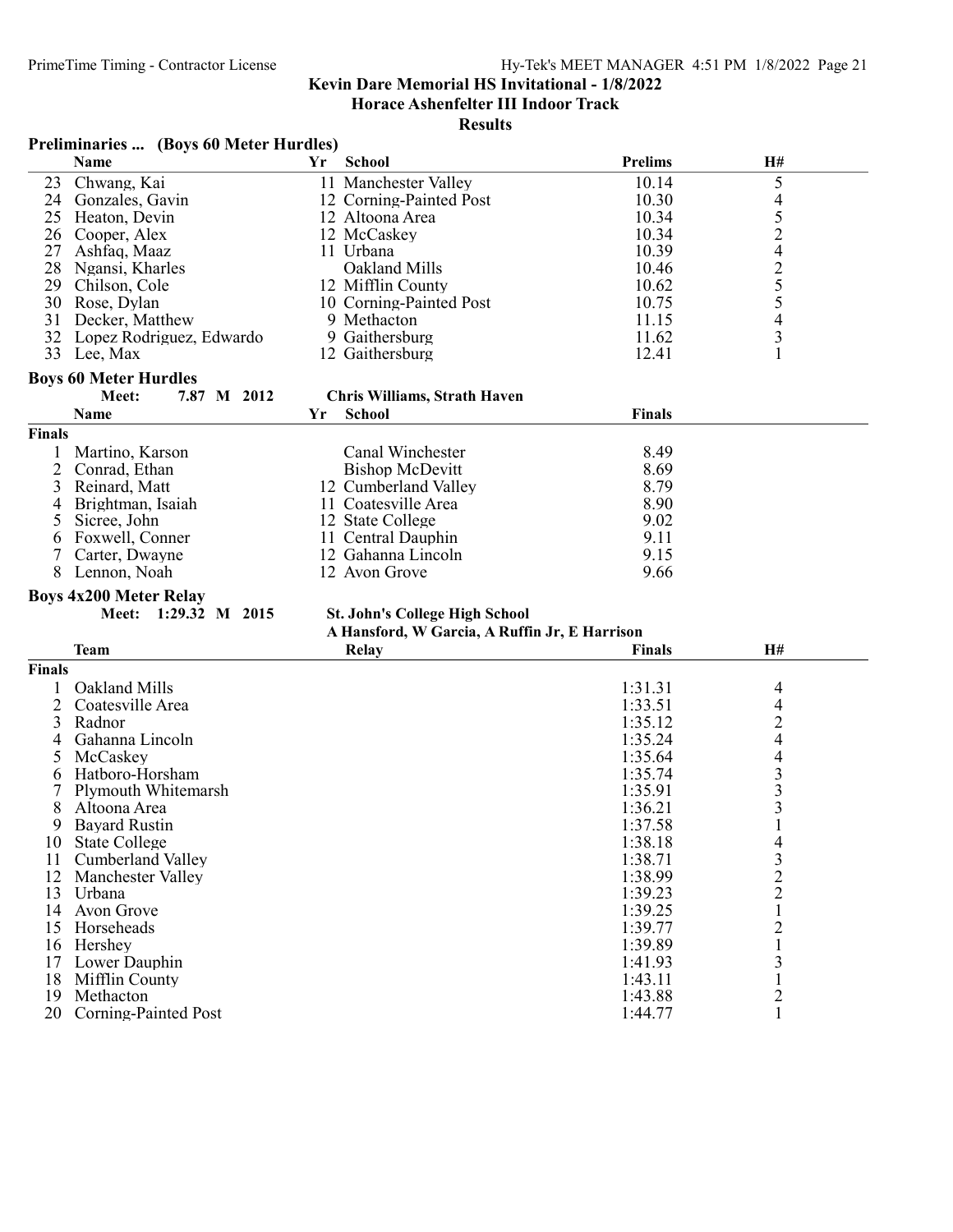Horace Ashenfelter III Indoor Track

#### Results

|                | <b>Preliminaries </b> (Boys 60 Meter Hurdles) |    |                                               |                |                                            |  |  |  |
|----------------|-----------------------------------------------|----|-----------------------------------------------|----------------|--------------------------------------------|--|--|--|
|                | Name                                          | Yr | <b>School</b>                                 | <b>Prelims</b> | H#                                         |  |  |  |
| 23             | Chwang, Kai                                   |    | 11 Manchester Valley                          | 10.14          | 5                                          |  |  |  |
|                | 24 Gonzales, Gavin                            |    | 12 Corning-Painted Post                       | 10.30          | 4                                          |  |  |  |
| 25             | Heaton, Devin                                 |    | 12 Altoona Area                               | 10.34          |                                            |  |  |  |
| 26             | Cooper, Alex                                  |    | 12 McCaskey                                   | 10.34          | 52425543                                   |  |  |  |
| 27             | Ashfaq, Maaz                                  |    | 11 Urbana                                     | 10.39          |                                            |  |  |  |
| 28             | Ngansi, Kharles                               |    | Oakland Mills                                 | 10.46          |                                            |  |  |  |
|                | 29 Chilson, Cole                              |    | 12 Mifflin County                             | 10.62          |                                            |  |  |  |
| 30             | Rose, Dylan                                   |    | 10 Corning-Painted Post                       | 10.75          |                                            |  |  |  |
| 31             | Decker, Matthew                               |    | 9 Methacton                                   | 11.15          |                                            |  |  |  |
| 32             | Lopez Rodriguez, Edwardo                      |    | 9 Gaithersburg                                | 11.62          |                                            |  |  |  |
| 33             | Lee, Max                                      |    | 12 Gaithersburg                               | 12.41          | $\mathbf{1}$                               |  |  |  |
|                | <b>Boys 60 Meter Hurdles</b>                  |    |                                               |                |                                            |  |  |  |
|                | Meet:<br>7.87 M 2012                          |    | <b>Chris Williams, Strath Haven</b>           |                |                                            |  |  |  |
|                | Name                                          | Yr | <b>School</b>                                 | <b>Finals</b>  |                                            |  |  |  |
| <b>Finals</b>  |                                               |    |                                               |                |                                            |  |  |  |
| 1              | Martino, Karson                               |    | Canal Winchester                              | 8.49           |                                            |  |  |  |
| 2              | Conrad, Ethan                                 |    | <b>Bishop McDevitt</b>                        | 8.69           |                                            |  |  |  |
| 3              | Reinard, Matt                                 |    | 12 Cumberland Valley                          | 8.79           |                                            |  |  |  |
| 4              | Brightman, Isaiah                             |    | 11 Coatesville Area                           | 8.90           |                                            |  |  |  |
| 5              | Sicree, John                                  |    | 12 State College                              | 9.02           |                                            |  |  |  |
| 6              | Foxwell, Conner                               |    | 11 Central Dauphin                            | 9.11           |                                            |  |  |  |
| 7              | Carter, Dwayne                                |    | 12 Gahanna Lincoln                            | 9.15           |                                            |  |  |  |
| 8              | Lennon, Noah                                  |    | 12 Avon Grove                                 | 9.66           |                                            |  |  |  |
|                | <b>Boys 4x200 Meter Relay</b>                 |    |                                               |                |                                            |  |  |  |
|                | 1:29.32 M 2015<br><b>Meet:</b>                |    | <b>St. John's College High School</b>         |                |                                            |  |  |  |
|                |                                               |    | A Hansford, W Garcia, A Ruffin Jr, E Harrison |                |                                            |  |  |  |
|                | <b>Team</b>                                   |    | Relay                                         | <b>Finals</b>  | H#                                         |  |  |  |
| <b>Finals</b>  |                                               |    |                                               |                |                                            |  |  |  |
|                | Oakland Mills                                 |    |                                               | 1:31.31        | 4                                          |  |  |  |
| $\overline{2}$ | Coatesville Area                              |    |                                               | 1:33.51        | 4                                          |  |  |  |
| 3              | Radnor                                        |    |                                               | 1:35.12        |                                            |  |  |  |
| 4              | Gahanna Lincoln                               |    |                                               | 1:35.24        | $\frac{2}{4}$                              |  |  |  |
| 5              | McCaskey                                      |    |                                               | 1:35.64        | 4                                          |  |  |  |
| 6              | Hatboro-Horsham                               |    |                                               | 1:35.74        |                                            |  |  |  |
|                | Plymouth Whitemarsh                           |    |                                               | 1:35.91        | $\begin{array}{c} 3 \\ 3 \\ 3 \end{array}$ |  |  |  |
| 8              | Altoona Area                                  |    |                                               | 1:36.21        |                                            |  |  |  |
|                | 9 Bayard Rustin                               |    |                                               | 1:37.58        | $\mathbf{1}$                               |  |  |  |
|                | <b>State College</b>                          |    |                                               | 1:38.18        |                                            |  |  |  |
| 10<br>11       | Cumberland Valley                             |    |                                               |                | 4                                          |  |  |  |
|                |                                               |    |                                               | 1:38.71        |                                            |  |  |  |
| 12             | Manchester Valley                             |    |                                               | 1:38.99        | $\frac{3}{2}$                              |  |  |  |
|                | 13 Urbana                                     |    |                                               | 1:39.23        |                                            |  |  |  |
| 14             | Avon Grove                                    |    |                                               | 1:39.25        | $\mathbf{1}$                               |  |  |  |
| 15             | Horseheads                                    |    |                                               | 1:39.77        | $\overline{\mathbf{c}}$                    |  |  |  |
| 16             | Hershey                                       |    |                                               | 1:39.89        | 1                                          |  |  |  |
| 17             | Lower Dauphin                                 |    |                                               | 1:41.93        | 3                                          |  |  |  |
| 18             | Mifflin County                                |    |                                               | 1:43.11        | $\mathbf{1}$                               |  |  |  |
| 19             | Methacton                                     |    |                                               | 1:43.88        | $\overline{2}$                             |  |  |  |

20 Corning-Painted Post 1:44.77 1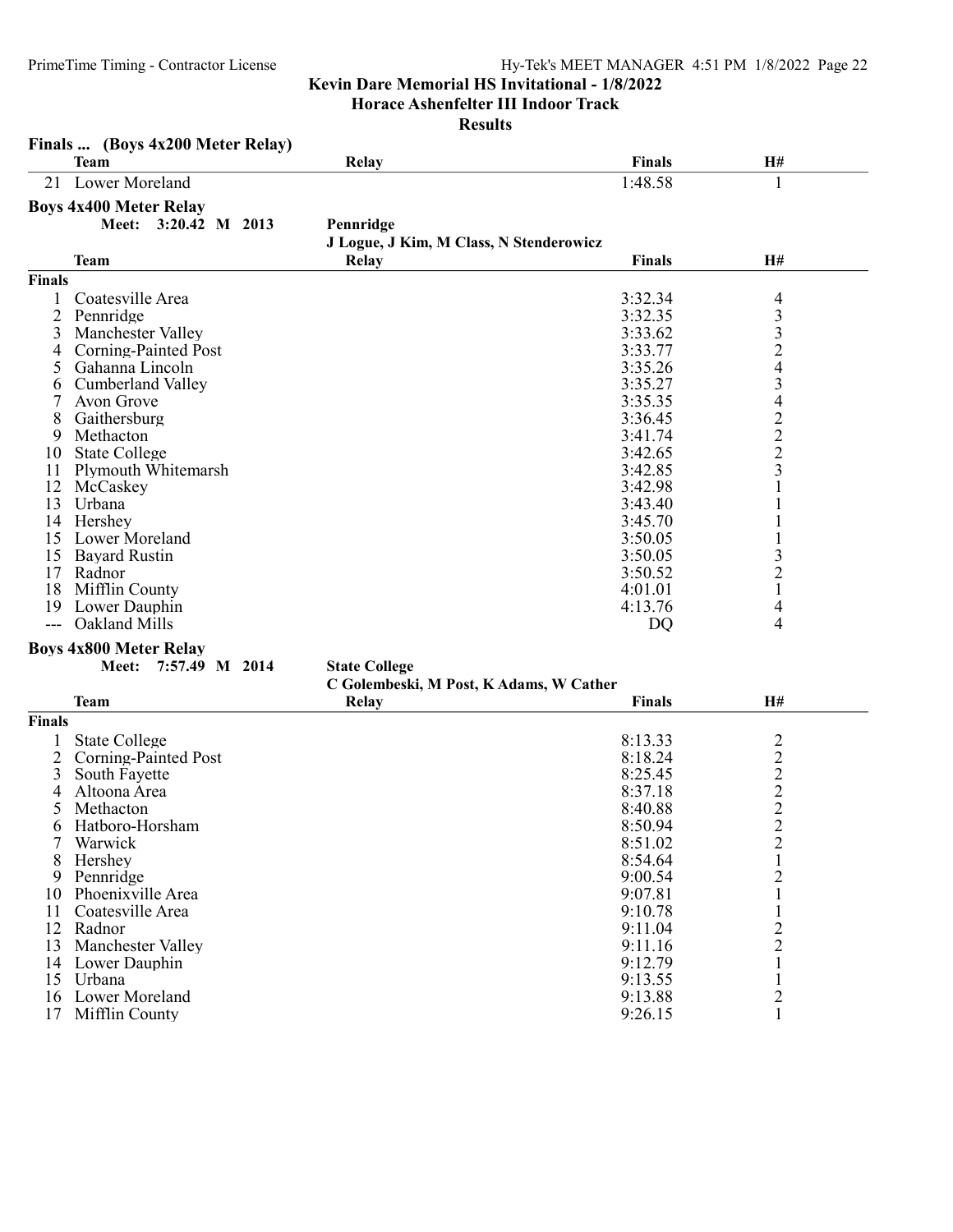Horace Ashenfelter III Indoor Track

|               | Finals  (Boys 4x200 Meter Relay) |                                         |               |                                                 |
|---------------|----------------------------------|-----------------------------------------|---------------|-------------------------------------------------|
|               | <b>Team</b>                      | Relay                                   | <b>Finals</b> | H#                                              |
| 21            | Lower Moreland                   |                                         | 1:48.58       | 1                                               |
|               | <b>Boys 4x400 Meter Relay</b>    |                                         |               |                                                 |
|               | Meet: 3:20.42 M 2013             | Pennridge                               |               |                                                 |
|               |                                  | J Logue, J Kim, M Class, N Stenderowicz |               |                                                 |
|               | <b>Team</b>                      | <b>Relay</b>                            | <b>Finals</b> | H#                                              |
| <b>Finals</b> |                                  |                                         |               |                                                 |
|               | Coatesville Area                 |                                         | 3:32.34       | 4                                               |
| 2             | Pennridge                        |                                         | 3:32.35       | $\begin{array}{c} 3 \\ 3 \\ 2 \\ 4 \end{array}$ |
| 3             | Manchester Valley                |                                         | 3:33.62       |                                                 |
| 4             | Corning-Painted Post             |                                         | 3:33.77       |                                                 |
| 5             | Gahanna Lincoln                  |                                         | 3:35.26       |                                                 |
| 6             | <b>Cumberland Valley</b>         |                                         | 3:35.27       | $\overline{\mathbf{3}}$                         |
| 7             | Avon Grove                       |                                         | 3:35.35       |                                                 |
| 8             | Gaithersburg                     |                                         | 3:36.45       | $\frac{4}{2}$ $\frac{2}{2}$ $\frac{2}{3}$       |
| 9             | Methacton                        |                                         | 3:41.74       |                                                 |
| 10            | <b>State College</b>             |                                         | 3:42.65       |                                                 |
| 11            | Plymouth Whitemarsh              |                                         | 3:42.85       |                                                 |
| 12            |                                  |                                         |               |                                                 |
|               | McCaskey                         |                                         | 3:42.98       |                                                 |
| 13            | Urbana                           |                                         | 3:43.40       |                                                 |
|               | 14 Hershey                       |                                         | 3:45.70       |                                                 |
| 15            | Lower Moreland                   |                                         | 3:50.05       |                                                 |
| 15            | <b>Bayard Rustin</b>             |                                         | 3:50.05       | 3                                               |
| 17            | Radnor                           |                                         | 3:50.52       | $\overline{2}$                                  |
| 18            | Mifflin County                   |                                         | 4:01.01       | $\mathbf{1}$                                    |
| 19            | Lower Dauphin                    |                                         | 4:13.76       | 4                                               |
| ---           | Oakland Mills                    |                                         | DQ            | 4                                               |
|               | <b>Boys 4x800 Meter Relay</b>    |                                         |               |                                                 |
|               | Meet:<br>7:57.49 M 2014          | <b>State College</b>                    |               |                                                 |
|               |                                  | C Golembeski, M Post, K Adams, W Cather |               |                                                 |
|               | <b>Team</b>                      | <b>Relay</b>                            | <b>Finals</b> | H#                                              |
| <b>Finals</b> |                                  |                                         |               |                                                 |
|               | <b>State College</b>             |                                         | 8:13.33       |                                                 |
| 2             | Corning-Painted Post             |                                         | 8:18.24       |                                                 |
| 3             | South Fayette                    |                                         | 8:25.45       |                                                 |
| 4             | Altoona Area                     |                                         | 8:37.18       | $\frac{2}{2}$ $\frac{2}{2}$ $\frac{2}{2}$       |
|               | Methacton                        |                                         |               |                                                 |
| 5             |                                  |                                         | 8:40.88       |                                                 |
| 6             | Hatboro-Horsham                  |                                         | 8:50.94       |                                                 |
|               | Warwick                          |                                         | 8:51.02       | $\overline{c}$                                  |
| 8             | Hershey                          |                                         | 8:54.64       | $\mathbf{1}$                                    |
| 9             | Pennridge                        |                                         | 9:00.54       | $\overline{c}$                                  |
| 10            | Phoenixville Area                |                                         | 9:07.81       | $\mathbf{1}$                                    |
| 11            | Coatesville Area                 |                                         | 9:10.78       | $\mathbf{1}$                                    |
| 12            | Radnor                           |                                         | 9:11.04       | $\frac{2}{2}$                                   |
| 13            | Manchester Valley                |                                         | 9:11.16       |                                                 |
| 14            | Lower Dauphin                    |                                         | 9:12.79       | $\mathbf{1}$                                    |
| 15            | Urbana                           |                                         | 9:13.55       | $\mathbf{1}$                                    |
|               | 16 Lower Moreland                |                                         | 9:13.88       | $\overline{c}$                                  |
| 17            | Mifflin County                   |                                         | 9:26.15       | 1                                               |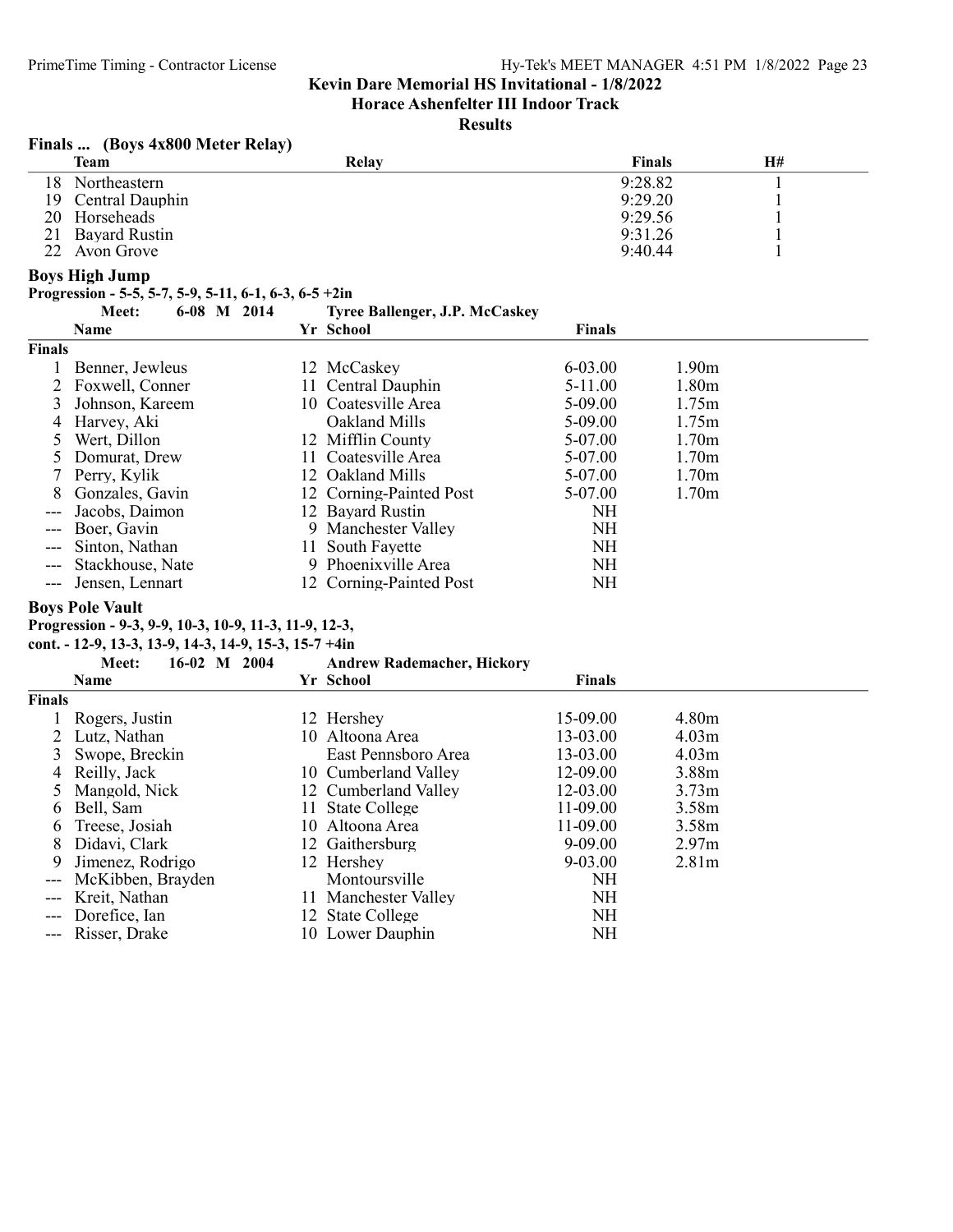Horace Ashenfelter III Indoor Track

#### **Results**

#### Finals ... (Boys 4x800 Meter Relay)

|      | .<br><b>Team</b>   | Relav | Finals  | Η# |
|------|--------------------|-------|---------|----|
| 18 - | Northeastern       |       | 9:28.82 |    |
|      | 19 Central Dauphin |       | 9:29.20 |    |
|      | 20 Horseheads      |       | 9:29.56 |    |
|      | 21 Bayard Rustin   |       | 9:31.26 |    |
| 22   | Avon Grove         |       | 9:40.44 |    |

#### Boys High Jump

Progression - 5-5, 5-7, 5-9, 5-11, 6-1, 6-3, 6-5 +2in

|               | Meet:             | $6-08$ M $2014$ |     | <b>Tyree Ballenger, J.P. McCaskey</b> |               |                   |  |
|---------------|-------------------|-----------------|-----|---------------------------------------|---------------|-------------------|--|
|               | Name              |                 |     | Yr School                             | <b>Finals</b> |                   |  |
| <b>Finals</b> |                   |                 |     |                                       |               |                   |  |
|               | Benner, Jewleus   |                 |     | 12 McCaskey                           | 6-03.00       | 1.90 <sub>m</sub> |  |
|               | 2 Foxwell, Conner |                 |     | 11 Central Dauphin                    | $5-11.00$     | 1.80 <sub>m</sub> |  |
|               | Johnson, Kareem   |                 |     | 10 Coatesville Area                   | $5-09.00$     | 1.75m             |  |
|               | 4 Harvey, Aki     |                 |     | Oakland Mills                         | $5-09.00$     | 1.75m             |  |
|               | Wert, Dillon      |                 |     | 12 Mifflin County                     | 5-07.00       | 1.70 <sub>m</sub> |  |
|               | Domurat, Drew     |                 | 11. | Coatesville Area                      | 5-07.00       | 1.70 <sub>m</sub> |  |
|               | 7 Perry, Kylik    |                 |     | 12 Oakland Mills                      | 5-07.00       | 1.70 <sub>m</sub> |  |
| 8             | Gonzales, Gavin   |                 |     | 12 Corning-Painted Post               | 5-07.00       | 1.70 <sub>m</sub> |  |
|               | Jacobs, Daimon    |                 |     | 12 Bayard Rustin                      | NH            |                   |  |
|               | Boer, Gavin       |                 |     | 9 Manchester Valley                   | <b>NH</b>     |                   |  |
|               | Sinton, Nathan    |                 |     | 11 South Fayette                      | NH            |                   |  |
|               | Stackhouse, Nate  |                 |     | 9 Phoenixville Area                   | NH            |                   |  |
|               | Jensen, Lennart   |                 |     | 12 Corning-Painted Post               | NΗ            |                   |  |

## Boys Pole Vault

# Progression - 9-3, 9-9, 10-3, 10-9, 11-3, 11-9, 12-3,

cont. - 12-9, 13-3, 13-9, 14-3, 14-9, 15-3, 15-7 +4in

|               | $16-02$ M<br>2004<br>Meet: | <b>Andrew Rademacher, Hickory</b> |               |                   |
|---------------|----------------------------|-----------------------------------|---------------|-------------------|
|               | <b>Name</b>                | Yr School                         | <b>Finals</b> |                   |
| <b>Finals</b> |                            |                                   |               |                   |
|               | 1 Rogers, Justin           | 12 Hershey                        | 15-09.00      | 4.80m             |
|               | 2 Lutz, Nathan             | 10 Altoona Area                   | 13-03.00      | 4.03 <sub>m</sub> |
|               | 3 Swope, Breckin           | East Pennsboro Area               | 13-03.00      | 4.03 <sub>m</sub> |
|               | 4 Reilly, Jack             | 10 Cumberland Valley              | 12-09.00      | 3.88m             |
|               | 5 Mangold, Nick            | 12 Cumberland Valley              | 12-03.00      | 3.73 <sub>m</sub> |
| 6             | Bell, Sam                  | 11 State College                  | 11-09.00      | 3.58m             |
|               | 6 Treese, Josiah           | 10 Altoona Area                   | $11-09.00$    | 3.58m             |
| 8             | Didavi, Clark              | 12 Gaithersburg                   | 9-09.00       | 2.97 <sub>m</sub> |
| 9             | Jimenez, Rodrigo           | 12 Hershey                        | $9 - 03.00$   | 2.81 <sub>m</sub> |
|               | McKibben, Brayden          | Montoursville                     | NH            |                   |
|               | Kreit, Nathan              | 11 Manchester Valley              | NH            |                   |
| $---$         | Dorefice, Ian              | 12 State College                  | NH            |                   |
|               | --- Risser, Drake          | 10 Lower Dauphin                  | NΗ            |                   |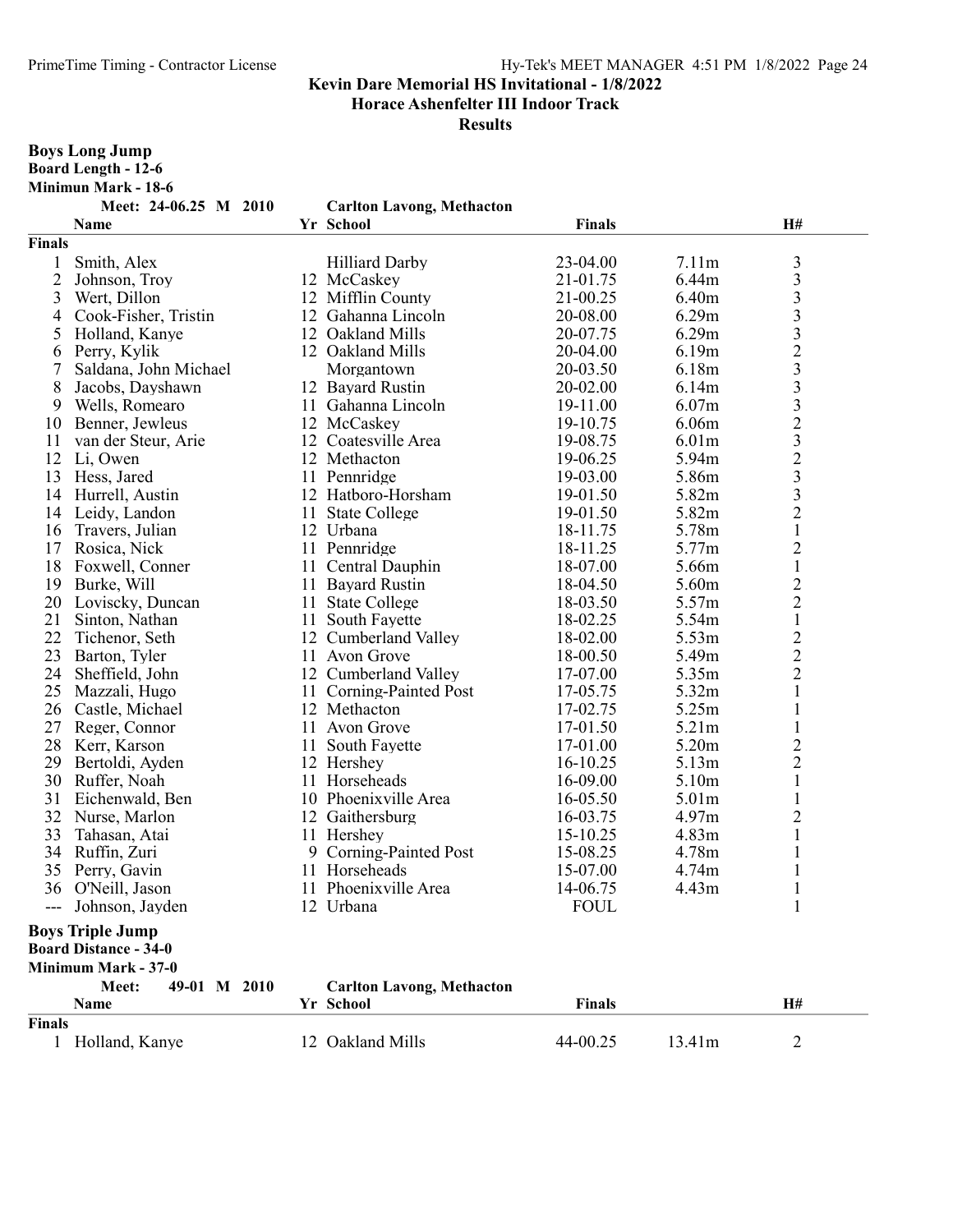Horace Ashenfelter III Indoor Track

| <b>Boys Long Jump</b><br><b>Board Length - 12-6</b> |                                     |    |                                    |                      |                   |                         |
|-----------------------------------------------------|-------------------------------------|----|------------------------------------|----------------------|-------------------|-------------------------|
|                                                     | <b>Minimun Mark - 18-6</b>          |    |                                    |                      |                   |                         |
|                                                     | Meet: 24-06.25 M 2010               |    | <b>Carlton Lavong, Methacton</b>   |                      |                   |                         |
|                                                     | Name                                |    | Yr School                          | <b>Finals</b>        |                   | H#                      |
| <b>Finals</b>                                       |                                     |    |                                    |                      |                   |                         |
| 1                                                   | Smith, Alex                         |    | <b>Hilliard Darby</b>              | 23-04.00             | 7.11m             | $\mathfrak{Z}$          |
| $\overline{2}$                                      | Johnson, Troy                       |    | 12 McCaskey                        | 21-01.75             | 6.44m             | $\overline{\mathbf{3}}$ |
| 3                                                   | Wert, Dillon                        |    | 12 Mifflin County                  | 21-00.25             | 6.40m             |                         |
| 4                                                   | Cook-Fisher, Tristin                |    | 12 Gahanna Lincoln                 | 20-08.00             | 6.29m             |                         |
| 5                                                   | Holland, Kanye                      |    | 12 Oakland Mills                   | 20-07.75             | 6.29m             | 3332332323              |
| 6                                                   | Perry, Kylik                        |    | 12 Oakland Mills                   | 20-04.00             | 6.19 <sub>m</sub> |                         |
| 7                                                   | Saldana, John Michael               |    | Morgantown                         | 20-03.50             | 6.18m             |                         |
| 8                                                   | Jacobs, Dayshawn                    |    | 12 Bayard Rustin                   | 20-02.00             | 6.14m             |                         |
|                                                     | Wells, Romearo                      |    | 11 Gahanna Lincoln                 | 19-11.00             | 6.07 <sub>m</sub> |                         |
| 9<br>10                                             |                                     |    |                                    | 19-10.75             | 6.06 <sub>m</sub> |                         |
|                                                     | Benner, Jewleus                     |    | 12 McCaskey<br>12 Coatesville Area | 19-08.75             | 6.01 <sub>m</sub> |                         |
| 11<br>12                                            | van der Steur, Arie                 |    | 12 Methacton                       | 19-06.25             | 5.94m             |                         |
| 13                                                  | Li, Owen<br>Hess, Jared             |    | 11 Pennridge                       | 19-03.00             | 5.86m             |                         |
| 14                                                  |                                     |    | 12 Hatboro-Horsham                 |                      |                   | $\overline{\mathbf{3}}$ |
|                                                     | Hurrell, Austin<br>14 Leidy, Landon |    |                                    | 19-01.50             | 5.82m<br>5.82m    | $\overline{2}$          |
| 16                                                  |                                     |    | 11 State College<br>12 Urbana      | 19-01.50<br>18-11.75 | 5.78m             | $\,1\,$                 |
| 17                                                  | Travers, Julian                     |    | 11 Pennridge                       | 18-11.25             | 5.77m             | $\overline{c}$          |
| 18                                                  | Rosica, Nick                        |    |                                    | 18-07.00             | 5.66m             | $\,1\,$                 |
|                                                     | Foxwell, Conner                     |    | 11 Central Dauphin                 | 18-04.50             | 5.60m             | $\overline{2}$          |
| 19                                                  | Burke, Will                         |    | 11 Bayard Rustin                   |                      |                   | $\overline{2}$          |
| 20                                                  | Loviscky, Duncan                    |    | 11 State College                   | 18-03.50             | 5.57m             | $\mathbf{1}$            |
| 21                                                  | Sinton, Nathan                      |    | 11 South Fayette                   | 18-02.25             | 5.54m             |                         |
| 22                                                  | Tichenor, Seth                      |    | 12 Cumberland Valley               | 18-02.00             | 5.53m             | $\frac{2}{2}$           |
| 23                                                  | Barton, Tyler                       |    | 11 Avon Grove                      | 18-00.50             | 5.49m             |                         |
| 24                                                  | Sheffield, John                     |    | 12 Cumberland Valley               | 17-07.00             | 5.35m             |                         |
| 25                                                  | Mazzali, Hugo                       | 11 | Corning-Painted Post               | 17-05.75             | 5.32m             | $\mathbf{1}$            |
| 26                                                  | Castle, Michael                     |    | 12 Methacton                       | 17-02.75             | 5.25m             | $\mathbf{1}$            |
| 27                                                  | Reger, Connor                       |    | 11 Avon Grove                      | 17-01.50             | 5.21m             | $\mathbf 1$             |
| 28                                                  | Kerr, Karson                        |    | 11 South Fayette                   | 17-01.00             | 5.20m             | $\overline{c}$          |
| 29                                                  | Bertoldi, Ayden                     |    | 12 Hershey                         | 16-10.25             | 5.13 <sub>m</sub> | $\overline{c}$          |
|                                                     | 30 Ruffer, Noah                     |    | 11 Horseheads                      | 16-09.00             | 5.10m             | $\mathbf{1}$            |
| 31                                                  | Eichenwald, Ben                     |    | 10 Phoenixville Area               | 16-05.50             | 5.01 <sub>m</sub> | $\mathbf{1}$            |
|                                                     | 32 Nurse, Marlon                    |    | 12 Gaithersburg                    | 16-03.75             | 4.97m             | $\overline{2}$          |
|                                                     | 33 Tahasan, Atai                    |    | 11 Hershey                         | 15-10.25             | 4.83m             | 1                       |
|                                                     | 34 Ruffin, Zuri                     |    | 9 Corning-Painted Post             | 15-08.25             | 4.78m             |                         |
|                                                     | 35 Perry, Gavin                     |    | 11 Horseheads                      | 15-07.00             | 4.74m             |                         |
|                                                     | 36 O'Neill, Jason                   |    | 11 Phoenixville Area               | 14-06.75             | 4.43m             |                         |
|                                                     | Johnson, Jayden                     |    | 12 Urbana                          | <b>FOUL</b>          |                   | 1                       |
| <b>Boys Triple Jump</b>                             |                                     |    |                                    |                      |                   |                         |
| <b>Board Distance - 34-0</b>                        |                                     |    |                                    |                      |                   |                         |
| Minimum Mark - 37-0                                 |                                     |    |                                    |                      |                   |                         |
|                                                     | Meet:<br>49-01 M 2010               |    | <b>Carlton Lavong, Methacton</b>   |                      |                   |                         |
|                                                     | Name                                |    | Yr School                          | <b>Finals</b>        |                   | H#                      |
| Finals                                              |                                     |    |                                    |                      |                   |                         |
|                                                     | 1 Holland, Kanye                    |    | 12 Oakland Mills                   | 44-00.25             | 13.41m            | $\overline{2}$          |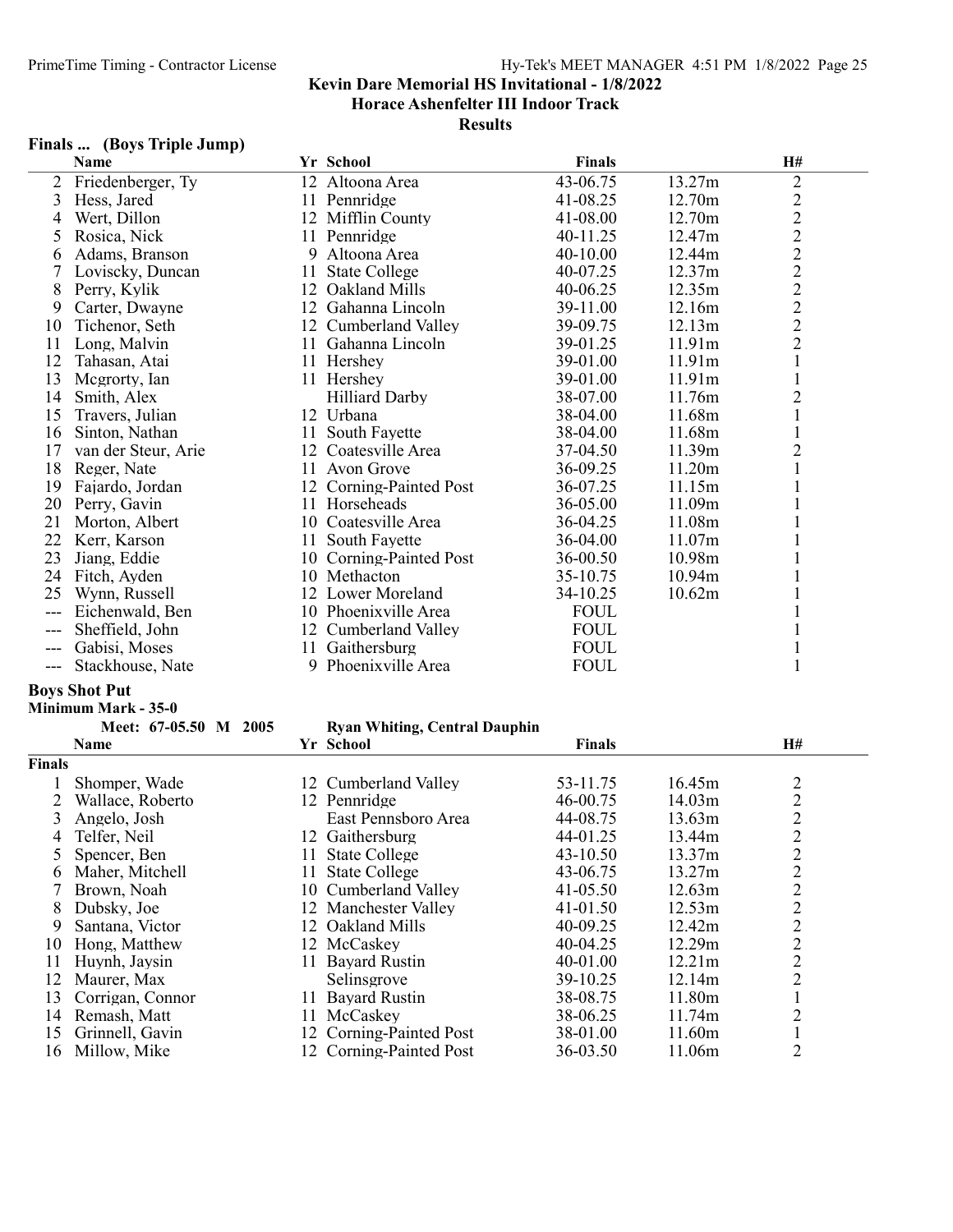#### Results

# Finals ... (Boys Triple Jump)

|       | <b>Name</b>         |    | Yr School             | <b>Finals</b> |        | H#                          |
|-------|---------------------|----|-----------------------|---------------|--------|-----------------------------|
| 2     | Friedenberger, Ty   |    | 12 Altoona Area       | 43-06.75      | 13.27m | $\overline{c}$              |
| 3     | Hess, Jared         |    | 11 Pennridge          | 41-08.25      | 12.70m |                             |
| 4     | Wert, Dillon        |    | 12 Mifflin County     | 41-08.00      | 12.70m | $\frac{2}{2}$               |
| 5     | Rosica, Nick        |    | 11 Pennridge          | 40-11.25      | 12.47m |                             |
| 6     | Adams, Branson      | 9  | Altoona Area          | $40-10.00$    | 12.44m | $\overline{c}$              |
|       | Loviscky, Duncan    | 11 | <b>State College</b>  | 40-07.25      | 12.37m | $\frac{2}{2}$ $\frac{2}{2}$ |
| 8     | Perry, Kylik        | 12 | Oakland Mills         | 40-06.25      | 12.35m |                             |
| 9     | Carter, Dwayne      | 12 | Gahanna Lincoln       | 39-11.00      | 12.16m |                             |
| 10    | Tichenor, Seth      | 12 | Cumberland Valley     | 39-09.75      | 12.13m |                             |
| 11    | Long, Malvin        | 11 | Gahanna Lincoln       | 39-01.25      | 11.91m |                             |
| 12    | Tahasan, Atai       |    | 11 Hershey            | 39-01.00      | 11.91m | $\,1$                       |
| 13    | Mcgrorty, Ian       |    | 11 Hershey            | 39-01.00      | 11.91m | $\mathbf{1}$                |
| 14    | Smith, Alex         |    | <b>Hilliard Darby</b> | 38-07.00      | 11.76m | $\overline{2}$              |
| 15    | Travers, Julian     |    | 12 Urbana             | 38-04.00      | 11.68m | $\mathbf{1}$                |
| 16    | Sinton, Nathan      | 11 | South Fayette         | 38-04.00      | 11.68m | $\mathbf{1}$                |
| 17    | van der Steur, Arie | 12 | Coatesville Area      | 37-04.50      | 11.39m | $\overline{c}$              |
| 18    | Reger, Nate         |    | 11 Avon Grove         | 36-09.25      | 11.20m |                             |
| 19    | Fajardo, Jordan     | 12 | Corning-Painted Post  | 36-07.25      | 11.15m |                             |
| 20    | Perry, Gavin        | 11 | Horseheads            | 36-05.00      | 11.09m |                             |
| 21    | Morton, Albert      |    | 10 Coatesville Area   | 36-04.25      | 11.08m |                             |
| 22    | Kerr, Karson        |    | 11 South Fayette      | 36-04.00      | 11.07m |                             |
| 23    | Jiang, Eddie        | 10 | Corning-Painted Post  | 36-00.50      | 10.98m |                             |
| 24    | Fitch, Ayden        |    | 10 Methacton          | 35-10.75      | 10.94m |                             |
| 25    | Wynn, Russell       |    | 12 Lower Moreland     | 34-10.25      | 10.62m |                             |
| $---$ | Eichenwald, Ben     |    | 10 Phoenixville Area  | <b>FOUL</b>   |        |                             |
|       | Sheffield, John     |    | 12 Cumberland Valley  | <b>FOUL</b>   |        |                             |
|       | Gabisi, Moses       | 11 | Gaithersburg          | <b>FOUL</b>   |        |                             |
| ---   | Stackhouse, Nate    | 9  | Phoenixville Area     | <b>FOUL</b>   |        |                             |

# Boys Shot Put

| Minimum Mark - 35-0 |  |  |
|---------------------|--|--|
|---------------------|--|--|

|               | Meet: 67-05.50 M 2005 |     | <b>Ryan Whiting, Central Dauphin</b> |               |        |                         |
|---------------|-----------------------|-----|--------------------------------------|---------------|--------|-------------------------|
|               | <b>Name</b>           |     | Yr School                            | <b>Finals</b> |        | H#                      |
| <b>Finals</b> |                       |     |                                      |               |        |                         |
|               | Shomper, Wade         | 12. | Cumberland Valley                    | 53-11.75      | 16.45m | $\overline{2}$          |
|               | Wallace, Roberto      | 12. | Pennridge                            | 46-00.75      | 14.03m | $\overline{c}$          |
|               | Angelo, Josh          |     | East Pennsboro Area                  | 44-08.75      | 13.63m | $\overline{c}$          |
| 4             | Telfer, Neil          | 12  | Gaithersburg                         | 44-01.25      | 13.44m | $\overline{\mathbf{c}}$ |
|               | Spencer, Ben          | 11  | <b>State College</b>                 | $43 - 10.50$  | 13.37m | $\overline{c}$          |
| 6             | Maher, Mitchell       | 11  | <b>State College</b>                 | 43-06.75      | 13.27m | $\overline{c}$          |
|               | Brown, Noah           |     | 10 Cumberland Valley                 | $41 - 05.50$  | 12.63m | $\overline{c}$          |
| 8             | Dubsky, Joe           |     | 12 Manchester Valley                 | 41-01.50      | 12.53m | $\overline{2}$          |
| 9             | Santana, Victor       |     | 12 Oakland Mills                     | 40-09.25      | 12.42m | $\overline{c}$          |
| 10            | Hong, Matthew         |     | 12 McCaskey                          | 40-04.25      | 12.29m | $\overline{2}$          |
| 11            | Huynh, Jaysin         | 11. | <b>Bayard Rustin</b>                 | 40-01.00      | 12.21m | $\overline{c}$          |
| 12            | Maurer, Max           |     | Selinsgrove                          | 39-10.25      | 12.14m | $\overline{2}$          |
| 13            | Corrigan, Connor      | 11. | <b>Bayard Rustin</b>                 | 38-08.75      | 11.80m |                         |
| 14            | Remash, Matt          | 11. | McCaskey                             | 38-06.25      | 11.74m | $\overline{2}$          |
| 15            | Grinnell, Gavin       |     | 12 Corning-Painted Post              | 38-01.00      | 11.60m |                         |
| 16            | Millow, Mike          |     | 12 Corning-Painted Post              | 36-03.50      | 11.06m | $\overline{2}$          |